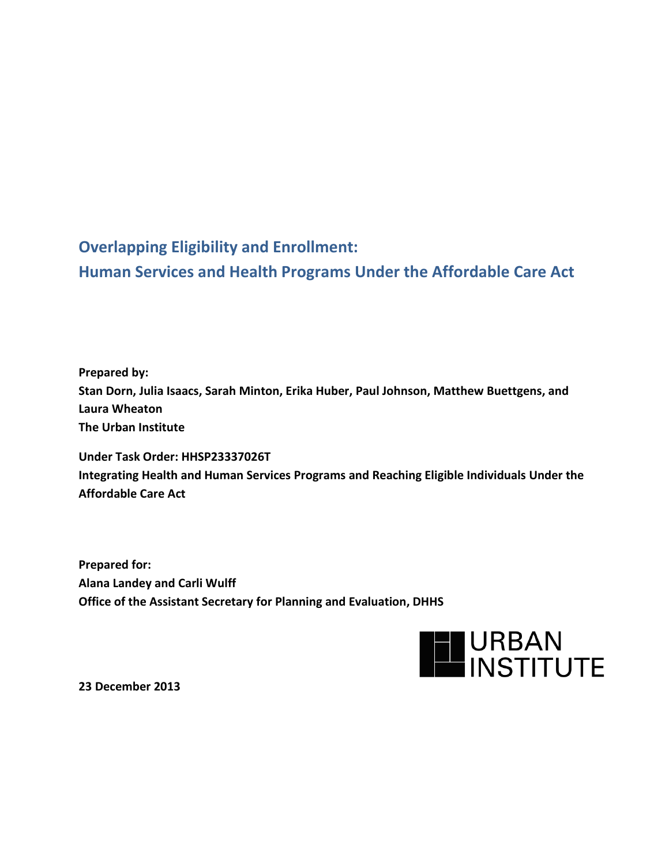**Overlapping Eligibility and Enrollment: Human Services and Health Programs Under the Affordable Care Act**

**Prepared by: Stan Dorn, Julia Isaacs, Sarah Minton, Erika Huber, Paul Johnson, Matthew Buettgens, and Laura Wheaton The Urban Institute**

**Under Task Order: HHSP23337026T Integrating Health and Human Services Programs and Reaching Eligible Individuals Under the Affordable Care Act**

**Prepared for: Alana Landey and Carli Wulff Office of the Assistant Secretary for Planning and Evaluation, DHHS**



**23 December 2013**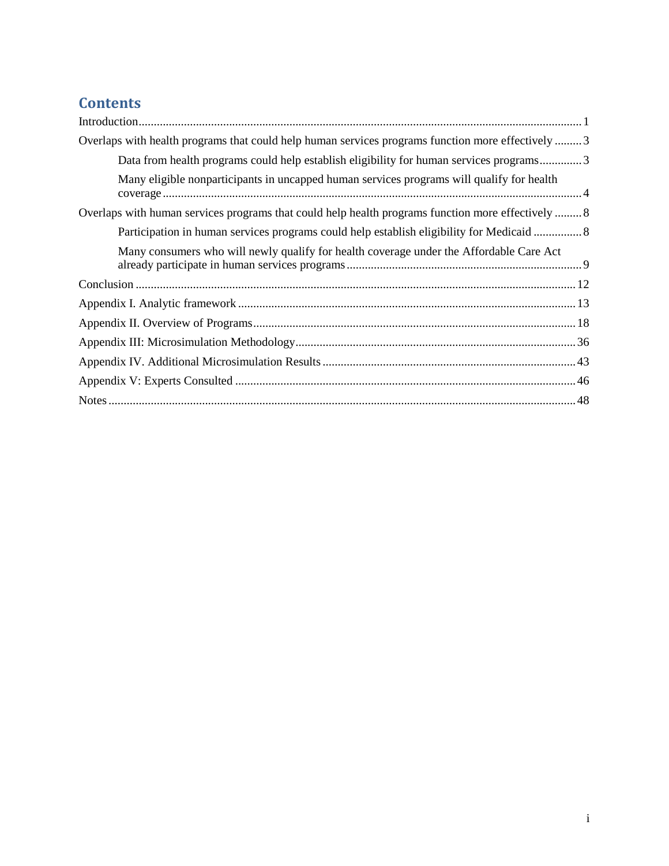# **Contents**

| Overlaps with health programs that could help human services programs function more effectively  3 |
|----------------------------------------------------------------------------------------------------|
| Data from health programs could help establish eligibility for human services programs3            |
| Many eligible nonparticipants in uncapped human services programs will qualify for health          |
| Overlaps with human services programs that could help health programs function more effectively  8 |
| Participation in human services programs could help establish eligibility for Medicaid  8          |
| Many consumers who will newly qualify for health coverage under the Affordable Care Act            |
|                                                                                                    |
|                                                                                                    |
|                                                                                                    |
|                                                                                                    |
|                                                                                                    |
|                                                                                                    |
|                                                                                                    |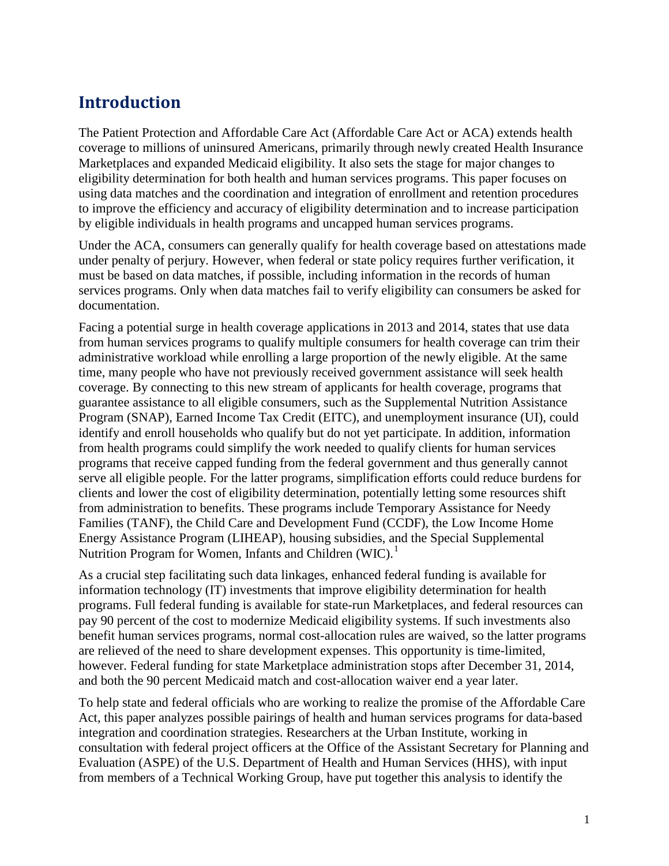# <span id="page-2-0"></span>**Introduction**

The Patient Protection and Affordable Care Act (Affordable Care Act or ACA) extends health coverage to millions of uninsured Americans, primarily through newly created Health Insurance Marketplaces and expanded Medicaid eligibility. It also sets the stage for major changes to eligibility determination for both health and human services programs. This paper focuses on using data matches and the coordination and integration of enrollment and retention procedures to improve the efficiency and accuracy of eligibility determination and to increase participation by eligible individuals in health programs and uncapped human services programs.

Under the ACA, consumers can generally qualify for health coverage based on attestations made under penalty of perjury. However, when federal or state policy requires further verification, it must be based on data matches, if possible, including information in the records of human services programs. Only when data matches fail to verify eligibility can consumers be asked for documentation.

Facing a potential surge in health coverage applications in 2013 and 2014, states that use data from human services programs to qualify multiple consumers for health coverage can trim their administrative workload while enrolling a large proportion of the newly eligible. At the same time, many people who have not previously received government assistance will seek health coverage. By connecting to this new stream of applicants for health coverage, programs that guarantee assistance to all eligible consumers, such as the Supplemental Nutrition Assistance Program (SNAP), Earned Income Tax Credit (EITC), and unemployment insurance (UI), could identify and enroll households who qualify but do not yet participate. In addition, information from health programs could simplify the work needed to qualify clients for human services programs that receive capped funding from the federal government and thus generally cannot serve all eligible people. For the latter programs, simplification efforts could reduce burdens for clients and lower the cost of eligibility determination, potentially letting some resources shift from administration to benefits. These programs include Temporary Assistance for Needy Families (TANF), the Child Care and Development Fund (CCDF), the Low Income Home Energy Assistance Program (LIHEAP), housing subsidies, and the Special Supplemental Nutrition Program for Women, Infants and Children (WIC).<sup>[1](#page-50-0)</sup>

As a crucial step facilitating such data linkages, enhanced federal funding is available for information technology (IT) investments that improve eligibility determination for health programs. Full federal funding is available for state-run Marketplaces, and federal resources can pay 90 percent of the cost to modernize Medicaid eligibility systems. If such investments also benefit human services programs, normal cost-allocation rules are waived, so the latter programs are relieved of the need to share development expenses. This opportunity is time-limited, however. Federal funding for state Marketplace administration stops after December 31, 2014, and both the 90 percent Medicaid match and cost-allocation waiver end a year later.

To help state and federal officials who are working to realize the promise of the Affordable Care Act, this paper analyzes possible pairings of health and human services programs for data-based integration and coordination strategies. Researchers at the Urban Institute, working in consultation with federal project officers at the Office of the Assistant Secretary for Planning and Evaluation (ASPE) of the U.S. Department of Health and Human Services (HHS), with input from members of a Technical Working Group, have put together this analysis to identify the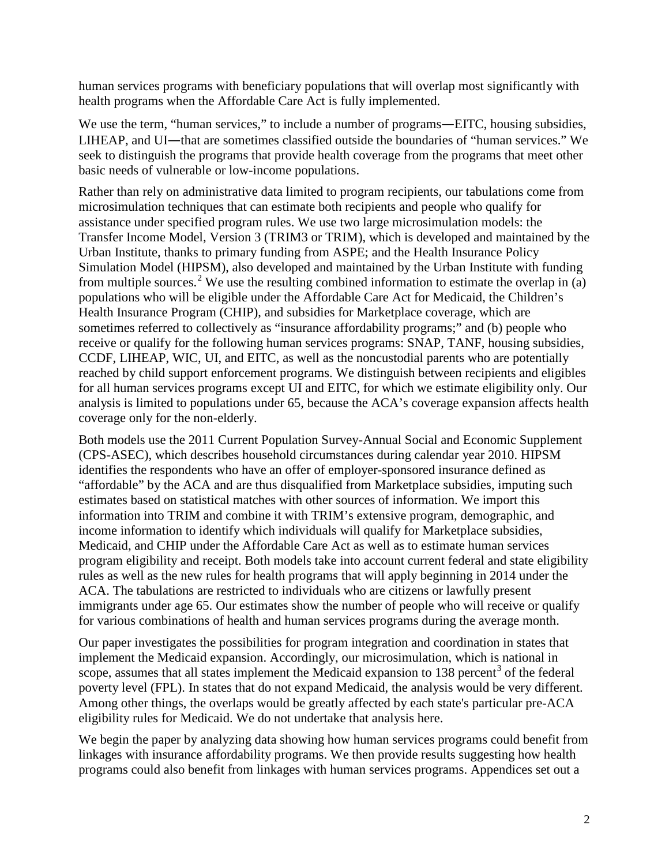human services programs with beneficiary populations that will overlap most significantly with health programs when the Affordable Care Act is fully implemented.

We use the term, "human services," to include a number of programs—EITC, housing subsidies, LIHEAP, and UI—that are sometimes classified outside the boundaries of "human services." We seek to distinguish the programs that provide health coverage from the programs that meet other basic needs of vulnerable or low-income populations.

Rather than rely on administrative data limited to program recipients, our tabulations come from microsimulation techniques that can estimate both recipients and people who qualify for assistance under specified program rules. We use two large microsimulation models: the Transfer Income Model, Version 3 (TRIM3 or TRIM), which is developed and maintained by the Urban Institute, thanks to primary funding from ASPE; and the Health Insurance Policy Simulation Model (HIPSM), also developed and maintained by the Urban Institute with funding from multiple sources.<sup>[2](#page-51-0)</sup> We use the resulting combined information to estimate the overlap in (a) populations who will be eligible under the Affordable Care Act for Medicaid, the Children's Health Insurance Program (CHIP), and subsidies for Marketplace coverage, which are sometimes referred to collectively as "insurance affordability programs;" and (b) people who receive or qualify for the following human services programs: SNAP, TANF, housing subsidies, CCDF, LIHEAP, WIC, UI, and EITC, as well as the noncustodial parents who are potentially reached by child support enforcement programs. We distinguish between recipients and eligibles for all human services programs except UI and EITC, for which we estimate eligibility only. Our analysis is limited to populations under 65, because the ACA's coverage expansion affects health coverage only for the non-elderly.

Both models use the 2011 Current Population Survey-Annual Social and Economic Supplement (CPS-ASEC), which describes household circumstances during calendar year 2010. HIPSM identifies the respondents who have an offer of employer-sponsored insurance defined as "affordable" by the ACA and are thus disqualified from Marketplace subsidies, imputing such estimates based on statistical matches with other sources of information. We import this information into TRIM and combine it with TRIM's extensive program, demographic, and income information to identify which individuals will qualify for Marketplace subsidies, Medicaid, and CHIP under the Affordable Care Act as well as to estimate human services program eligibility and receipt. Both models take into account current federal and state eligibility rules as well as the new rules for health programs that will apply beginning in 2014 under the ACA. The tabulations are restricted to individuals who are citizens or lawfully present immigrants under age 65. Our estimates show the number of people who will receive or qualify for various combinations of health and human services programs during the average month.

Our paper investigates the possibilities for program integration and coordination in states that implement the Medicaid expansion. Accordingly, our microsimulation, which is national in scope, assumes that all states implement the Medicaid expansion to 1[3](#page-51-1)8 percent<sup>3</sup> of the federal poverty level (FPL). In states that do not expand Medicaid, the analysis would be very different. Among other things, the overlaps would be greatly affected by each state's particular pre-ACA eligibility rules for Medicaid. We do not undertake that analysis here.

We begin the paper by analyzing data showing how human services programs could benefit from linkages with insurance affordability programs. We then provide results suggesting how health programs could also benefit from linkages with human services programs. Appendices set out a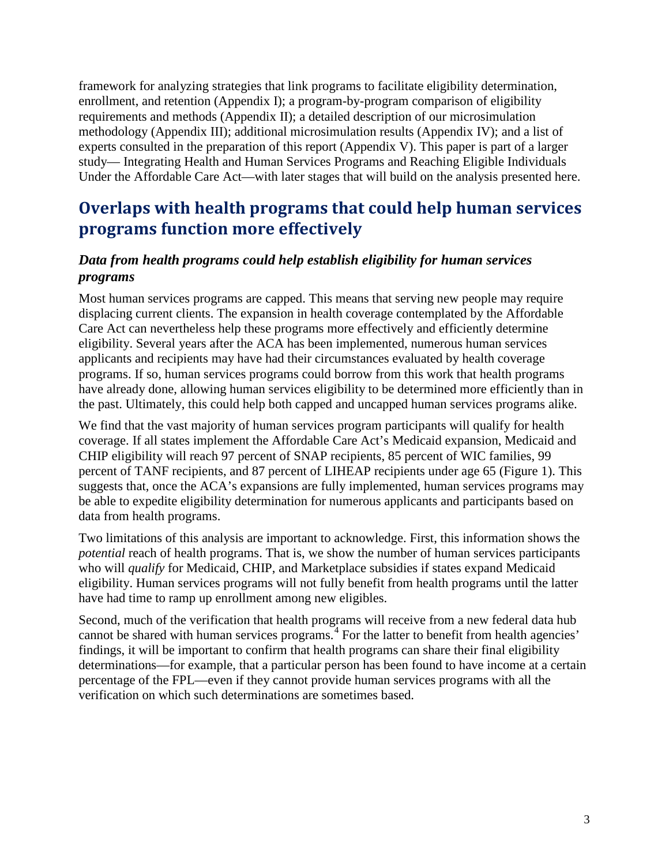framework for analyzing strategies that link programs to facilitate eligibility determination, enrollment, and retention (Appendix I); a program-by-program comparison of eligibility requirements and methods (Appendix II); a detailed description of our microsimulation methodology (Appendix III); additional microsimulation results (Appendix IV); and a list of experts consulted in the preparation of this report (Appendix V). This paper is part of a larger study— Integrating Health and Human Services Programs and Reaching Eligible Individuals Under the Affordable Care Act—with later stages that will build on the analysis presented here.

# <span id="page-4-0"></span>**Overlaps with health programs that could help human services programs function more effectively**

## <span id="page-4-1"></span>*Data from health programs could help establish eligibility for human services programs*

Most human services programs are capped. This means that serving new people may require displacing current clients. The expansion in health coverage contemplated by the Affordable Care Act can nevertheless help these programs more effectively and efficiently determine eligibility. Several years after the ACA has been implemented, numerous human services applicants and recipients may have had their circumstances evaluated by health coverage programs. If so, human services programs could borrow from this work that health programs have already done, allowing human services eligibility to be determined more efficiently than in the past. Ultimately, this could help both capped and uncapped human services programs alike.

We find that the vast majority of human services program participants will qualify for health coverage. If all states implement the Affordable Care Act's Medicaid expansion, Medicaid and CHIP eligibility will reach 97 percent of SNAP recipients, 85 percent of WIC families, 99 percent of TANF recipients, and 87 percent of LIHEAP recipients under age 65 (Figure 1). This suggests that, once the ACA's expansions are fully implemented, human services programs may be able to expedite eligibility determination for numerous applicants and participants based on data from health programs.

Two limitations of this analysis are important to acknowledge. First, this information shows the *potential* reach of health programs. That is, we show the number of human services participants who will *qualify* for Medicaid, CHIP, and Marketplace subsidies if states expand Medicaid eligibility. Human services programs will not fully benefit from health programs until the latter have had time to ramp up enrollment among new eligibles.

Second, much of the verification that health programs will receive from a new federal data hub cannot be shared with human services programs.<sup>[4](#page-52-0)</sup> For the latter to benefit from health agencies' findings, it will be important to confirm that health programs can share their final eligibility determinations—for example, that a particular person has been found to have income at a certain percentage of the FPL—even if they cannot provide human services programs with all the verification on which such determinations are sometimes based.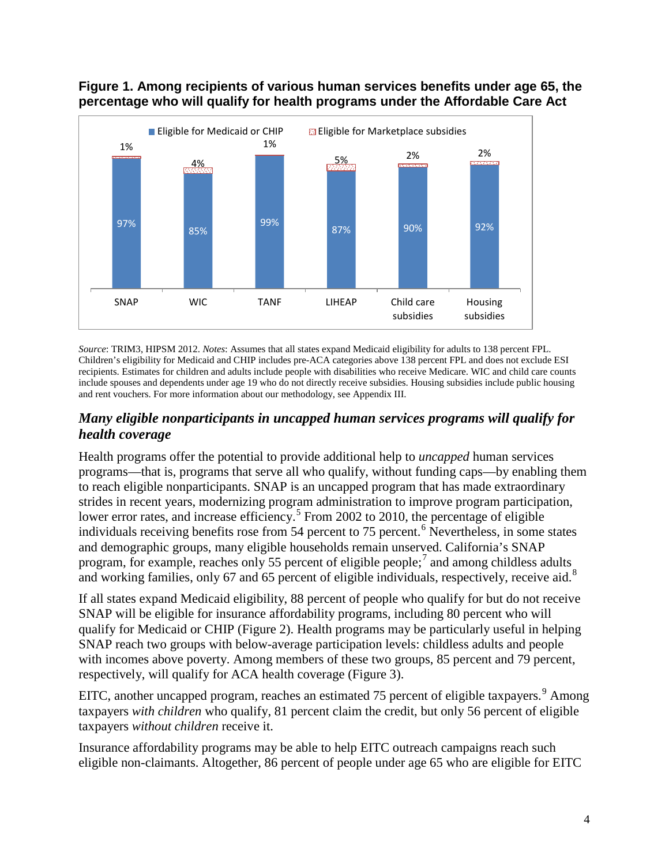



*Source*: TRIM3, HIPSM 2012. *Notes*: Assumes that all states expand Medicaid eligibility for adults to 138 percent FPL. Children's eligibility for Medicaid and CHIP includes pre-ACA categories above 138 percent FPL and does not exclude ESI recipients. Estimates for children and adults include people with disabilities who receive Medicare. WIC and child care counts include spouses and dependents under age 19 who do not directly receive subsidies. Housing subsidies include public housing and rent vouchers. For more information about our methodology, see Appendix III.

## <span id="page-5-0"></span>*Many eligible nonparticipants in uncapped human services programs will qualify for health coverage*

Health programs offer the potential to provide additional help to *uncapped* human services programs—that is, programs that serve all who qualify, without funding caps—by enabling them to reach eligible nonparticipants. SNAP is an uncapped program that has made extraordinary strides in recent years, modernizing program administration to improve program participation, lower error rates, and increase efficiency.<sup>[5](#page-52-1)</sup> From 2002 to 2010, the percentage of eligible individuals receiving benefits rose from 54 percent to 75 percent.<sup>[6](#page-52-2)</sup> Nevertheless, in some states and demographic groups, many eligible households remain unserved. California's SNAP program, for example, reaches only 55 percent of eligible people;<sup>[7](#page-52-3)</sup> and among childless adults and working families, only 67 and 65 percent of eligible individuals, respectively, receive aid.<sup>[8](#page-52-4)</sup>

If all states expand Medicaid eligibility, 88 percent of people who qualify for but do not receive SNAP will be eligible for insurance affordability programs, including 80 percent who will qualify for Medicaid or CHIP (Figure 2). Health programs may be particularly useful in helping SNAP reach two groups with below-average participation levels: childless adults and people with incomes above poverty. Among members of these two groups, 85 percent and 79 percent, respectively, will qualify for ACA health coverage (Figure 3).

EITC, another uncapped program, reaches an estimated 75 percent of eligible taxpayers.<sup>[9](#page-52-5)</sup> Among taxpayers *with children* who qualify, 81 percent claim the credit, but only 56 percent of eligible taxpayers *without children* receive it.

Insurance affordability programs may be able to help EITC outreach campaigns reach such eligible non-claimants. Altogether, 86 percent of people under age 65 who are eligible for EITC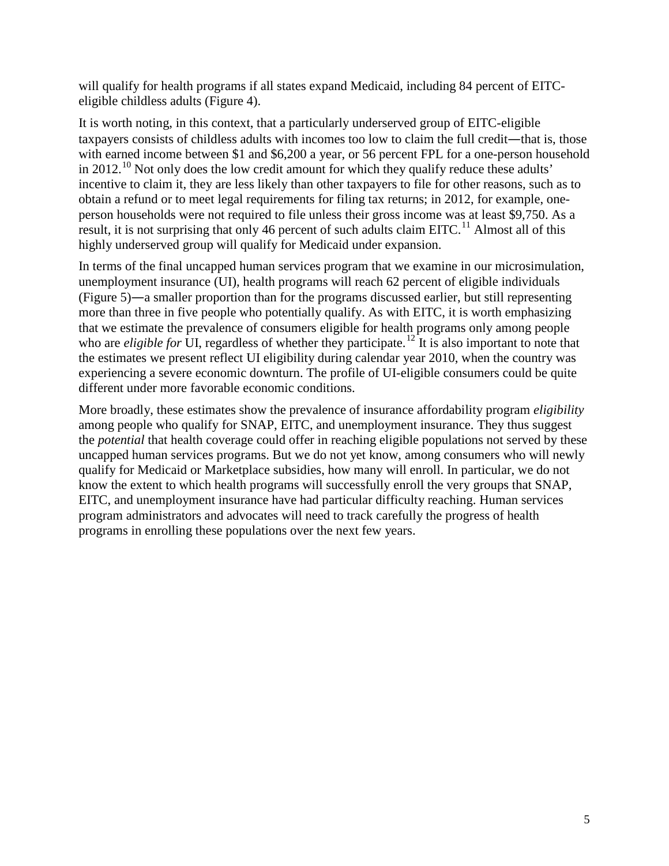will qualify for health programs if all states expand Medicaid, including 84 percent of EITCeligible childless adults (Figure 4).

It is worth noting, in this context, that a particularly underserved group of EITC-eligible taxpayers consists of childless adults with incomes too low to claim the full credit—that is, those with earned income between \$1 and \$6,200 a year, or 56 percent FPL for a one-person household in 2012.<sup>[10](#page-52-6)</sup> Not only does the low credit amount for which they qualify reduce these adults' incentive to claim it, they are less likely than other taxpayers to file for other reasons, such as to obtain a refund or to meet legal requirements for filing tax returns; in 2012, for example, oneperson households were not required to file unless their gross income was at least \$9,750. As a result, it is not surprising that only 46 percent of such adults claim  $EITC<sup>11</sup>$  $EITC<sup>11</sup>$  $EITC<sup>11</sup>$ . Almost all of this highly underserved group will qualify for Medicaid under expansion.

In terms of the final uncapped human services program that we examine in our microsimulation, unemployment insurance (UI), health programs will reach 62 percent of eligible individuals (Figure 5)—a smaller proportion than for the programs discussed earlier, but still representing more than three in five people who potentially qualify. As with EITC, it is worth emphasizing that we estimate the prevalence of consumers eligible for health programs only among people who are *eligible for* UI, regardless of whether they participate.<sup>[12](#page-52-8)</sup> It is also important to note that the estimates we present reflect UI eligibility during calendar year 2010, when the country was experiencing a severe economic downturn. The profile of UI-eligible consumers could be quite different under more favorable economic conditions.

More broadly, these estimates show the prevalence of insurance affordability program *eligibility* among people who qualify for SNAP, EITC, and unemployment insurance. They thus suggest the *potential* that health coverage could offer in reaching eligible populations not served by these uncapped human services programs. But we do not yet know, among consumers who will newly qualify for Medicaid or Marketplace subsidies, how many will enroll. In particular, we do not know the extent to which health programs will successfully enroll the very groups that SNAP, EITC, and unemployment insurance have had particular difficulty reaching. Human services program administrators and advocates will need to track carefully the progress of health programs in enrolling these populations over the next few years.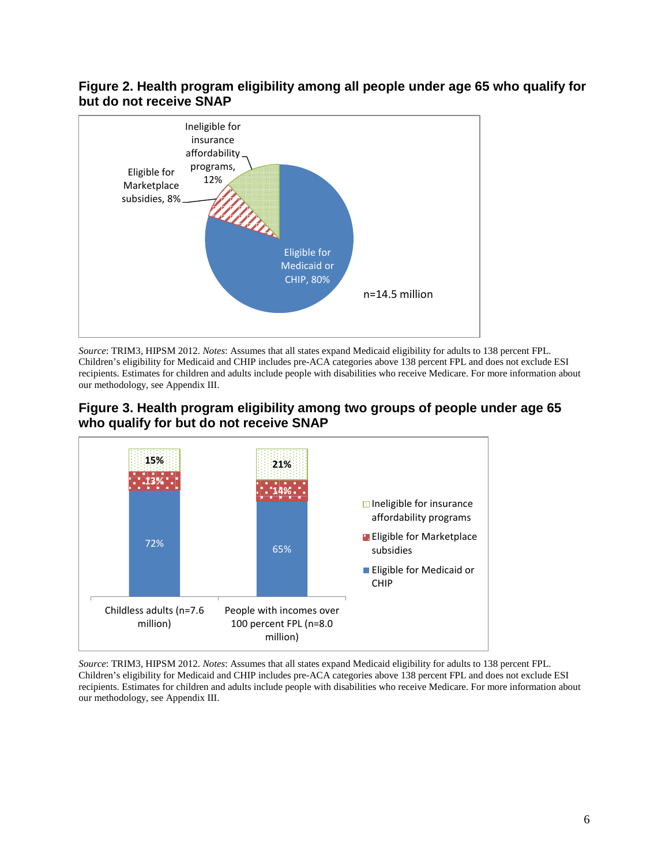#### **Figure 2. Health program eligibility among all people under age 65 who qualify for but do not receive SNAP**



*Source*: TRIM3, HIPSM 2012. *Notes*: Assumes that all states expand Medicaid eligibility for adults to 138 percent FPL. Children's eligibility for Medicaid and CHIP includes pre-ACA categories above 138 percent FPL and does not exclude ESI recipients. Estimates for children and adults include people with disabilities who receive Medicare. For more information about our methodology, see Appendix III.





*Source*: TRIM3, HIPSM 2012. *Notes*: Assumes that all states expand Medicaid eligibility for adults to 138 percent FPL. Children's eligibility for Medicaid and CHIP includes pre-ACA categories above 138 percent FPL and does not exclude ESI recipients. Estimates for children and adults include people with disabilities who receive Medicare. For more information about our methodology, see Appendix III.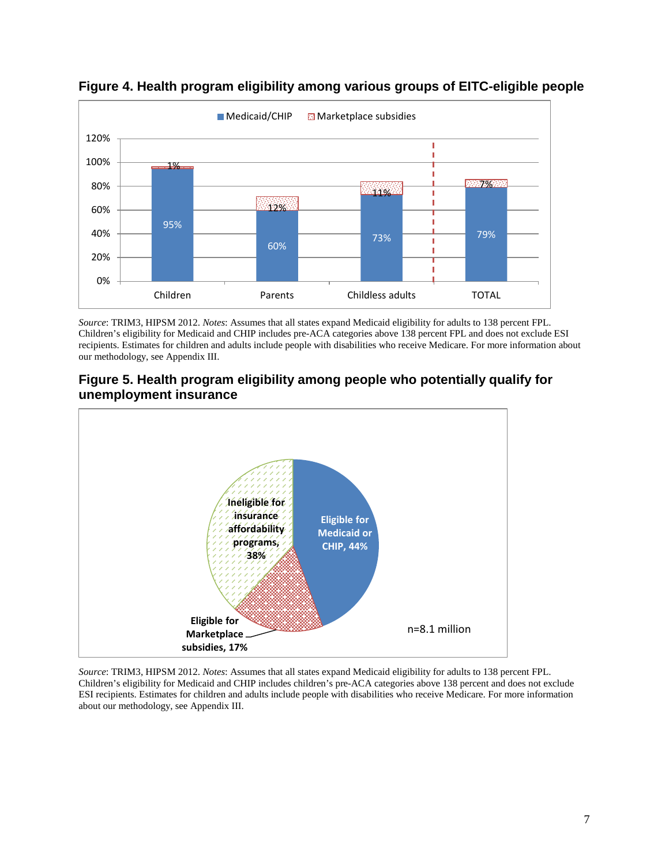

**Figure 4. Health program eligibility among various groups of EITC-eligible people**

*Source*: TRIM3, HIPSM 2012. *Notes*: Assumes that all states expand Medicaid eligibility for adults to 138 percent FPL. Children's eligibility for Medicaid and CHIP includes pre-ACA categories above 138 percent FPL and does not exclude ESI recipients. Estimates for children and adults include people with disabilities who receive Medicare. For more information about our methodology, see Appendix III.





*Source*: TRIM3, HIPSM 2012. *Notes*: Assumes that all states expand Medicaid eligibility for adults to 138 percent FPL. Children's eligibility for Medicaid and CHIP includes children's pre-ACA categories above 138 percent and does not exclude ESI recipients. Estimates for children and adults include people with disabilities who receive Medicare. For more information about our methodology, see Appendix III.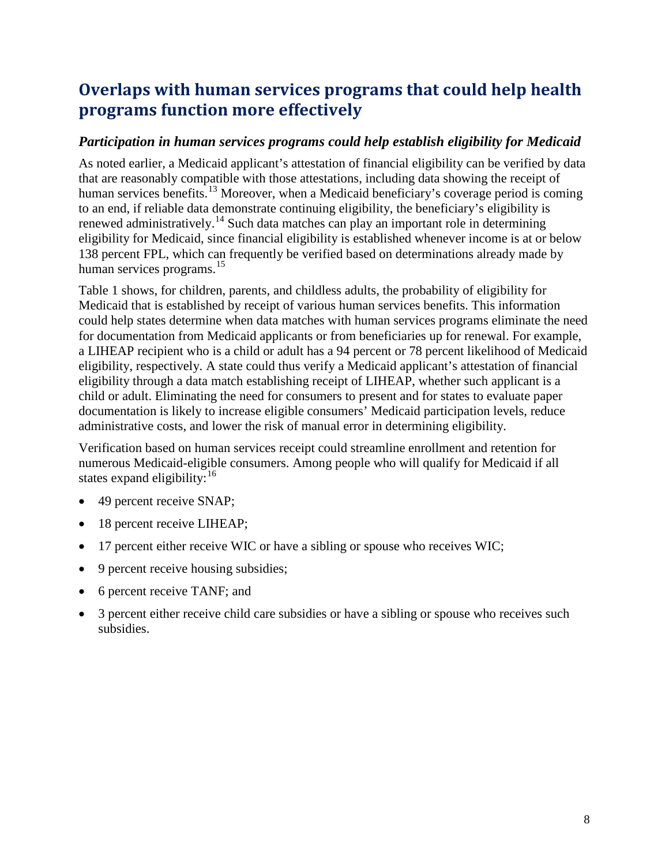# <span id="page-9-0"></span>**Overlaps with human services programs that could help health programs function more effectively**

## <span id="page-9-1"></span>*Participation in human services programs could help establish eligibility for Medicaid*

As noted earlier, a Medicaid applicant's attestation of financial eligibility can be verified by data that are reasonably compatible with those attestations, including data showing the receipt of human services benefits.<sup>[13](#page-52-9)</sup> Moreover, when a Medicaid beneficiary's coverage period is coming to an end, if reliable data demonstrate continuing eligibility, the beneficiary's eligibility is renewed administratively.<sup>[14](#page-52-10)</sup> Such data matches can play an important role in determining eligibility for Medicaid, since financial eligibility is established whenever income is at or below 138 percent FPL, which can frequently be verified based on determinations already made by human services programs.<sup>[15](#page-52-11)</sup>

Table 1 shows, for children, parents, and childless adults, the probability of eligibility for Medicaid that is established by receipt of various human services benefits. This information could help states determine when data matches with human services programs eliminate the need for documentation from Medicaid applicants or from beneficiaries up for renewal. For example, a LIHEAP recipient who is a child or adult has a 94 percent or 78 percent likelihood of Medicaid eligibility, respectively. A state could thus verify a Medicaid applicant's attestation of financial eligibility through a data match establishing receipt of LIHEAP, whether such applicant is a child or adult. Eliminating the need for consumers to present and for states to evaluate paper documentation is likely to increase eligible consumers' Medicaid participation levels, reduce administrative costs, and lower the risk of manual error in determining eligibility.

Verification based on human services receipt could streamline enrollment and retention for numerous Medicaid-eligible consumers. Among people who will qualify for Medicaid if all states expand eligibility:  $16$ 

- 49 percent receive SNAP;
- 18 percent receive LIHEAP;
- 17 percent either receive WIC or have a sibling or spouse who receives WIC;
- 9 percent receive housing subsidies;
- 6 percent receive TANF; and
- 3 percent either receive child care subsidies or have a sibling or spouse who receives such subsidies.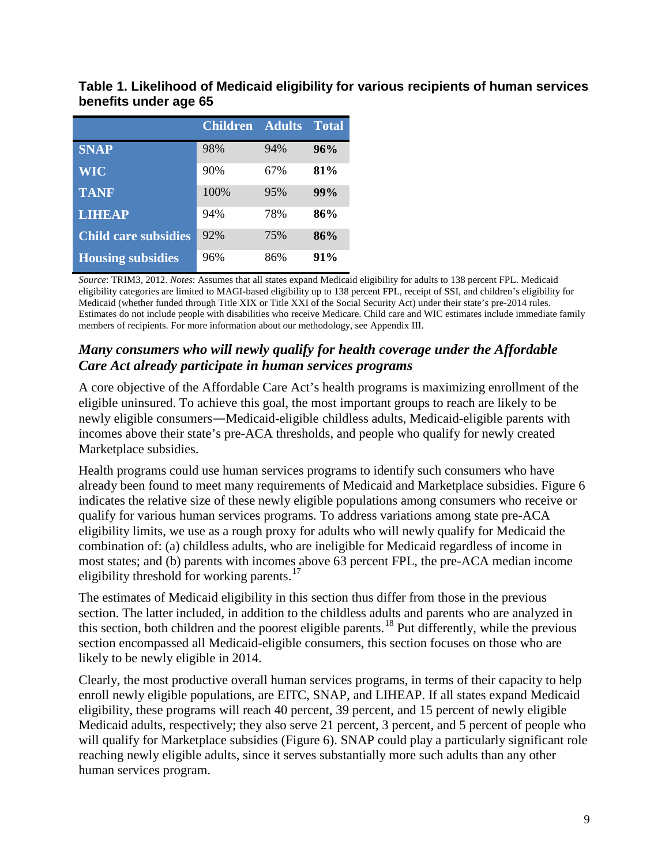|                             | <b>Children Adults</b> |     | <b>Total</b> |
|-----------------------------|------------------------|-----|--------------|
| <b>SNAP</b>                 | 98%                    | 94% | 96%          |
| <b>WIC</b>                  | 90%                    | 67% | 81%          |
| <b>TANF</b>                 | 100%                   | 95% | 99%          |
| <b>LIHEAP</b>               | 94%                    | 78% | 86%          |
| <b>Child care subsidies</b> | 92%                    | 75% | 86%          |
| <b>Housing subsidies</b>    | 96%                    | 86% | 91%          |

**Table 1. Likelihood of Medicaid eligibility for various recipients of human services benefits under age 65** 

*Source*: TRIM3, 2012. *Notes*: Assumes that all states expand Medicaid eligibility for adults to 138 percent FPL. Medicaid eligibility categories are limited to MAGI-based eligibility up to 138 percent FPL, receipt of SSI, and children's eligibility for Medicaid (whether funded through Title XIX or Title XXI of the Social Security Act) under their state's pre-2014 rules. Estimates do not include people with disabilities who receive Medicare. Child care and WIC estimates include immediate family members of recipients. For more information about our methodology, see Appendix III.

## <span id="page-10-0"></span>*Many consumers who will newly qualify for health coverage under the Affordable Care Act already participate in human services programs*

A core objective of the Affordable Care Act's health programs is maximizing enrollment of the eligible uninsured. To achieve this goal, the most important groups to reach are likely to be newly eligible consumers—Medicaid-eligible childless adults, Medicaid-eligible parents with incomes above their state's pre-ACA thresholds, and people who qualify for newly created Marketplace subsidies.

Health programs could use human services programs to identify such consumers who have already been found to meet many requirements of Medicaid and Marketplace subsidies. Figure 6 indicates the relative size of these newly eligible populations among consumers who receive or qualify for various human services programs. To address variations among state pre-ACA eligibility limits, we use as a rough proxy for adults who will newly qualify for Medicaid the combination of: (a) childless adults, who are ineligible for Medicaid regardless of income in most states; and (b) parents with incomes above 63 percent FPL, the pre-ACA median income eligibility threshold for working parents. $17$ 

The estimates of Medicaid eligibility in this section thus differ from those in the previous section. The latter included, in addition to the childless adults and parents who are analyzed in this section, both children and the poorest eligible parents.<sup>[18](#page-52-14)</sup> Put differently, while the previous section encompassed all Medicaid-eligible consumers, this section focuses on those who are likely to be newly eligible in 2014.

Clearly, the most productive overall human services programs, in terms of their capacity to help enroll newly eligible populations, are EITC, SNAP, and LIHEAP. If all states expand Medicaid eligibility, these programs will reach 40 percent, 39 percent, and 15 percent of newly eligible Medicaid adults, respectively; they also serve 21 percent, 3 percent, and 5 percent of people who will qualify for Marketplace subsidies (Figure 6). SNAP could play a particularly significant role reaching newly eligible adults, since it serves substantially more such adults than any other human services program.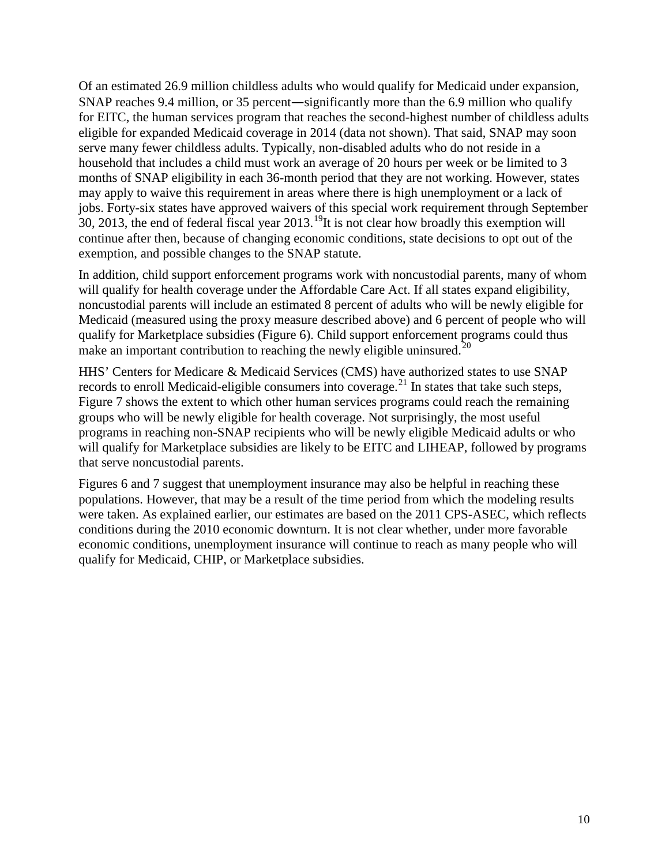Of an estimated 26.9 million childless adults who would qualify for Medicaid under expansion, SNAP reaches 9.4 million, or 35 percent—significantly more than the 6.9 million who qualify for EITC, the human services program that reaches the second-highest number of childless adults eligible for expanded Medicaid coverage in 2014 (data not shown). That said, SNAP may soon serve many fewer childless adults. Typically, non-disabled adults who do not reside in a household that includes a child must work an average of 20 hours per week or be limited to 3 months of SNAP eligibility in each 36-month period that they are not working. However, states may apply to waive this requirement in areas where there is high unemployment or a lack of jobs. Forty-six states have approved waivers of this special work requirement through September  $30, 2013$ , the end of federal fiscal year 2013.<sup>19</sup>It is not clear how broadly this exemption will continue after then, because of changing economic conditions, state decisions to opt out of the exemption, and possible changes to the SNAP statute.

In addition, child support enforcement programs work with noncustodial parents, many of whom will qualify for health coverage under the Affordable Care Act. If all states expand eligibility, noncustodial parents will include an estimated 8 percent of adults who will be newly eligible for Medicaid (measured using the proxy measure described above) and 6 percent of people who will qualify for Marketplace subsidies (Figure 6). Child support enforcement programs could thus make an important contribution to reaching the newly eligible uninsured.<sup>[20](#page-52-16)</sup>

HHS' Centers for Medicare & Medicaid Services (CMS) have authorized states to use SNAP records to enroll Medicaid-eligible consumers into coverage.<sup>[21](#page-52-17)</sup> In states that take such steps, Figure 7 shows the extent to which other human services programs could reach the remaining groups who will be newly eligible for health coverage. Not surprisingly, the most useful programs in reaching non-SNAP recipients who will be newly eligible Medicaid adults or who will qualify for Marketplace subsidies are likely to be EITC and LIHEAP, followed by programs that serve noncustodial parents.

Figures 6 and 7 suggest that unemployment insurance may also be helpful in reaching these populations. However, that may be a result of the time period from which the modeling results were taken. As explained earlier, our estimates are based on the 2011 CPS-ASEC, which reflects conditions during the 2010 economic downturn. It is not clear whether, under more favorable economic conditions, unemployment insurance will continue to reach as many people who will qualify for Medicaid, CHIP, or Marketplace subsidies.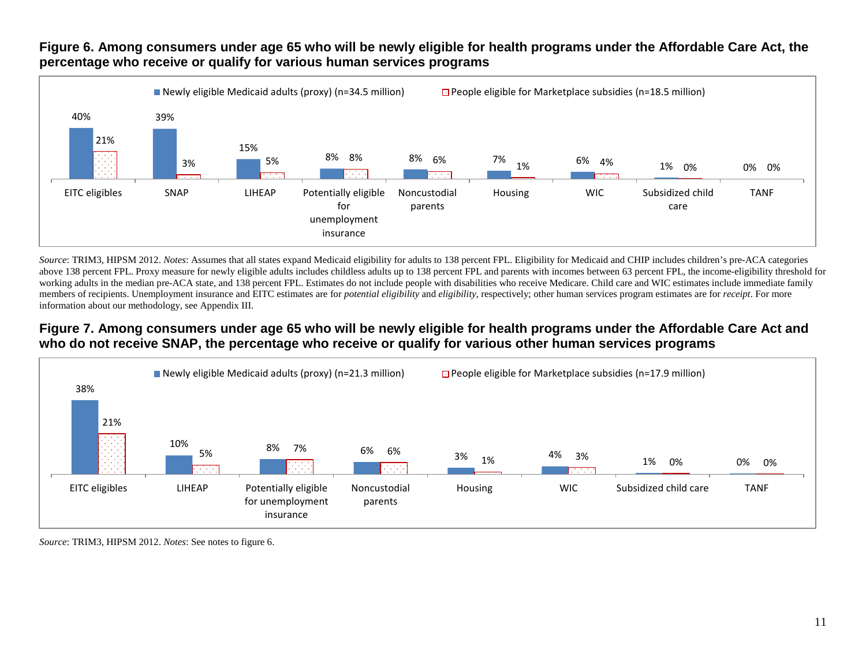

#### **Figure 6. Among consumers under age 65 who will be newly eligible for health programs under the Affordable Care Act, the percentage who receive or qualify for various human services programs**

*Source*: TRIM3, HIPSM 2012. *Notes*: Assumes that all states expand Medicaid eligibility for adults to 138 percent FPL. Eligibility for Medicaid and CHIP includes children's pre-ACA categories above 138 percent FPL. Proxy measure for newly eligible adults includes childless adults up to 138 percent FPL and parents with incomes between 63 percent FPL, the income-eligibility threshold for working adults in the median pre-ACA state, and 138 percent FPL. Estimates do not include people with disabilities who receive Medicare. Child care and WIC estimates include immediate family members of recipients. Unemployment insurance and EITC estimates are for *potential eligibility* and *eligibility*, respectively; other human services program estimates are for *receipt*. For more information about our methodology, see Appendix III.

### **Figure 7. Among consumers under age 65 who will be newly eligible for health programs under the Affordable Care Act and who do not receive SNAP, the percentage who receive or qualify for various other human services programs**



*Source*: TRIM3, HIPSM 2012. *Notes*: See notes to figure 6.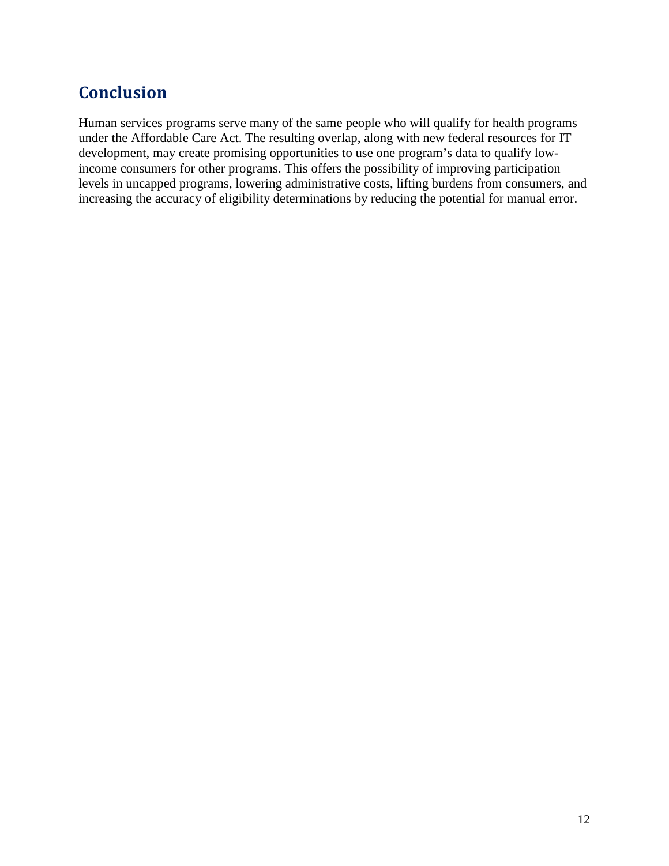# <span id="page-13-0"></span>**Conclusion**

Human services programs serve many of the same people who will qualify for health programs under the Affordable Care Act. The resulting overlap, along with new federal resources for IT development, may create promising opportunities to use one program's data to qualify lowincome consumers for other programs. This offers the possibility of improving participation levels in uncapped programs, lowering administrative costs, lifting burdens from consumers, and increasing the accuracy of eligibility determinations by reducing the potential for manual error.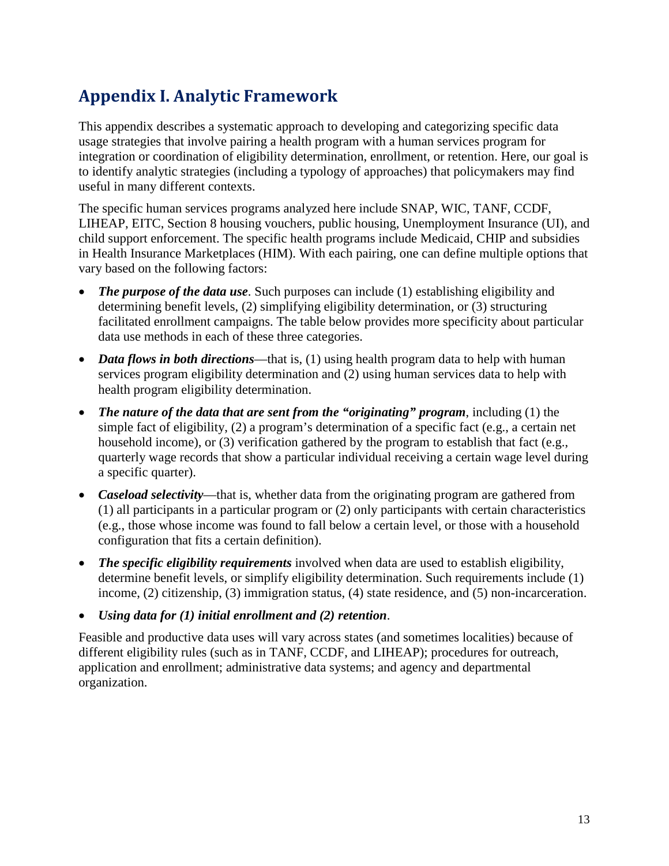# <span id="page-14-0"></span>**Appendix I. Analytic Framework**

This appendix describes a systematic approach to developing and categorizing specific data usage strategies that involve pairing a health program with a human services program for integration or coordination of eligibility determination, enrollment, or retention. Here, our goal is to identify analytic strategies (including a typology of approaches) that policymakers may find useful in many different contexts.

The specific human services programs analyzed here include SNAP, WIC, TANF, CCDF, LIHEAP, EITC, Section 8 housing vouchers, public housing, Unemployment Insurance (UI), and child support enforcement. The specific health programs include Medicaid, CHIP and subsidies in Health Insurance Marketplaces (HIM). With each pairing, one can define multiple options that vary based on the following factors:

- *The purpose of the data use.* Such purposes can include (1) establishing eligibility and determining benefit levels, (2) simplifying eligibility determination, or (3) structuring facilitated enrollment campaigns. The table below provides more specificity about particular data use methods in each of these three categories.
- *Data flows in both directions*—that is, (1) using health program data to help with human services program eligibility determination and (2) using human services data to help with health program eligibility determination.
- *The nature of the data that are sent from the "originating" program*, including (1) the simple fact of eligibility, (2) a program's determination of a specific fact (e.g., a certain net household income), or (3) verification gathered by the program to establish that fact (e.g., quarterly wage records that show a particular individual receiving a certain wage level during a specific quarter).
- *Caseload selectivity*—that is, whether data from the originating program are gathered from (1) all participants in a particular program or (2) only participants with certain characteristics (e.g., those whose income was found to fall below a certain level, or those with a household configuration that fits a certain definition).
- *The specific eligibility requirements* involved when data are used to establish eligibility, determine benefit levels, or simplify eligibility determination. Such requirements include (1) income, (2) citizenship, (3) immigration status, (4) state residence, and (5) non-incarceration.
- *Using data for (1) initial enrollment and (2) retention*.

Feasible and productive data uses will vary across states (and sometimes localities) because of different eligibility rules (such as in TANF, CCDF, and LIHEAP); procedures for outreach, application and enrollment; administrative data systems; and agency and departmental organization.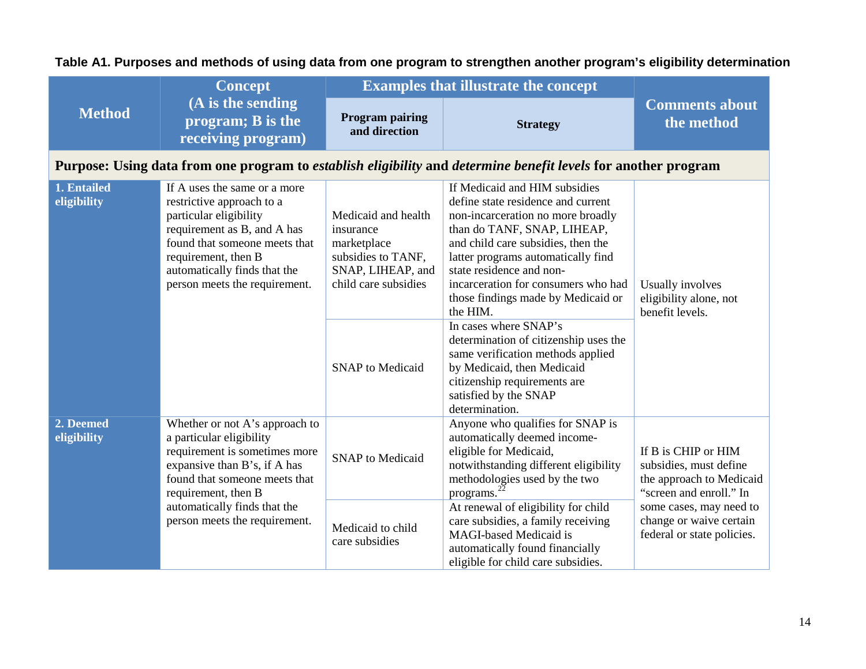**Table A1. Purposes and methods of using data from one program to strengthen another program's eligibility determination**

|                                                               | <b>Concept</b>                                                                                                                                                                                                                              | <b>Examples that illustrate the concept</b>                                                                        |                                                                                                                                                                                                                                                                                                                                          |                                                                                                      |
|---------------------------------------------------------------|---------------------------------------------------------------------------------------------------------------------------------------------------------------------------------------------------------------------------------------------|--------------------------------------------------------------------------------------------------------------------|------------------------------------------------------------------------------------------------------------------------------------------------------------------------------------------------------------------------------------------------------------------------------------------------------------------------------------------|------------------------------------------------------------------------------------------------------|
| <b>Method</b>                                                 | (A is the sending<br>program; B is the<br>receiving program)                                                                                                                                                                                | <b>Program pairing</b><br>and direction                                                                            | <b>Strategy</b>                                                                                                                                                                                                                                                                                                                          | <b>Comments about</b><br>the method                                                                  |
|                                                               |                                                                                                                                                                                                                                             |                                                                                                                    | Purpose: Using data from one program to <i>establish eligibility</i> and <i>determine benefit levels</i> for another program                                                                                                                                                                                                             |                                                                                                      |
| 1. Entailed<br>eligibility                                    | If A uses the same or a more<br>restrictive approach to a<br>particular eligibility<br>requirement as B, and A has<br>found that someone meets that<br>requirement, then B<br>automatically finds that the<br>person meets the requirement. | Medicaid and health<br>insurance<br>marketplace<br>subsidies to TANF,<br>SNAP, LIHEAP, and<br>child care subsidies | If Medicaid and HIM subsidies<br>define state residence and current<br>non-incarceration no more broadly<br>than do TANF, SNAP, LIHEAP,<br>and child care subsidies, then the<br>latter programs automatically find<br>state residence and non-<br>incarceration for consumers who had<br>those findings made by Medicaid or<br>the HIM. | Usually involves<br>eligibility alone, not<br>benefit levels.                                        |
|                                                               |                                                                                                                                                                                                                                             | <b>SNAP</b> to Medicaid                                                                                            | In cases where SNAP's<br>determination of citizenship uses the<br>same verification methods applied<br>by Medicaid, then Medicaid<br>citizenship requirements are<br>satisfied by the SNAP<br>determination.                                                                                                                             |                                                                                                      |
| 2. Deemed<br>eligibility                                      | Whether or not A's approach to<br>a particular eligibility<br>requirement is sometimes more<br>expansive than B's, if A has<br>found that someone meets that<br>requirement, then B                                                         | <b>SNAP</b> to Medicaid                                                                                            | Anyone who qualifies for SNAP is<br>automatically deemed income-<br>eligible for Medicaid,<br>notwithstanding different eligibility<br>methodologies used by the two<br>programs.                                                                                                                                                        | If B is CHIP or HIM<br>subsidies, must define<br>the approach to Medicaid<br>"screen and enroll." In |
| automatically finds that the<br>person meets the requirement. |                                                                                                                                                                                                                                             | Medicaid to child<br>care subsidies                                                                                | At renewal of eligibility for child<br>care subsidies, a family receiving<br><b>MAGI-based Medicaid is</b><br>automatically found financially<br>eligible for child care subsidies.                                                                                                                                                      | some cases, may need to<br>change or waive certain<br>federal or state policies.                     |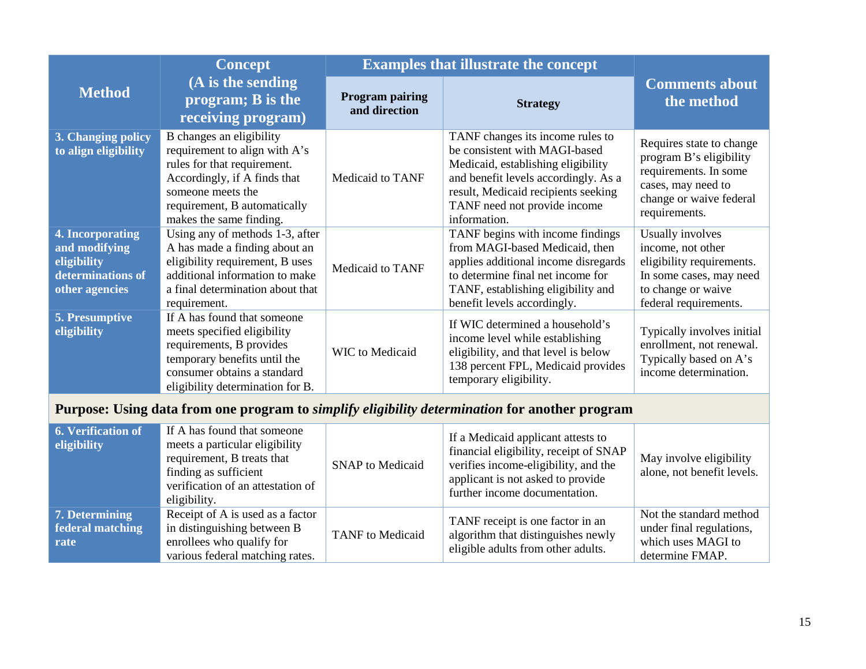|                                                                                         | <b>Concept</b>                                                                                                                                                                                           | <b>Examples that illustrate the concept</b> |                                                                                                                                                                                                                                        |                                                                                                                                                |
|-----------------------------------------------------------------------------------------|----------------------------------------------------------------------------------------------------------------------------------------------------------------------------------------------------------|---------------------------------------------|----------------------------------------------------------------------------------------------------------------------------------------------------------------------------------------------------------------------------------------|------------------------------------------------------------------------------------------------------------------------------------------------|
| <b>Method</b>                                                                           | (A is the sending<br>program; B is the<br>receiving program)                                                                                                                                             | <b>Program pairing</b><br>and direction     | <b>Strategy</b>                                                                                                                                                                                                                        | <b>Comments about</b><br>the method                                                                                                            |
| 3. Changing policy<br>to align eligibility                                              | B changes an eligibility<br>requirement to align with A's<br>rules for that requirement.<br>Accordingly, if A finds that<br>someone meets the<br>requirement, B automatically<br>makes the same finding. | Medicaid to TANF                            | TANF changes its income rules to<br>be consistent with MAGI-based<br>Medicaid, establishing eligibility<br>and benefit levels accordingly. As a<br>result, Medicaid recipients seeking<br>TANF need not provide income<br>information. | Requires state to change<br>program B's eligibility<br>requirements. In some<br>cases, may need to<br>change or waive federal<br>requirements. |
| 4. Incorporating<br>and modifying<br>eligibility<br>determinations of<br>other agencies | Using any of methods 1-3, after<br>A has made a finding about an<br>eligibility requirement, B uses<br>additional information to make<br>a final determination about that<br>requirement.                | Medicaid to TANF                            | TANF begins with income findings<br>from MAGI-based Medicaid, then<br>applies additional income disregards<br>to determine final net income for<br>TANF, establishing eligibility and<br>benefit levels accordingly.                   | Usually involves<br>income, not other<br>eligibility requirements.<br>In some cases, may need<br>to change or waive<br>federal requirements.   |
| 5. Presumptive<br>eligibility                                                           | If A has found that someone<br>meets specified eligibility<br>requirements, B provides<br>temporary benefits until the<br>consumer obtains a standard<br>eligibility determination for B.                | <b>WIC</b> to Medicaid                      | If WIC determined a household's<br>income level while establishing<br>eligibility, and that level is below<br>138 percent FPL, Medicaid provides<br>temporary eligibility.                                                             | Typically involves initial<br>enrollment, not renewal.<br>Typically based on A's<br>income determination.                                      |

# **Purpose: Using data from one program to** *simplify eligibility determination* **for another program**

| 6. Verification of<br>eligibility          | If A has found that someone<br>meets a particular eligibility<br>requirement, B treats that<br>finding as sufficient<br>verification of an attestation of<br>eligibility. | <b>SNAP</b> to Medicaid | If a Medicaid applicant attests to<br>financial eligibility, receipt of SNAP<br>verifies income-eligibility, and the<br>applicant is not asked to provide<br>further income documentation. | May involve eligibility<br>alone, not benefit levels.                                        |
|--------------------------------------------|---------------------------------------------------------------------------------------------------------------------------------------------------------------------------|-------------------------|--------------------------------------------------------------------------------------------------------------------------------------------------------------------------------------------|----------------------------------------------------------------------------------------------|
| 7. Determining<br>federal matching<br>rate | Receipt of A is used as a factor<br>in distinguishing between B<br>enrollees who qualify for<br>various federal matching rates.                                           | <b>TANF</b> to Medicaid | TANF receipt is one factor in an<br>algorithm that distinguishes newly<br>eligible adults from other adults.                                                                               | Not the standard method<br>under final regulations,<br>which uses MAGI to<br>determine FMAP. |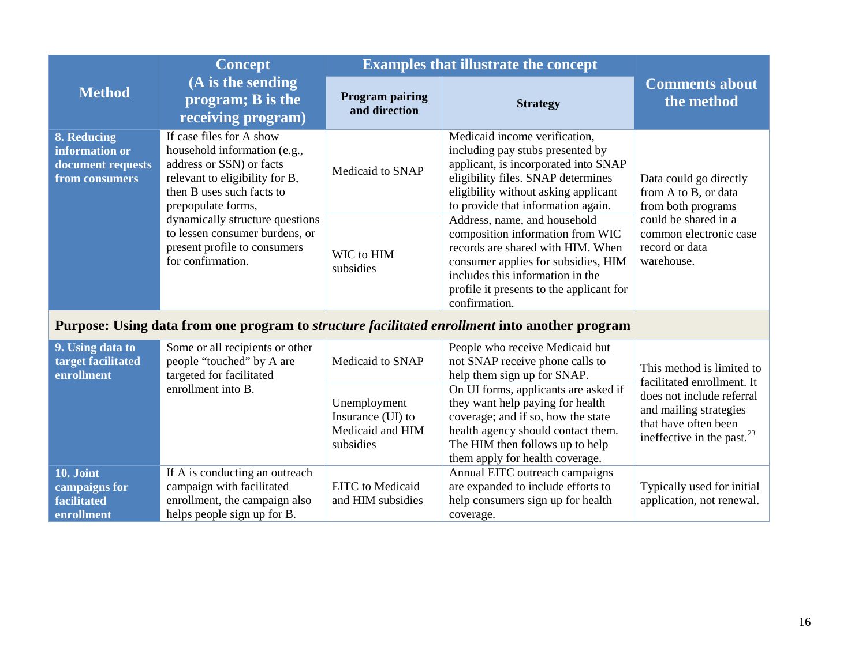|                                                                                                      | <b>Concept</b>                                                                                                                                                                                                                                                                                      | <b>Examples that illustrate the concept</b> |                                                                                                                                                                                                                                                                                                                                                                                                                                                                                |                                                                                                                                                        |
|------------------------------------------------------------------------------------------------------|-----------------------------------------------------------------------------------------------------------------------------------------------------------------------------------------------------------------------------------------------------------------------------------------------------|---------------------------------------------|--------------------------------------------------------------------------------------------------------------------------------------------------------------------------------------------------------------------------------------------------------------------------------------------------------------------------------------------------------------------------------------------------------------------------------------------------------------------------------|--------------------------------------------------------------------------------------------------------------------------------------------------------|
| <b>Method</b>                                                                                        | (A is the sending<br>program; B is the<br>receiving program)                                                                                                                                                                                                                                        | <b>Program pairing</b><br>and direction     | <b>Strategy</b>                                                                                                                                                                                                                                                                                                                                                                                                                                                                | <b>Comments about</b><br>the method                                                                                                                    |
| 8. Reducing<br>information or<br>document requests<br>from consumers                                 | If case files for A show<br>household information (e.g.,<br>address or SSN) or facts<br>relevant to eligibility for B,<br>then B uses such facts to<br>prepopulate forms,<br>dynamically structure questions<br>to lessen consumer burdens, or<br>present profile to consumers<br>for confirmation. | Medicaid to SNAP<br>WIC to HIM<br>subsidies | Medicaid income verification,<br>including pay stubs presented by<br>applicant, is incorporated into SNAP<br>eligibility files. SNAP determines<br>eligibility without asking applicant<br>to provide that information again.<br>Address, name, and household<br>composition information from WIC<br>records are shared with HIM. When<br>consumer applies for subsidies, HIM<br>includes this information in the<br>profile it presents to the applicant for<br>confirmation. | Data could go directly<br>from A to B, or data<br>from both programs<br>could be shared in a<br>common electronic case<br>record or data<br>warehouse. |
| Purpose: Using data from one program to <i>structure facilitated enrollment</i> into another program |                                                                                                                                                                                                                                                                                                     |                                             |                                                                                                                                                                                                                                                                                                                                                                                                                                                                                |                                                                                                                                                        |
| 9. Using data to<br>target facilitated<br>enrollment                                                 | Some or all recipients or other<br>people "touched" by A are<br>targeted for facilitated<br>enrollment into B.                                                                                                                                                                                      | Medicaid to SNAP                            | People who receive Medicaid but<br>not SNAP receive phone calls to<br>help them sign up for SNAP.<br>On UI forms, applicants are asked if                                                                                                                                                                                                                                                                                                                                      | This method is limited to<br>facilitated enrollment. It<br>does not include referral                                                                   |
|                                                                                                      |                                                                                                                                                                                                                                                                                                     | Unemployment                                | they want help paying for health                                                                                                                                                                                                                                                                                                                                                                                                                                               |                                                                                                                                                        |

Insurance (UI) to Medicaid and HIM

EITC to Medicaid and HIM subsidies coverage; and if so, how the state health agency should contact them. The HIM then follows up to help them apply for health coverage.

Annual EITC outreach campaigns are expanded to include efforts to help consumers sign up for health

coverage.

subsidies

If A is conducting an outreach campaign with facilitated enrollment, the campaign also helps people sign up for B.

**10. Joint campaigns for facilitated enrollment**

and mailing strategies that have often been ineffective in the past.<sup>[23](#page-52-19)</sup>

Typically used for initial application, not renewal.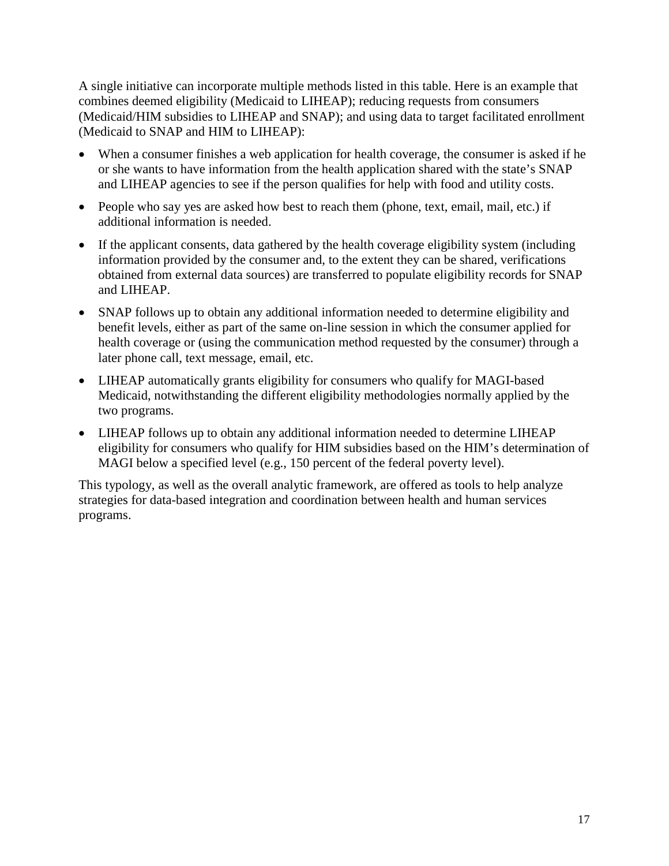A single initiative can incorporate multiple methods listed in this table. Here is an example that combines deemed eligibility (Medicaid to LIHEAP); reducing requests from consumers (Medicaid/HIM subsidies to LIHEAP and SNAP); and using data to target facilitated enrollment (Medicaid to SNAP and HIM to LIHEAP):

- When a consumer finishes a web application for health coverage, the consumer is asked if he or she wants to have information from the health application shared with the state's SNAP and LIHEAP agencies to see if the person qualifies for help with food and utility costs.
- People who say yes are asked how best to reach them (phone, text, email, mail, etc.) if additional information is needed.
- If the applicant consents, data gathered by the health coverage eligibility system (including information provided by the consumer and, to the extent they can be shared, verifications obtained from external data sources) are transferred to populate eligibility records for SNAP and LIHEAP.
- SNAP follows up to obtain any additional information needed to determine eligibility and benefit levels, either as part of the same on-line session in which the consumer applied for health coverage or (using the communication method requested by the consumer) through a later phone call, text message, email, etc.
- LIHEAP automatically grants eligibility for consumers who qualify for MAGI-based Medicaid, notwithstanding the different eligibility methodologies normally applied by the two programs.
- LIHEAP follows up to obtain any additional information needed to determine LIHEAP eligibility for consumers who qualify for HIM subsidies based on the HIM's determination of MAGI below a specified level (e.g., 150 percent of the federal poverty level).

This typology, as well as the overall analytic framework, are offered as tools to help analyze strategies for data-based integration and coordination between health and human services programs.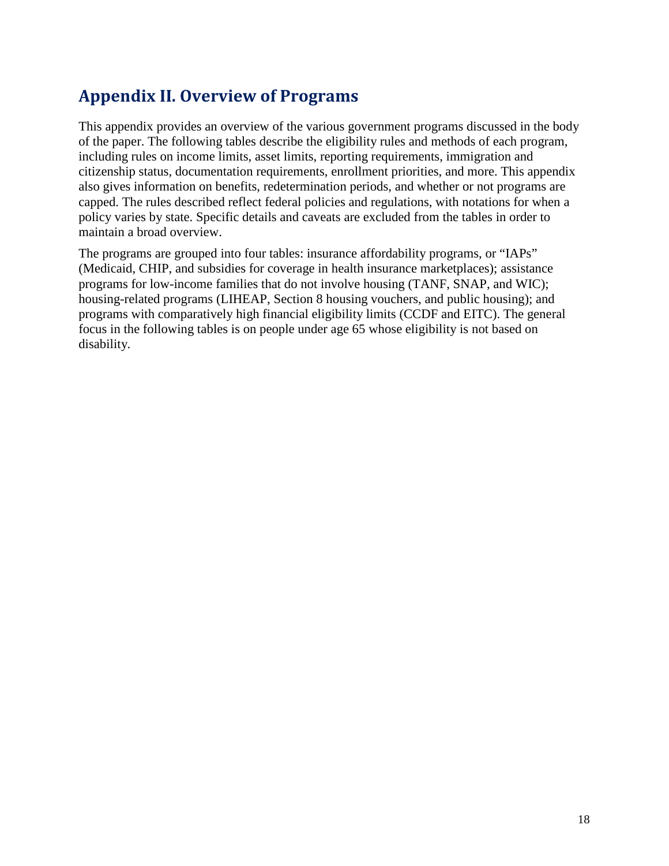# <span id="page-19-0"></span>**Appendix II. Overview of Programs**

This appendix provides an overview of the various government programs discussed in the body of the paper. The following tables describe the eligibility rules and methods of each program, including rules on income limits, asset limits, reporting requirements, immigration and citizenship status, documentation requirements, enrollment priorities, and more. This appendix also gives information on benefits, redetermination periods, and whether or not programs are capped. The rules described reflect federal policies and regulations, with notations for when a policy varies by state. Specific details and caveats are excluded from the tables in order to maintain a broad overview.

The programs are grouped into four tables: insurance affordability programs, or "IAPs" (Medicaid, CHIP, and subsidies for coverage in health insurance marketplaces); assistance programs for low-income families that do not involve housing (TANF, SNAP, and WIC); housing-related programs (LIHEAP, Section 8 housing vouchers, and public housing); and programs with comparatively high financial eligibility limits (CCDF and EITC). The general focus in the following tables is on people under age 65 whose eligibility is not based on disability.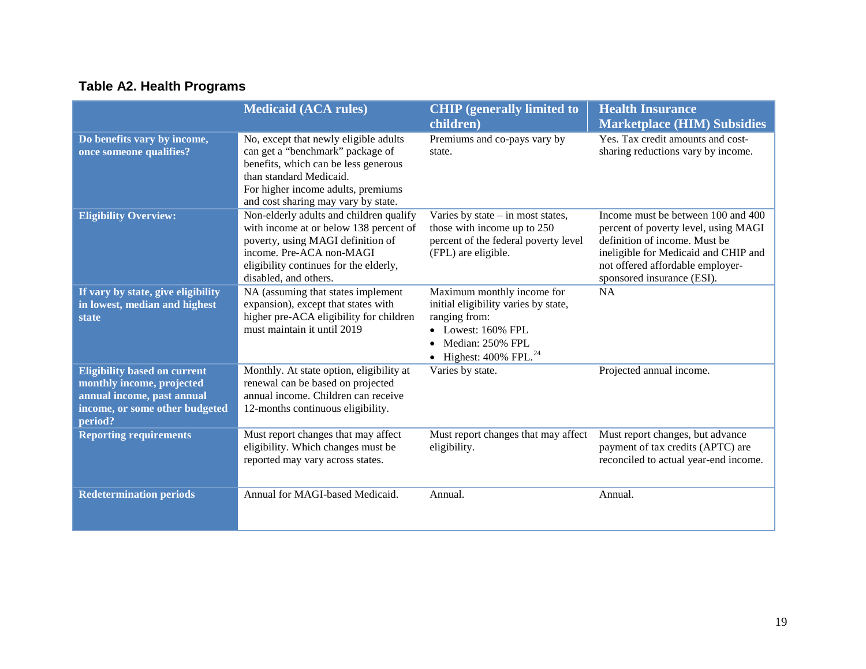# **Table A2. Health Programs**

|                                                                                                                                             | <b>Medicaid (ACA rules)</b>                                                                                                                                                                                               | <b>CHIP</b> (generally limited to<br>children)                                                                                                                   | <b>Health Insurance</b><br><b>Marketplace (HIM) Subsidies</b>                                                                                                                                                         |
|---------------------------------------------------------------------------------------------------------------------------------------------|---------------------------------------------------------------------------------------------------------------------------------------------------------------------------------------------------------------------------|------------------------------------------------------------------------------------------------------------------------------------------------------------------|-----------------------------------------------------------------------------------------------------------------------------------------------------------------------------------------------------------------------|
| Do benefits vary by income,<br>once someone qualifies?                                                                                      | No, except that newly eligible adults<br>can get a "benchmark" package of<br>benefits, which can be less generous<br>than standard Medicaid.<br>For higher income adults, premiums<br>and cost sharing may vary by state. | Premiums and co-pays vary by<br>state.                                                                                                                           | Yes. Tax credit amounts and cost-<br>sharing reductions vary by income.                                                                                                                                               |
| <b>Eligibility Overview:</b>                                                                                                                | Non-elderly adults and children qualify<br>with income at or below 138 percent of<br>poverty, using MAGI definition of<br>income. Pre-ACA non-MAGI<br>eligibility continues for the elderly,<br>disabled, and others.     | Varies by state $-$ in most states,<br>those with income up to 250<br>percent of the federal poverty level<br>(FPL) are eligible.                                | Income must be between 100 and 400<br>percent of poverty level, using MAGI<br>definition of income. Must be<br>ineligible for Medicaid and CHIP and<br>not offered affordable employer-<br>sponsored insurance (ESI). |
| If vary by state, give eligibility<br>in lowest, median and highest<br>state                                                                | NA (assuming that states implement<br>expansion), except that states with<br>higher pre-ACA eligibility for children<br>must maintain it until 2019                                                                       | Maximum monthly income for<br>initial eligibility varies by state,<br>ranging from:<br>• Lowest: 160% FPL<br>Median: 250% FPL<br>• Highest: $400\%$ FPL. $^{24}$ | <b>NA</b>                                                                                                                                                                                                             |
| <b>Eligibility based on current</b><br>monthly income, projected<br>annual income, past annual<br>income, or some other budgeted<br>period? | Monthly. At state option, eligibility at<br>renewal can be based on projected<br>annual income. Children can receive<br>12-months continuous eligibility.                                                                 | Varies by state.                                                                                                                                                 | Projected annual income.                                                                                                                                                                                              |
| <b>Reporting requirements</b>                                                                                                               | Must report changes that may affect<br>eligibility. Which changes must be<br>reported may vary across states.                                                                                                             | Must report changes that may affect<br>eligibility.                                                                                                              | Must report changes, but advance<br>payment of tax credits (APTC) are<br>reconciled to actual year-end income.                                                                                                        |
| <b>Redetermination periods</b>                                                                                                              | Annual for MAGI-based Medicaid.                                                                                                                                                                                           | Annual.                                                                                                                                                          | Annual.                                                                                                                                                                                                               |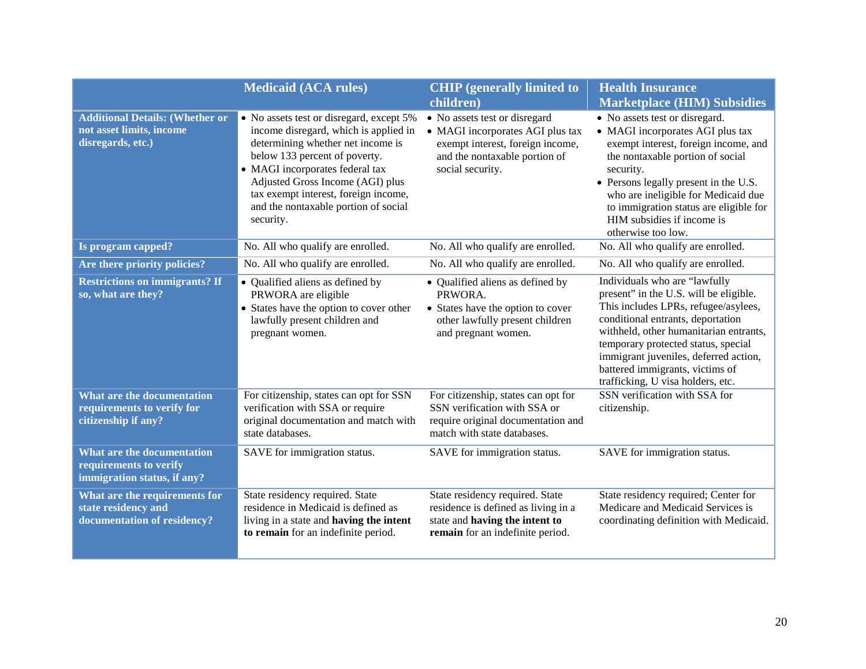|                                                                                         | <b>Medicaid (ACA rules)</b>                                                                                                                                                                                                                                                                                                 | <b>CHIP</b> (generally limited to<br>children)                                                                                                             | <b>Health Insurance</b><br><b>Marketplace (HIM) Subsidies</b>                                                                                                                                                                                                                                                                                          |
|-----------------------------------------------------------------------------------------|-----------------------------------------------------------------------------------------------------------------------------------------------------------------------------------------------------------------------------------------------------------------------------------------------------------------------------|------------------------------------------------------------------------------------------------------------------------------------------------------------|--------------------------------------------------------------------------------------------------------------------------------------------------------------------------------------------------------------------------------------------------------------------------------------------------------------------------------------------------------|
| <b>Additional Details: (Whether or</b><br>not asset limits, income<br>disregards, etc.) | • No assets test or disregard, except 5%<br>income disregard, which is applied in<br>determining whether net income is<br>below 133 percent of poverty.<br>• MAGI incorporates federal tax<br>Adjusted Gross Income (AGI) plus<br>tax exempt interest, foreign income,<br>and the nontaxable portion of social<br>security. | • No assets test or disregard<br>• MAGI incorporates AGI plus tax<br>exempt interest, foreign income,<br>and the nontaxable portion of<br>social security. | • No assets test or disregard.<br>• MAGI incorporates AGI plus tax<br>exempt interest, foreign income, and<br>the nontaxable portion of social<br>security.<br>• Persons legally present in the U.S.<br>who are ineligible for Medicaid due<br>to immigration status are eligible for<br>HIM subsidies if income is<br>otherwise too low.              |
| Is program capped?                                                                      | No. All who qualify are enrolled.                                                                                                                                                                                                                                                                                           | No. All who qualify are enrolled.                                                                                                                          | No. All who qualify are enrolled.                                                                                                                                                                                                                                                                                                                      |
| Are there priority policies?                                                            | No. All who qualify are enrolled.                                                                                                                                                                                                                                                                                           | No. All who qualify are enrolled.                                                                                                                          | No. All who qualify are enrolled.                                                                                                                                                                                                                                                                                                                      |
| <b>Restrictions on immigrants? If</b><br>so, what are they?                             | • Qualified aliens as defined by<br>PRWORA are eligible<br>• States have the option to cover other<br>lawfully present children and<br>pregnant women.                                                                                                                                                                      | • Qualified aliens as defined by<br>PRWORA.<br>• States have the option to cover<br>other lawfully present children<br>and pregnant women.                 | Individuals who are "lawfully<br>present" in the U.S. will be eligible.<br>This includes LPRs, refugee/asylees,<br>conditional entrants, deportation<br>withheld, other humanitarian entrants,<br>temporary protected status, special<br>immigrant juveniles, deferred action,<br>battered immigrants, victims of<br>trafficking, U visa holders, etc. |
| What are the documentation<br>requirements to verify for<br>citizenship if any?         | For citizenship, states can opt for SSN<br>verification with SSA or require<br>original documentation and match with<br>state databases.                                                                                                                                                                                    | For citizenship, states can opt for<br>SSN verification with SSA or<br>require original documentation and<br>match with state databases.                   | SSN verification with SSA for<br>citizenship.                                                                                                                                                                                                                                                                                                          |
| What are the documentation<br>requirements to verify<br>immigration status, if any?     | SAVE for immigration status.                                                                                                                                                                                                                                                                                                | SAVE for immigration status.                                                                                                                               | SAVE for immigration status.                                                                                                                                                                                                                                                                                                                           |
| What are the requirements for<br>state residency and<br>documentation of residency?     | State residency required. State<br>residence in Medicaid is defined as<br>living in a state and having the intent<br>to remain for an indefinite period.                                                                                                                                                                    | State residency required. State<br>residence is defined as living in a<br>state and having the intent to<br>remain for an indefinite period.               | State residency required; Center for<br>Medicare and Medicaid Services is<br>coordinating definition with Medicaid.                                                                                                                                                                                                                                    |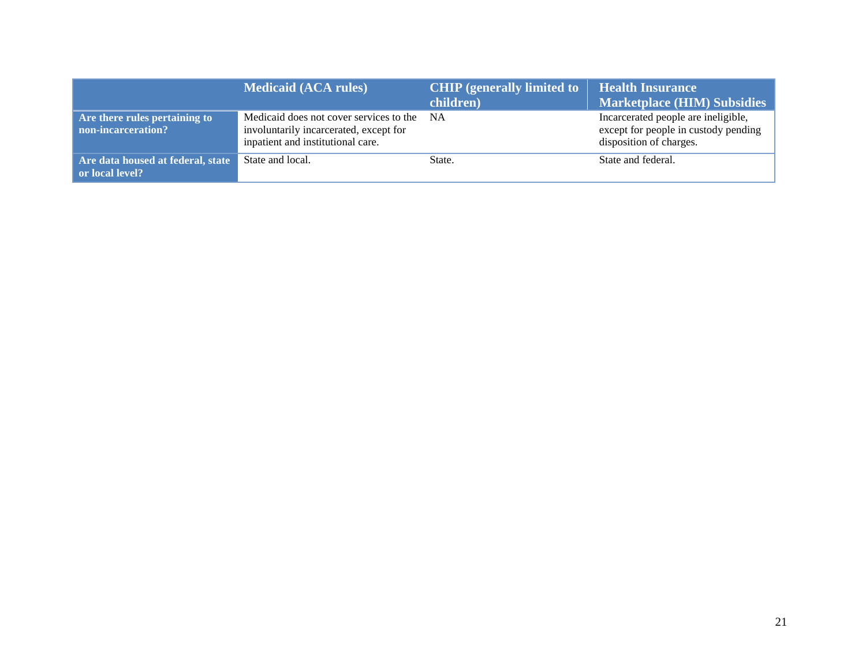|                                                      | <b>Medicaid (ACA rules)</b>                                                                                            | <b>CHIP</b> (generally limited to<br>children) | <b>Health Insurance</b><br><b>Marketplace (HIM) Subsidies</b>                                          |
|------------------------------------------------------|------------------------------------------------------------------------------------------------------------------------|------------------------------------------------|--------------------------------------------------------------------------------------------------------|
| Are there rules pertaining to<br>non-incarceration?  | Medicaid does not cover services to the<br>involuntarily incarcerated, except for<br>inpatient and institutional care. | NA.                                            | Incarcerated people are ineligible,<br>except for people in custody pending<br>disposition of charges. |
| Are data housed at federal, state<br>or local level? | State and local.                                                                                                       | State.                                         | State and federal.                                                                                     |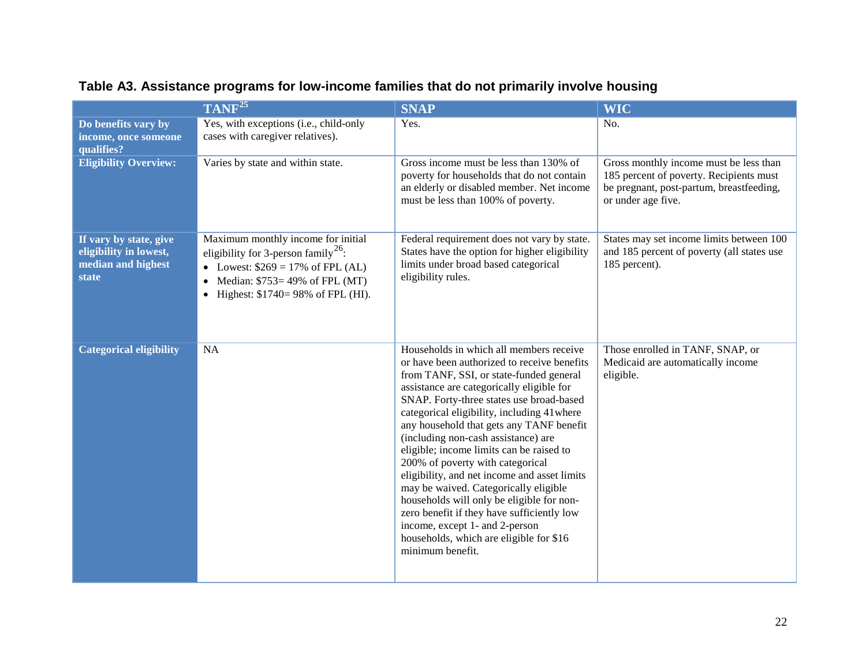|                                                                                        | $TANF^{25}$                                                                                                                                                                                                         | <b>SNAP</b>                                                                                                                                                                                                                                                                                                                                                                                                                                                                                                                                                                                                                                                                                                                       | <b>WIC</b>                                                                                                                                          |
|----------------------------------------------------------------------------------------|---------------------------------------------------------------------------------------------------------------------------------------------------------------------------------------------------------------------|-----------------------------------------------------------------------------------------------------------------------------------------------------------------------------------------------------------------------------------------------------------------------------------------------------------------------------------------------------------------------------------------------------------------------------------------------------------------------------------------------------------------------------------------------------------------------------------------------------------------------------------------------------------------------------------------------------------------------------------|-----------------------------------------------------------------------------------------------------------------------------------------------------|
| Do benefits vary by<br>income, once someone<br>qualifies?                              | Yes, with exceptions (i.e., child-only<br>cases with caregiver relatives).                                                                                                                                          | Yes.                                                                                                                                                                                                                                                                                                                                                                                                                                                                                                                                                                                                                                                                                                                              | No.                                                                                                                                                 |
| <b>Eligibility Overview:</b>                                                           | Varies by state and within state.                                                                                                                                                                                   | Gross income must be less than 130% of<br>poverty for households that do not contain<br>an elderly or disabled member. Net income<br>must be less than 100% of poverty.                                                                                                                                                                                                                                                                                                                                                                                                                                                                                                                                                           | Gross monthly income must be less than<br>185 percent of poverty. Recipients must<br>be pregnant, post-partum, breastfeeding,<br>or under age five. |
| If vary by state, give<br>eligibility in lowest,<br>median and highest<br><b>state</b> | Maximum monthly income for initial<br>eligibility for 3-person family <sup>26</sup> :<br>• Lowest: $$269 = 17\% \text{ of FPL (AL)}$<br>• Median: $$753=49\%$ of FPL (MT)<br>• Highest: $$1740 = 98\%$ of FPL (HI). | Federal requirement does not vary by state.<br>States have the option for higher eligibility<br>limits under broad based categorical<br>eligibility rules.                                                                                                                                                                                                                                                                                                                                                                                                                                                                                                                                                                        | States may set income limits between 100<br>and 185 percent of poverty (all states use<br>185 percent).                                             |
| <b>Categorical eligibility</b>                                                         | NA                                                                                                                                                                                                                  | Households in which all members receive<br>or have been authorized to receive benefits<br>from TANF, SSI, or state-funded general<br>assistance are categorically eligible for<br>SNAP. Forty-three states use broad-based<br>categorical eligibility, including 41 where<br>any household that gets any TANF benefit<br>(including non-cash assistance) are<br>eligible; income limits can be raised to<br>200% of poverty with categorical<br>eligibility, and net income and asset limits<br>may be waived. Categorically eligible<br>households will only be eligible for non-<br>zero benefit if they have sufficiently low<br>income, except 1- and 2-person<br>households, which are eligible for \$16<br>minimum benefit. | Those enrolled in TANF, SNAP, or<br>Medicaid are automatically income<br>eligible.                                                                  |

## **Table A3. Assistance programs for low-income families that do not primarily involve housing**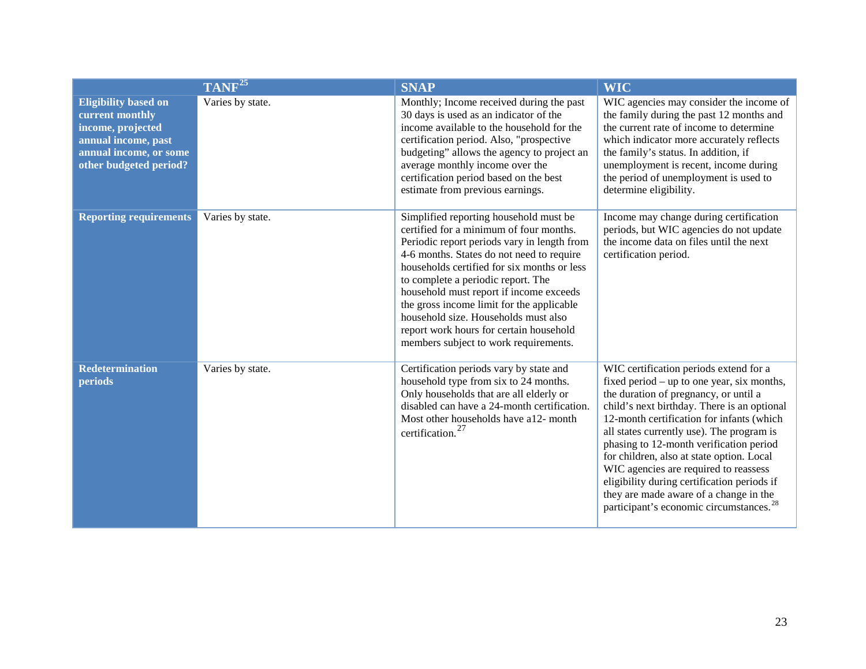|                                                                                                                                                | TANF <sup>25</sup> | <b>SNAP</b>                                                                                                                                                                                                                                                                                                                                                                                                                                                                            | <b>WIC</b>                                                                                                                                                                                                                                                                                                                                                                                                                                                                                                                                              |
|------------------------------------------------------------------------------------------------------------------------------------------------|--------------------|----------------------------------------------------------------------------------------------------------------------------------------------------------------------------------------------------------------------------------------------------------------------------------------------------------------------------------------------------------------------------------------------------------------------------------------------------------------------------------------|---------------------------------------------------------------------------------------------------------------------------------------------------------------------------------------------------------------------------------------------------------------------------------------------------------------------------------------------------------------------------------------------------------------------------------------------------------------------------------------------------------------------------------------------------------|
| <b>Eligibility based on</b><br>current monthly<br>income, projected<br>annual income, past<br>annual income, or some<br>other budgeted period? | Varies by state.   | Monthly; Income received during the past<br>30 days is used as an indicator of the<br>income available to the household for the<br>certification period. Also, "prospective<br>budgeting" allows the agency to project an<br>average monthly income over the<br>certification period based on the best<br>estimate from previous earnings.                                                                                                                                             | WIC agencies may consider the income of<br>the family during the past 12 months and<br>the current rate of income to determine<br>which indicator more accurately reflects<br>the family's status. In addition, if<br>unemployment is recent, income during<br>the period of unemployment is used to<br>determine eligibility.                                                                                                                                                                                                                          |
| <b>Reporting requirements</b>                                                                                                                  | Varies by state.   | Simplified reporting household must be<br>certified for a minimum of four months.<br>Periodic report periods vary in length from<br>4-6 months. States do not need to require<br>households certified for six months or less<br>to complete a periodic report. The<br>household must report if income exceeds<br>the gross income limit for the applicable<br>household size. Households must also<br>report work hours for certain household<br>members subject to work requirements. | Income may change during certification<br>periods, but WIC agencies do not update<br>the income data on files until the next<br>certification period.                                                                                                                                                                                                                                                                                                                                                                                                   |
| <b>Redetermination</b><br>periods                                                                                                              | Varies by state.   | Certification periods vary by state and<br>household type from six to 24 months.<br>Only households that are all elderly or<br>disabled can have a 24-month certification.<br>Most other households have a12- month<br>certification. <sup>27</sup>                                                                                                                                                                                                                                    | WIC certification periods extend for a<br>fixed period – up to one year, six months,<br>the duration of pregnancy, or until a<br>child's next birthday. There is an optional<br>12-month certification for infants (which<br>all states currently use). The program is<br>phasing to 12-month verification period<br>for children, also at state option. Local<br>WIC agencies are required to reassess<br>eligibility during certification periods if<br>they are made aware of a change in the<br>participant's economic circumstances. <sup>28</sup> |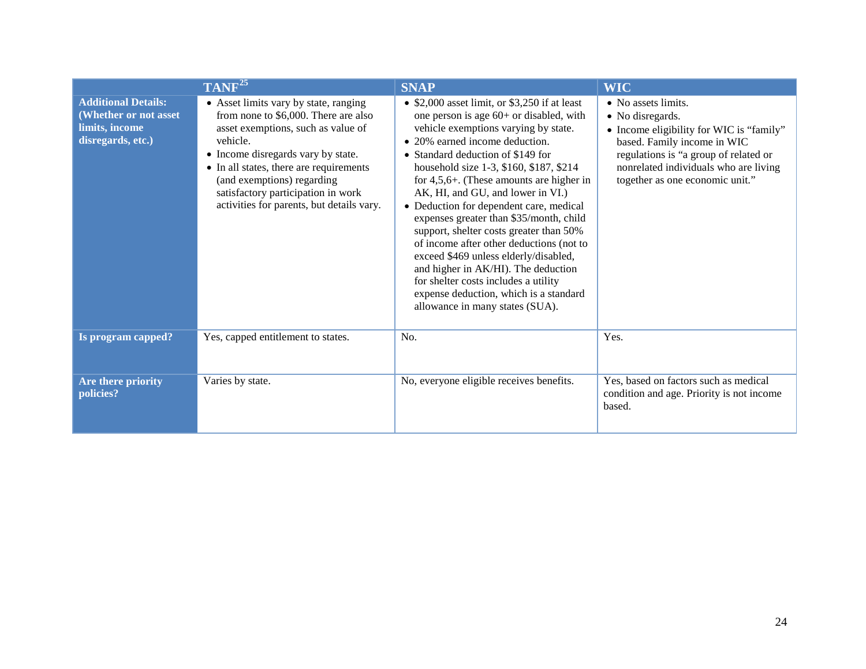|                                                                                            | TANF <sup>25</sup>                                                                                                                                                                                                                                                                                                                | <b>SNAP</b>                                                                                                                                                                                                                                                                                                                                                                                                                                                                                                                                                                                                                                                                                                                | <b>WIC</b>                                                                                                                                                                                                                              |
|--------------------------------------------------------------------------------------------|-----------------------------------------------------------------------------------------------------------------------------------------------------------------------------------------------------------------------------------------------------------------------------------------------------------------------------------|----------------------------------------------------------------------------------------------------------------------------------------------------------------------------------------------------------------------------------------------------------------------------------------------------------------------------------------------------------------------------------------------------------------------------------------------------------------------------------------------------------------------------------------------------------------------------------------------------------------------------------------------------------------------------------------------------------------------------|-----------------------------------------------------------------------------------------------------------------------------------------------------------------------------------------------------------------------------------------|
| <b>Additional Details:</b><br>(Whether or not asset<br>limits, income<br>disregards, etc.) | • Asset limits vary by state, ranging<br>from none to \$6,000. There are also<br>asset exemptions, such as value of<br>vehicle.<br>• Income disregards vary by state.<br>• In all states, there are requirements<br>(and exemptions) regarding<br>satisfactory participation in work<br>activities for parents, but details vary. | • \$2,000 asset limit, or \$3,250 if at least<br>one person is age $60+$ or disabled, with<br>vehicle exemptions varying by state.<br>• 20% earned income deduction.<br>• Standard deduction of \$149 for<br>household size 1-3, \$160, \$187, \$214<br>for $4,5,6+$ . (These amounts are higher in<br>AK, HI, and GU, and lower in VI.)<br>• Deduction for dependent care, medical<br>expenses greater than \$35/month, child<br>support, shelter costs greater than 50%<br>of income after other deductions (not to<br>exceed \$469 unless elderly/disabled,<br>and higher in AK/HI). The deduction<br>for shelter costs includes a utility<br>expense deduction, which is a standard<br>allowance in many states (SUA). | • No assets limits.<br>• No disregards.<br>• Income eligibility for WIC is "family"<br>based. Family income in WIC<br>regulations is "a group of related or<br>nonrelated individuals who are living<br>together as one economic unit." |
| Is program capped?                                                                         | Yes, capped entitlement to states.                                                                                                                                                                                                                                                                                                | No.                                                                                                                                                                                                                                                                                                                                                                                                                                                                                                                                                                                                                                                                                                                        | Yes.                                                                                                                                                                                                                                    |
| Are there priority<br>policies?                                                            | Varies by state.                                                                                                                                                                                                                                                                                                                  | No, everyone eligible receives benefits.                                                                                                                                                                                                                                                                                                                                                                                                                                                                                                                                                                                                                                                                                   | Yes, based on factors such as medical<br>condition and age. Priority is not income<br>based.                                                                                                                                            |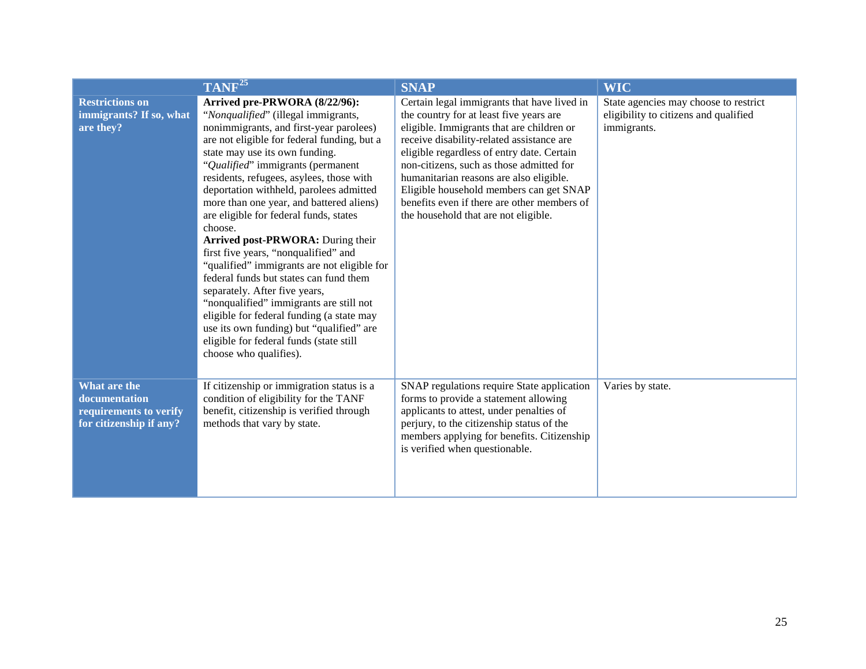|                                                                                    | TANF <sup>25</sup>                                                                                                                                                                                                                                                                                                                                                                                                                                                                                                                                                                                                                                                                                                                                                                                                                            | <b>SNAP</b>                                                                                                                                                                                                                                                                                                                                                                                                                                             | <b>WIC</b>                                                                                    |
|------------------------------------------------------------------------------------|-----------------------------------------------------------------------------------------------------------------------------------------------------------------------------------------------------------------------------------------------------------------------------------------------------------------------------------------------------------------------------------------------------------------------------------------------------------------------------------------------------------------------------------------------------------------------------------------------------------------------------------------------------------------------------------------------------------------------------------------------------------------------------------------------------------------------------------------------|---------------------------------------------------------------------------------------------------------------------------------------------------------------------------------------------------------------------------------------------------------------------------------------------------------------------------------------------------------------------------------------------------------------------------------------------------------|-----------------------------------------------------------------------------------------------|
| <b>Restrictions on</b><br>immigrants? If so, what<br>are they?                     | Arrived pre-PRWORA (8/22/96):<br>"Nonqualified" (illegal immigrants,<br>nonimmigrants, and first-year parolees)<br>are not eligible for federal funding, but a<br>state may use its own funding.<br>"Qualified" immigrants (permanent<br>residents, refugees, asylees, those with<br>deportation withheld, parolees admitted<br>more than one year, and battered aliens)<br>are eligible for federal funds, states<br>choose.<br>Arrived post-PRWORA: During their<br>first five years, "nonqualified" and<br>"qualified" immigrants are not eligible for<br>federal funds but states can fund them<br>separately. After five years,<br>"nonqualified" immigrants are still not<br>eligible for federal funding (a state may<br>use its own funding) but "qualified" are<br>eligible for federal funds (state still<br>choose who qualifies). | Certain legal immigrants that have lived in<br>the country for at least five years are<br>eligible. Immigrants that are children or<br>receive disability-related assistance are<br>eligible regardless of entry date. Certain<br>non-citizens, such as those admitted for<br>humanitarian reasons are also eligible.<br>Eligible household members can get SNAP<br>benefits even if there are other members of<br>the household that are not eligible. | State agencies may choose to restrict<br>eligibility to citizens and qualified<br>immigrants. |
| What are the<br>documentation<br>requirements to verify<br>for citizenship if any? | If citizenship or immigration status is a<br>condition of eligibility for the TANF<br>benefit, citizenship is verified through<br>methods that vary by state.                                                                                                                                                                                                                                                                                                                                                                                                                                                                                                                                                                                                                                                                                 | SNAP regulations require State application<br>forms to provide a statement allowing<br>applicants to attest, under penalties of<br>perjury, to the citizenship status of the<br>members applying for benefits. Citizenship<br>is verified when questionable.                                                                                                                                                                                            | Varies by state.                                                                              |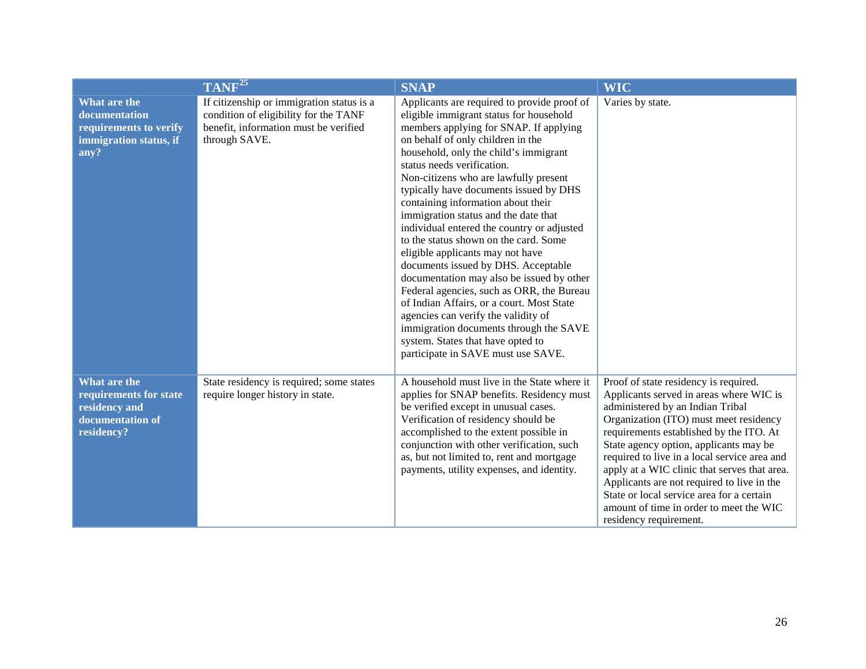|                                                                                           | TANF <sup>25</sup>                                                                                                                           | <b>SNAP</b>                                                                                                                                                                                                                                                                                                                                                                                                                                                                                                                                                                                                                                                                                                                                                                                                                                                                        | <b>WIC</b>                                                                                                                                                                                                                                                                                                                                                                                                                                                                                                          |
|-------------------------------------------------------------------------------------------|----------------------------------------------------------------------------------------------------------------------------------------------|------------------------------------------------------------------------------------------------------------------------------------------------------------------------------------------------------------------------------------------------------------------------------------------------------------------------------------------------------------------------------------------------------------------------------------------------------------------------------------------------------------------------------------------------------------------------------------------------------------------------------------------------------------------------------------------------------------------------------------------------------------------------------------------------------------------------------------------------------------------------------------|---------------------------------------------------------------------------------------------------------------------------------------------------------------------------------------------------------------------------------------------------------------------------------------------------------------------------------------------------------------------------------------------------------------------------------------------------------------------------------------------------------------------|
| What are the<br>documentation<br>requirements to verify<br>immigration status, if<br>any? | If citizenship or immigration status is a<br>condition of eligibility for the TANF<br>benefit, information must be verified<br>through SAVE. | Applicants are required to provide proof of<br>eligible immigrant status for household<br>members applying for SNAP. If applying<br>on behalf of only children in the<br>household, only the child's immigrant<br>status needs verification.<br>Non-citizens who are lawfully present<br>typically have documents issued by DHS<br>containing information about their<br>immigration status and the date that<br>individual entered the country or adjusted<br>to the status shown on the card. Some<br>eligible applicants may not have<br>documents issued by DHS. Acceptable<br>documentation may also be issued by other<br>Federal agencies, such as ORR, the Bureau<br>of Indian Affairs, or a court. Most State<br>agencies can verify the validity of<br>immigration documents through the SAVE<br>system. States that have opted to<br>participate in SAVE must use SAVE. | Varies by state.                                                                                                                                                                                                                                                                                                                                                                                                                                                                                                    |
| What are the<br>requirements for state<br>residency and<br>documentation of<br>residency? | State residency is required; some states<br>require longer history in state.                                                                 | A household must live in the State where it<br>applies for SNAP benefits. Residency must<br>be verified except in unusual cases.<br>Verification of residency should be<br>accomplished to the extent possible in<br>conjunction with other verification, such<br>as, but not limited to, rent and mortgage<br>payments, utility expenses, and identity.                                                                                                                                                                                                                                                                                                                                                                                                                                                                                                                           | Proof of state residency is required.<br>Applicants served in areas where WIC is<br>administered by an Indian Tribal<br>Organization (ITO) must meet residency<br>requirements established by the ITO. At<br>State agency option, applicants may be<br>required to live in a local service area and<br>apply at a WIC clinic that serves that area.<br>Applicants are not required to live in the<br>State or local service area for a certain<br>amount of time in order to meet the WIC<br>residency requirement. |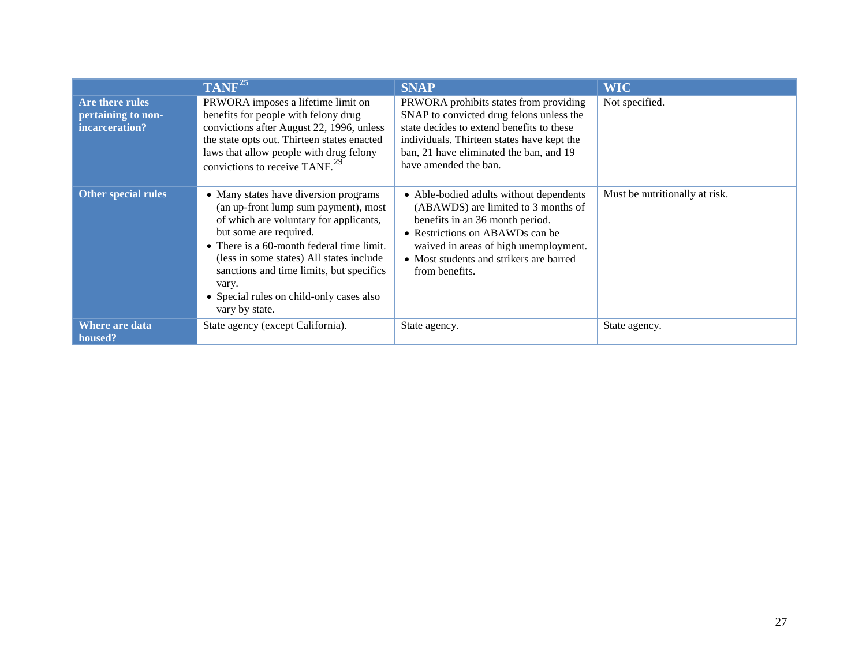|                                                         | TANF <sup>25</sup>                                                                                                                                                                                                                                                                                                                                            | <b>SNAP</b>                                                                                                                                                                                                                                                | <b>WIC</b>                     |
|---------------------------------------------------------|---------------------------------------------------------------------------------------------------------------------------------------------------------------------------------------------------------------------------------------------------------------------------------------------------------------------------------------------------------------|------------------------------------------------------------------------------------------------------------------------------------------------------------------------------------------------------------------------------------------------------------|--------------------------------|
| Are there rules<br>pertaining to non-<br>incarceration? | PRWORA imposes a lifetime limit on<br>benefits for people with felony drug<br>convictions after August 22, 1996, unless<br>the state opts out. Thirteen states enacted<br>laws that allow people with drug felony<br>convictions to receive TANF. $^{29}$                                                                                                     | PRWORA prohibits states from providing<br>SNAP to convicted drug felons unless the<br>state decides to extend benefits to these<br>individuals. Thirteen states have kept the<br>ban, 21 have eliminated the ban, and 19<br>have amended the ban.          | Not specified.                 |
| <b>Other special rules</b>                              | • Many states have diversion programs<br>(an up-front lump sum payment), most<br>of which are voluntary for applicants,<br>but some are required.<br>• There is a 60-month federal time limit.<br>(less in some states) All states include<br>sanctions and time limits, but specifics<br>vary.<br>• Special rules on child-only cases also<br>vary by state. | • Able-bodied adults without dependents<br>(ABAWDS) are limited to 3 months of<br>benefits in an 36 month period.<br>• Restrictions on ABAWDs can be<br>waived in areas of high unemployment.<br>• Most students and strikers are barred<br>from benefits. | Must be nutritionally at risk. |
| Where are data<br>housed?                               | State agency (except California).                                                                                                                                                                                                                                                                                                                             | State agency.                                                                                                                                                                                                                                              | State agency.                  |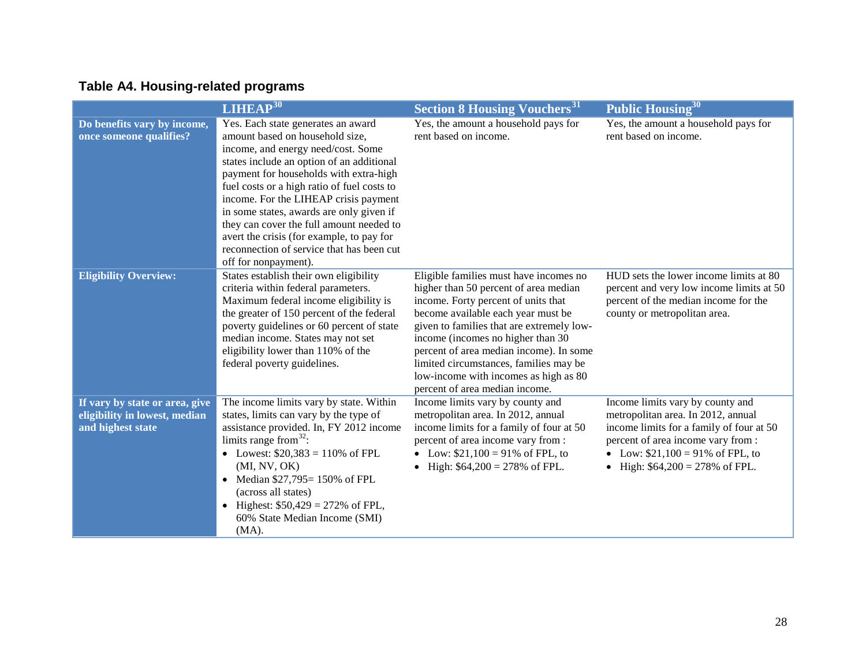# **Table A4. Housing-related programs**

|                                                                                      | LIHEAP <sup>30</sup>                                                                                                                                                                                                                                                                                                                                                                                                                                                                                 | <b>Section 8 Housing Vouchers</b> <sup>31</sup>                                                                                                                                                                                                                                                                                                                                                                | Public Housing <sup>30</sup>                                                                                                                                                                                                        |
|--------------------------------------------------------------------------------------|------------------------------------------------------------------------------------------------------------------------------------------------------------------------------------------------------------------------------------------------------------------------------------------------------------------------------------------------------------------------------------------------------------------------------------------------------------------------------------------------------|----------------------------------------------------------------------------------------------------------------------------------------------------------------------------------------------------------------------------------------------------------------------------------------------------------------------------------------------------------------------------------------------------------------|-------------------------------------------------------------------------------------------------------------------------------------------------------------------------------------------------------------------------------------|
| Do benefits vary by income,<br>once someone qualifies?                               | Yes. Each state generates an award<br>amount based on household size,<br>income, and energy need/cost. Some<br>states include an option of an additional<br>payment for households with extra-high<br>fuel costs or a high ratio of fuel costs to<br>income. For the LIHEAP crisis payment<br>in some states, awards are only given if<br>they can cover the full amount needed to<br>avert the crisis (for example, to pay for<br>reconnection of service that has been cut<br>off for nonpayment). | Yes, the amount a household pays for<br>rent based on income.                                                                                                                                                                                                                                                                                                                                                  | Yes, the amount a household pays for<br>rent based on income.                                                                                                                                                                       |
| <b>Eligibility Overview:</b>                                                         | States establish their own eligibility<br>criteria within federal parameters.<br>Maximum federal income eligibility is<br>the greater of 150 percent of the federal<br>poverty guidelines or 60 percent of state<br>median income. States may not set<br>eligibility lower than 110% of the<br>federal poverty guidelines.                                                                                                                                                                           | Eligible families must have incomes no<br>higher than 50 percent of area median<br>income. Forty percent of units that<br>become available each year must be<br>given to families that are extremely low-<br>income (incomes no higher than 30<br>percent of area median income). In some<br>limited circumstances, families may be<br>low-income with incomes as high as 80<br>percent of area median income. | HUD sets the lower income limits at 80<br>percent and very low income limits at 50<br>percent of the median income for the<br>county or metropolitan area.                                                                          |
| If vary by state or area, give<br>eligibility in lowest, median<br>and highest state | The income limits vary by state. Within<br>states, limits can vary by the type of<br>assistance provided. In, FY 2012 income<br>limits range from $32$ :<br>• Lowest: $$20,383 = 110\%$ of FPL<br>(MI, NV, OK)<br>Median \$27,795=150% of FPL<br>(across all states)<br>• Highest: $$50,429 = 272\%$ of FPL,<br>60% State Median Income (SMI)<br>$(MA)$ .                                                                                                                                            | Income limits vary by county and<br>metropolitan area. In 2012, annual<br>income limits for a family of four at 50<br>percent of area income vary from :<br>• Low: $$21,100 = 91\%$ of FPL, to<br>High: $$64,200 = 278\%$ of FPL.                                                                                                                                                                              | Income limits vary by county and<br>metropolitan area. In 2012, annual<br>income limits for a family of four at 50<br>percent of area income vary from :<br>• Low: $$21,100 = 91\%$ of FPL, to<br>• High: $$64,200 = 278\%$ of FPL. |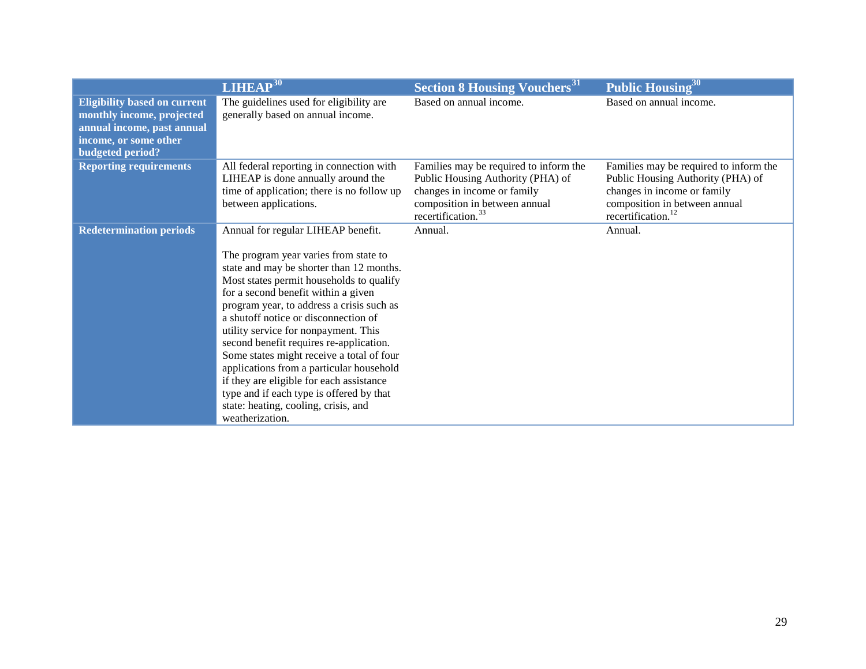|                                                                                                                                                    | LIHEAP <sup>30</sup>                                                                                                                                                                                                                                                                                                                                                                                                                                                                                                                                                                                                           | <b>Section 8 Housing Vouchers</b> <sup>31</sup>                                                                                                                               | Public Housing <sup>30</sup>                                                                                                                                                  |
|----------------------------------------------------------------------------------------------------------------------------------------------------|--------------------------------------------------------------------------------------------------------------------------------------------------------------------------------------------------------------------------------------------------------------------------------------------------------------------------------------------------------------------------------------------------------------------------------------------------------------------------------------------------------------------------------------------------------------------------------------------------------------------------------|-------------------------------------------------------------------------------------------------------------------------------------------------------------------------------|-------------------------------------------------------------------------------------------------------------------------------------------------------------------------------|
| <b>Eligibility based on current</b><br>monthly income, projected<br>annual income, past annual<br>income, or some other<br><b>budgeted period?</b> | The guidelines used for eligibility are<br>generally based on annual income.                                                                                                                                                                                                                                                                                                                                                                                                                                                                                                                                                   | Based on annual income.                                                                                                                                                       | Based on annual income.                                                                                                                                                       |
| <b>Reporting requirements</b>                                                                                                                      | All federal reporting in connection with<br>LIHEAP is done annually around the<br>time of application; there is no follow up<br>between applications.                                                                                                                                                                                                                                                                                                                                                                                                                                                                          | Families may be required to inform the<br>Public Housing Authority (PHA) of<br>changes in income or family<br>composition in between annual<br>recertification. <sup>33</sup> | Families may be required to inform the<br>Public Housing Authority (PHA) of<br>changes in income or family<br>composition in between annual<br>recertification. <sup>12</sup> |
| <b>Redetermination periods</b>                                                                                                                     | Annual for regular LIHEAP benefit.<br>The program year varies from state to<br>state and may be shorter than 12 months.<br>Most states permit households to qualify<br>for a second benefit within a given<br>program year, to address a crisis such as<br>a shutoff notice or disconnection of<br>utility service for nonpayment. This<br>second benefit requires re-application.<br>Some states might receive a total of four<br>applications from a particular household<br>if they are eligible for each assistance<br>type and if each type is offered by that<br>state: heating, cooling, crisis, and<br>weatherization. | Annual.                                                                                                                                                                       | Annual.                                                                                                                                                                       |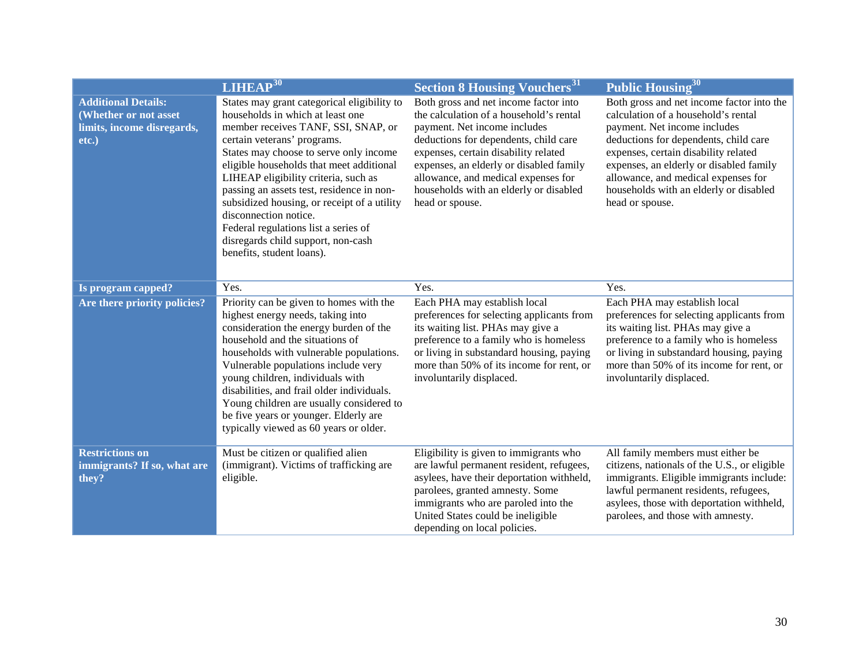|                                                                                            | <b>LIHEAP</b> <sup>30</sup>                                                                                                                                                                                                                                                                                                                                                                                                                                                                                         | <b>Section 8 Housing Vouchers</b> <sup>31</sup>                                                                                                                                                                                                                                                                                                  | Public Housing <sup>30</sup>                                                                                                                                                                                                                                                                                                                     |
|--------------------------------------------------------------------------------------------|---------------------------------------------------------------------------------------------------------------------------------------------------------------------------------------------------------------------------------------------------------------------------------------------------------------------------------------------------------------------------------------------------------------------------------------------------------------------------------------------------------------------|--------------------------------------------------------------------------------------------------------------------------------------------------------------------------------------------------------------------------------------------------------------------------------------------------------------------------------------------------|--------------------------------------------------------------------------------------------------------------------------------------------------------------------------------------------------------------------------------------------------------------------------------------------------------------------------------------------------|
| <b>Additional Details:</b><br>(Whether or not asset<br>limits, income disregards,<br>etc.) | States may grant categorical eligibility to<br>households in which at least one<br>member receives TANF, SSI, SNAP, or<br>certain veterans' programs.<br>States may choose to serve only income<br>eligible households that meet additional<br>LIHEAP eligibility criteria, such as<br>passing an assets test, residence in non-<br>subsidized housing, or receipt of a utility<br>disconnection notice.<br>Federal regulations list a series of<br>disregards child support, non-cash<br>benefits, student loans). | Both gross and net income factor into<br>the calculation of a household's rental<br>payment. Net income includes<br>deductions for dependents, child care<br>expenses, certain disability related<br>expenses, an elderly or disabled family<br>allowance, and medical expenses for<br>households with an elderly or disabled<br>head or spouse. | Both gross and net income factor into the<br>calculation of a household's rental<br>payment. Net income includes<br>deductions for dependents, child care<br>expenses, certain disability related<br>expenses, an elderly or disabled family<br>allowance, and medical expenses for<br>households with an elderly or disabled<br>head or spouse. |
| Is program capped?                                                                         | Yes.                                                                                                                                                                                                                                                                                                                                                                                                                                                                                                                | Yes.                                                                                                                                                                                                                                                                                                                                             | Yes.                                                                                                                                                                                                                                                                                                                                             |
| Are there priority policies?                                                               | Priority can be given to homes with the<br>highest energy needs, taking into<br>consideration the energy burden of the<br>household and the situations of<br>households with vulnerable populations.<br>Vulnerable populations include very<br>young children, individuals with<br>disabilities, and frail older individuals.<br>Young children are usually considered to<br>be five years or younger. Elderly are<br>typically viewed as 60 years or older.                                                        | Each PHA may establish local<br>preferences for selecting applicants from<br>its waiting list. PHAs may give a<br>preference to a family who is homeless<br>or living in substandard housing, paying<br>more than 50% of its income for rent, or<br>involuntarily displaced.                                                                     | Each PHA may establish local<br>preferences for selecting applicants from<br>its waiting list. PHAs may give a<br>preference to a family who is homeless<br>or living in substandard housing, paying<br>more than 50% of its income for rent, or<br>involuntarily displaced.                                                                     |
| <b>Restrictions on</b><br>immigrants? If so, what are<br>they?                             | Must be citizen or qualified alien<br>(immigrant). Victims of trafficking are<br>eligible.                                                                                                                                                                                                                                                                                                                                                                                                                          | Eligibility is given to immigrants who<br>are lawful permanent resident, refugees,<br>asylees, have their deportation withheld,<br>parolees, granted amnesty. Some<br>immigrants who are paroled into the<br>United States could be ineligible<br>depending on local policies.                                                                   | All family members must either be<br>citizens, nationals of the U.S., or eligible<br>immigrants. Eligible immigrants include:<br>lawful permanent residents, refugees,<br>asylees, those with deportation withheld,<br>parolees, and those with amnesty.                                                                                         |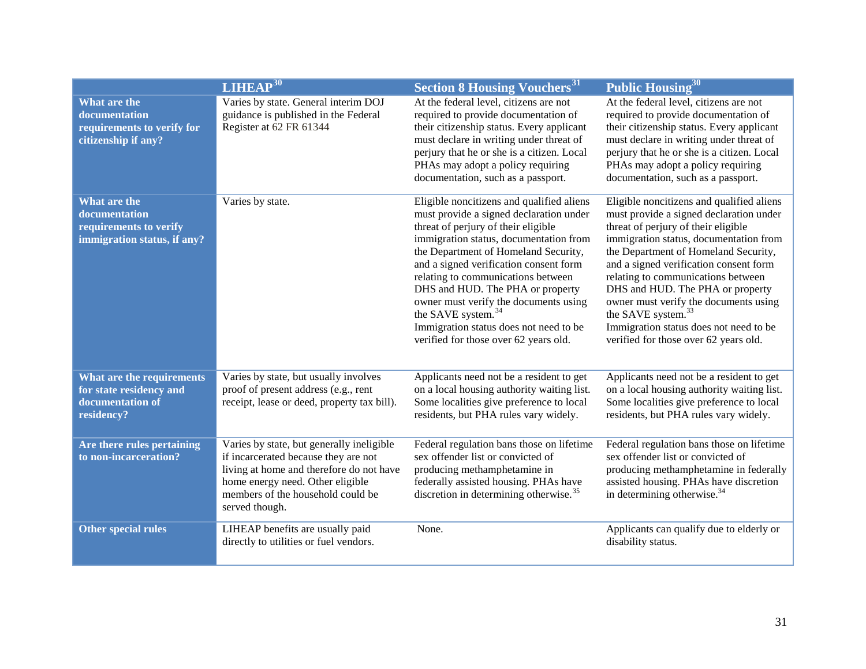|                                                                                        | LIHEAP <sup>30</sup>                                                                                                                                                                                                     | <b>Section 8 Housing Vouchers</b> <sup>31</sup>                                                                                                                                                                                                                                                                                                                                                                                                                                                 | Public Housing <sup>30</sup>                                                                                                                                                                                                                                                                                                                                                                                                                                                                    |
|----------------------------------------------------------------------------------------|--------------------------------------------------------------------------------------------------------------------------------------------------------------------------------------------------------------------------|-------------------------------------------------------------------------------------------------------------------------------------------------------------------------------------------------------------------------------------------------------------------------------------------------------------------------------------------------------------------------------------------------------------------------------------------------------------------------------------------------|-------------------------------------------------------------------------------------------------------------------------------------------------------------------------------------------------------------------------------------------------------------------------------------------------------------------------------------------------------------------------------------------------------------------------------------------------------------------------------------------------|
| What are the<br>documentation<br>requirements to verify for<br>citizenship if any?     | Varies by state. General interim DOJ<br>guidance is published in the Federal<br>Register at 62 FR 61344                                                                                                                  | At the federal level, citizens are not<br>required to provide documentation of<br>their citizenship status. Every applicant<br>must declare in writing under threat of<br>perjury that he or she is a citizen. Local<br>PHAs may adopt a policy requiring<br>documentation, such as a passport.                                                                                                                                                                                                 | At the federal level, citizens are not<br>required to provide documentation of<br>their citizenship status. Every applicant<br>must declare in writing under threat of<br>perjury that he or she is a citizen. Local<br>PHAs may adopt a policy requiring<br>documentation, such as a passport.                                                                                                                                                                                                 |
| What are the<br>documentation<br>requirements to verify<br>immigration status, if any? | Varies by state.                                                                                                                                                                                                         | Eligible noncitizens and qualified aliens<br>must provide a signed declaration under<br>threat of perjury of their eligible<br>immigration status, documentation from<br>the Department of Homeland Security,<br>and a signed verification consent form<br>relating to communications between<br>DHS and HUD. The PHA or property<br>owner must verify the documents using<br>the SAVE system. <sup>34</sup><br>Immigration status does not need to be<br>verified for those over 62 years old. | Eligible noncitizens and qualified aliens<br>must provide a signed declaration under<br>threat of perjury of their eligible<br>immigration status, documentation from<br>the Department of Homeland Security,<br>and a signed verification consent form<br>relating to communications between<br>DHS and HUD. The PHA or property<br>owner must verify the documents using<br>the SAVE system. <sup>33</sup><br>Immigration status does not need to be<br>verified for those over 62 years old. |
| What are the requirements<br>for state residency and<br>documentation of<br>residency? | Varies by state, but usually involves<br>proof of present address (e.g., rent<br>receipt, lease or deed, property tax bill).                                                                                             | Applicants need not be a resident to get<br>on a local housing authority waiting list.<br>Some localities give preference to local<br>residents, but PHA rules vary widely.                                                                                                                                                                                                                                                                                                                     | Applicants need not be a resident to get<br>on a local housing authority waiting list.<br>Some localities give preference to local<br>residents, but PHA rules vary widely.                                                                                                                                                                                                                                                                                                                     |
| Are there rules pertaining<br>to non-incarceration?                                    | Varies by state, but generally ineligible<br>if incarcerated because they are not<br>living at home and therefore do not have<br>home energy need. Other eligible<br>members of the household could be<br>served though. | Federal regulation bans those on lifetime<br>sex offender list or convicted of<br>producing methamphetamine in<br>federally assisted housing. PHAs have<br>discretion in determining otherwise. <sup>35</sup>                                                                                                                                                                                                                                                                                   | Federal regulation bans those on lifetime<br>sex offender list or convicted of<br>producing methamphetamine in federally<br>assisted housing. PHAs have discretion<br>in determining otherwise. <sup>34</sup>                                                                                                                                                                                                                                                                                   |
| <b>Other special rules</b>                                                             | LIHEAP benefits are usually paid<br>directly to utilities or fuel vendors.                                                                                                                                               | None.                                                                                                                                                                                                                                                                                                                                                                                                                                                                                           | Applicants can qualify due to elderly or<br>disability status.                                                                                                                                                                                                                                                                                                                                                                                                                                  |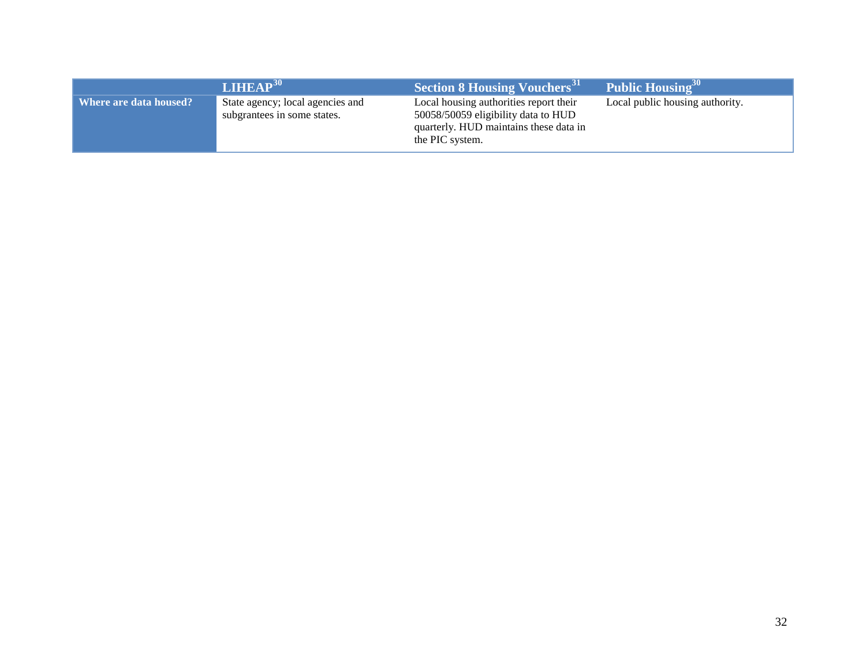|                          | <b>LIHEAP</b> <sup>30</sup>                                     | Section 8 Housing Vouchers <sup>31</sup>                                                                                                   | Public Housing <sup>30</sup>    |
|--------------------------|-----------------------------------------------------------------|--------------------------------------------------------------------------------------------------------------------------------------------|---------------------------------|
| Where are data housed? ' | State agency; local agencies and<br>subgrantees in some states. | Local housing authorities report their<br>50058/50059 eligibility data to HUD<br>quarterly. HUD maintains these data in<br>the PIC system. | Local public housing authority. |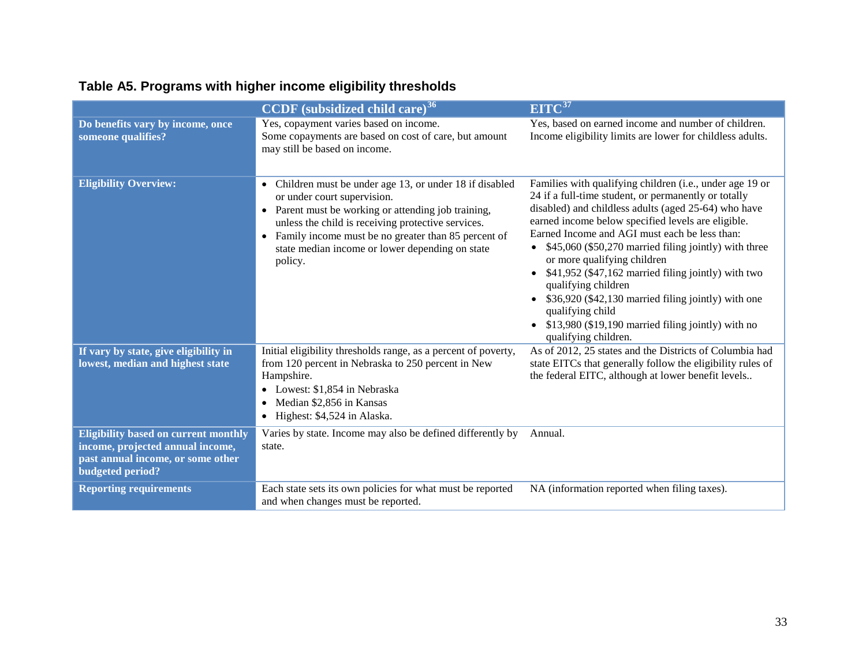# **Table A5. Programs with higher income eligibility thresholds**

|                                                                                                                                                 | <b>CCDF</b> (subsidized child care) <sup>36</sup>                                                                                                                                                                                                                                                                                      | EITC <sup>37</sup>                                                                                                                                                                                                                                                                                                                                                                                                                                                                                                                                                                                                       |
|-------------------------------------------------------------------------------------------------------------------------------------------------|----------------------------------------------------------------------------------------------------------------------------------------------------------------------------------------------------------------------------------------------------------------------------------------------------------------------------------------|--------------------------------------------------------------------------------------------------------------------------------------------------------------------------------------------------------------------------------------------------------------------------------------------------------------------------------------------------------------------------------------------------------------------------------------------------------------------------------------------------------------------------------------------------------------------------------------------------------------------------|
| Do benefits vary by income, once<br>someone qualifies?                                                                                          | Yes, copayment varies based on income.<br>Some copayments are based on cost of care, but amount<br>may still be based on income.                                                                                                                                                                                                       | Yes, based on earned income and number of children.<br>Income eligibility limits are lower for childless adults.                                                                                                                                                                                                                                                                                                                                                                                                                                                                                                         |
| <b>Eligibility Overview:</b>                                                                                                                    | Children must be under age 13, or under 18 if disabled<br>$\bullet$<br>or under court supervision.<br>• Parent must be working or attending job training,<br>unless the child is receiving protective services.<br>• Family income must be no greater than 85 percent of<br>state median income or lower depending on state<br>policy. | Families with qualifying children (i.e., under age 19 or<br>24 if a full-time student, or permanently or totally<br>disabled) and childless adults (aged 25-64) who have<br>earned income below specified levels are eligible.<br>Earned Income and AGI must each be less than:<br>• $$45,060$ (\$50,270 married filing jointly) with three<br>or more qualifying children<br>• $$41,952$ (\$47,162 married filing jointly) with two<br>qualifying children<br>• \$36,920 (\$42,130 married filing jointly) with one<br>qualifying child<br>• \$13,980 (\$19,190 married filing jointly) with no<br>qualifying children. |
| If vary by state, give eligibility in<br>lowest, median and highest state                                                                       | Initial eligibility thresholds range, as a percent of poverty,<br>from 120 percent in Nebraska to 250 percent in New<br>Hampshire.<br>• Lowest: \$1,854 in Nebraska<br>• Median \$2,856 in Kansas<br>$\bullet$ Highest: \$4,524 in Alaska.                                                                                             | As of 2012, 25 states and the Districts of Columbia had<br>state EITCs that generally follow the eligibility rules of<br>the federal EITC, although at lower benefit levels                                                                                                                                                                                                                                                                                                                                                                                                                                              |
| <b>Eligibility based on current monthly</b><br>income, projected annual income,<br>past annual income, or some other<br><b>budgeted period?</b> | Varies by state. Income may also be defined differently by<br>state.                                                                                                                                                                                                                                                                   | Annual.                                                                                                                                                                                                                                                                                                                                                                                                                                                                                                                                                                                                                  |
| <b>Reporting requirements</b>                                                                                                                   | Each state sets its own policies for what must be reported<br>and when changes must be reported.                                                                                                                                                                                                                                       | NA (information reported when filing taxes).                                                                                                                                                                                                                                                                                                                                                                                                                                                                                                                                                                             |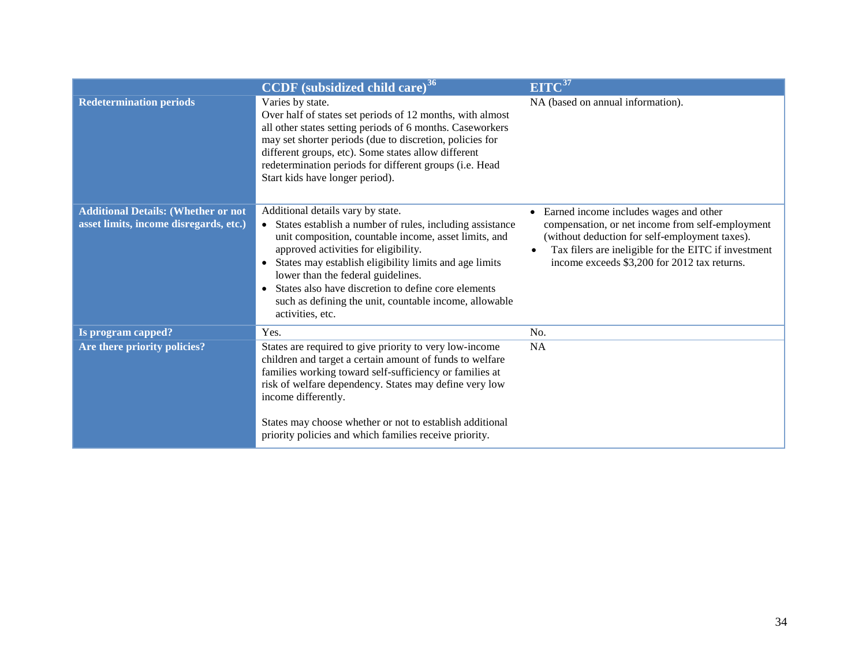|                                                                                      | <b>CCDF</b> (subsidized child care) <sup>36</sup>                                                                                                                                                                                                                                                                                                                                                                                         | EITC <sup>37</sup>                                                                                                                                                                                                                                   |
|--------------------------------------------------------------------------------------|-------------------------------------------------------------------------------------------------------------------------------------------------------------------------------------------------------------------------------------------------------------------------------------------------------------------------------------------------------------------------------------------------------------------------------------------|------------------------------------------------------------------------------------------------------------------------------------------------------------------------------------------------------------------------------------------------------|
| <b>Redetermination periods</b>                                                       | Varies by state.<br>Over half of states set periods of 12 months, with almost<br>all other states setting periods of 6 months. Caseworkers<br>may set shorter periods (due to discretion, policies for<br>different groups, etc). Some states allow different<br>redetermination periods for different groups (i.e. Head<br>Start kids have longer period).                                                                               | NA (based on annual information).                                                                                                                                                                                                                    |
| <b>Additional Details: (Whether or not</b><br>asset limits, income disregards, etc.) | Additional details vary by state.<br>• States establish a number of rules, including assistance<br>unit composition, countable income, asset limits, and<br>approved activities for eligibility.<br>• States may establish eligibility limits and age limits<br>lower than the federal guidelines.<br>• States also have discretion to define core elements<br>such as defining the unit, countable income, allowable<br>activities, etc. | Earned income includes wages and other<br>compensation, or net income from self-employment<br>(without deduction for self-employment taxes).<br>Tax filers are ineligible for the EITC if investment<br>income exceeds \$3,200 for 2012 tax returns. |
| Is program capped?                                                                   | Yes.                                                                                                                                                                                                                                                                                                                                                                                                                                      | No.                                                                                                                                                                                                                                                  |
| Are there priority policies?                                                         | States are required to give priority to very low-income<br>children and target a certain amount of funds to welfare<br>families working toward self-sufficiency or families at<br>risk of welfare dependency. States may define very low<br>income differently.<br>States may choose whether or not to establish additional<br>priority policies and which families receive priority.                                                     | <b>NA</b>                                                                                                                                                                                                                                            |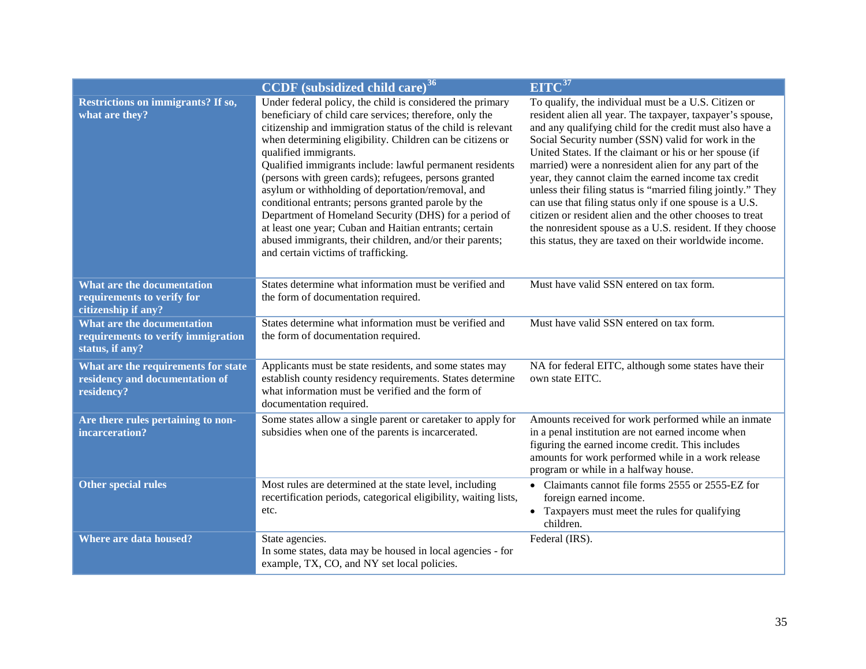|                                                                                     | <b>CCDF</b> (subsidized child care) <sup>36</sup>                                                                                                                                                                                                                                                                                                                                                                                                                                                                                                                                                                                                                                                                                | EITC <sup>37</sup>                                                                                                                                                                                                                                                                                                                                                                                                                                                                                                                                                                                                                                                                                                            |
|-------------------------------------------------------------------------------------|----------------------------------------------------------------------------------------------------------------------------------------------------------------------------------------------------------------------------------------------------------------------------------------------------------------------------------------------------------------------------------------------------------------------------------------------------------------------------------------------------------------------------------------------------------------------------------------------------------------------------------------------------------------------------------------------------------------------------------|-------------------------------------------------------------------------------------------------------------------------------------------------------------------------------------------------------------------------------------------------------------------------------------------------------------------------------------------------------------------------------------------------------------------------------------------------------------------------------------------------------------------------------------------------------------------------------------------------------------------------------------------------------------------------------------------------------------------------------|
| <b>Restrictions on immigrants? If so,</b><br>what are they?                         | Under federal policy, the child is considered the primary<br>beneficiary of child care services; therefore, only the<br>citizenship and immigration status of the child is relevant<br>when determining eligibility. Children can be citizens or<br>qualified immigrants.<br>Qualified immigrants include: lawful permanent residents<br>(persons with green cards); refugees, persons granted<br>asylum or withholding of deportation/removal, and<br>conditional entrants; persons granted parole by the<br>Department of Homeland Security (DHS) for a period of<br>at least one year; Cuban and Haitian entrants; certain<br>abused immigrants, their children, and/or their parents;<br>and certain victims of trafficking. | To qualify, the individual must be a U.S. Citizen or<br>resident alien all year. The taxpayer, taxpayer's spouse,<br>and any qualifying child for the credit must also have a<br>Social Security number (SSN) valid for work in the<br>United States. If the claimant or his or her spouse (if<br>married) were a nonresident alien for any part of the<br>year, they cannot claim the earned income tax credit<br>unless their filing status is "married filing jointly." They<br>can use that filing status only if one spouse is a U.S.<br>citizen or resident alien and the other chooses to treat<br>the nonresident spouse as a U.S. resident. If they choose<br>this status, they are taxed on their worldwide income. |
| What are the documentation<br>requirements to verify for<br>citizenship if any?     | States determine what information must be verified and<br>the form of documentation required.                                                                                                                                                                                                                                                                                                                                                                                                                                                                                                                                                                                                                                    | Must have valid SSN entered on tax form.                                                                                                                                                                                                                                                                                                                                                                                                                                                                                                                                                                                                                                                                                      |
| What are the documentation<br>requirements to verify immigration<br>status, if any? | States determine what information must be verified and<br>the form of documentation required.                                                                                                                                                                                                                                                                                                                                                                                                                                                                                                                                                                                                                                    | Must have valid SSN entered on tax form.                                                                                                                                                                                                                                                                                                                                                                                                                                                                                                                                                                                                                                                                                      |
| What are the requirements for state<br>residency and documentation of<br>residency? | Applicants must be state residents, and some states may<br>establish county residency requirements. States determine<br>what information must be verified and the form of<br>documentation required.                                                                                                                                                                                                                                                                                                                                                                                                                                                                                                                             | NA for federal EITC, although some states have their<br>own state EITC.                                                                                                                                                                                                                                                                                                                                                                                                                                                                                                                                                                                                                                                       |
| Are there rules pertaining to non-<br>incarceration?                                | Some states allow a single parent or caretaker to apply for<br>subsidies when one of the parents is incarcerated.                                                                                                                                                                                                                                                                                                                                                                                                                                                                                                                                                                                                                | Amounts received for work performed while an inmate<br>in a penal institution are not earned income when<br>figuring the earned income credit. This includes<br>amounts for work performed while in a work release<br>program or while in a halfway house.                                                                                                                                                                                                                                                                                                                                                                                                                                                                    |
| Other special rules                                                                 | Most rules are determined at the state level, including<br>recertification periods, categorical eligibility, waiting lists,<br>etc.                                                                                                                                                                                                                                                                                                                                                                                                                                                                                                                                                                                              | • Claimants cannot file forms 2555 or 2555-EZ for<br>foreign earned income.<br>• Taxpayers must meet the rules for qualifying<br>children.                                                                                                                                                                                                                                                                                                                                                                                                                                                                                                                                                                                    |
| Where are data housed?                                                              | State agencies.<br>In some states, data may be housed in local agencies - for<br>example, TX, CO, and NY set local policies.                                                                                                                                                                                                                                                                                                                                                                                                                                                                                                                                                                                                     | Federal (IRS).                                                                                                                                                                                                                                                                                                                                                                                                                                                                                                                                                                                                                                                                                                                |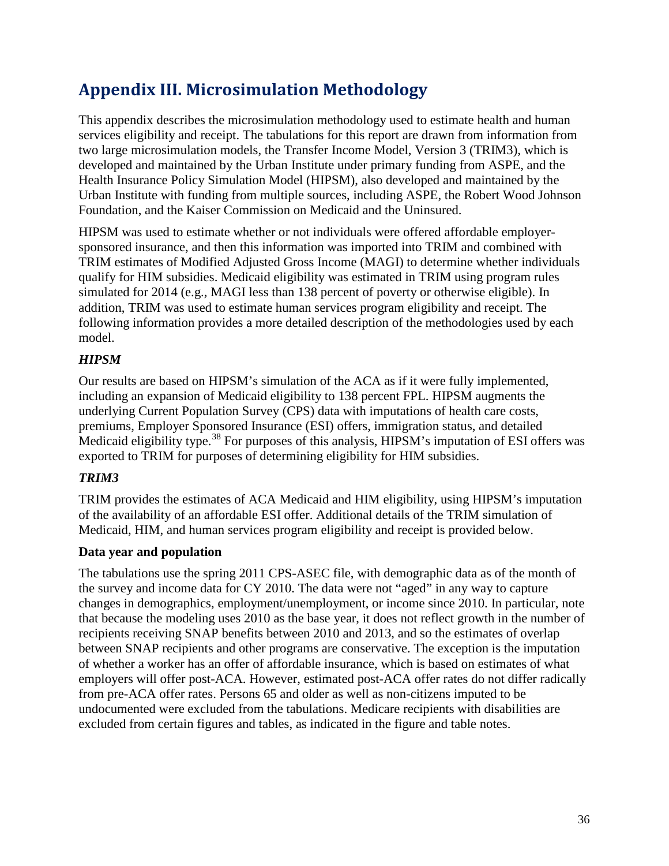# <span id="page-37-0"></span>**Appendix III. Microsimulation Methodology**

This appendix describes the microsimulation methodology used to estimate health and human services eligibility and receipt. The tabulations for this report are drawn from information from two large microsimulation models, the Transfer Income Model, Version 3 (TRIM3), which is developed and maintained by the Urban Institute under primary funding from ASPE, and the Health Insurance Policy Simulation Model (HIPSM), also developed and maintained by the Urban Institute with funding from multiple sources, including ASPE, the Robert Wood Johnson Foundation, and the Kaiser Commission on Medicaid and the Uninsured.

HIPSM was used to estimate whether or not individuals were offered affordable employersponsored insurance, and then this information was imported into TRIM and combined with TRIM estimates of Modified Adjusted Gross Income (MAGI) to determine whether individuals qualify for HIM subsidies. Medicaid eligibility was estimated in TRIM using program rules simulated for 2014 (e.g., MAGI less than 138 percent of poverty or otherwise eligible). In addition, TRIM was used to estimate human services program eligibility and receipt. The following information provides a more detailed description of the methodologies used by each model.

## *HIPSM*

Our results are based on HIPSM's simulation of the ACA as if it were fully implemented, including an expansion of Medicaid eligibility to 138 percent FPL. HIPSM augments the underlying Current Population Survey (CPS) data with imputations of health care costs, premiums, Employer Sponsored Insurance (ESI) offers, immigration status, and detailed Medicaid eligibility type.<sup>[38](#page-52-34)</sup> For purposes of this analysis, HIPSM's imputation of ESI offers was exported to TRIM for purposes of determining eligibility for HIM subsidies.

## *TRIM3*

TRIM provides the estimates of ACA Medicaid and HIM eligibility, using HIPSM's imputation of the availability of an affordable ESI offer. Additional details of the TRIM simulation of Medicaid, HIM, and human services program eligibility and receipt is provided below.

## **Data year and population**

The tabulations use the spring 2011 CPS-ASEC file, with demographic data as of the month of the survey and income data for CY 2010. The data were not "aged" in any way to capture changes in demographics, employment/unemployment, or income since 2010. In particular, note that because the modeling uses 2010 as the base year, it does not reflect growth in the number of recipients receiving SNAP benefits between 2010 and 2013, and so the estimates of overlap between SNAP recipients and other programs are conservative. The exception is the imputation of whether a worker has an offer of affordable insurance, which is based on estimates of what employers will offer post-ACA. However, estimated post-ACA offer rates do not differ radically from pre-ACA offer rates. Persons 65 and older as well as non-citizens imputed to be undocumented were excluded from the tabulations. Medicare recipients with disabilities are excluded from certain figures and tables, as indicated in the figure and table notes.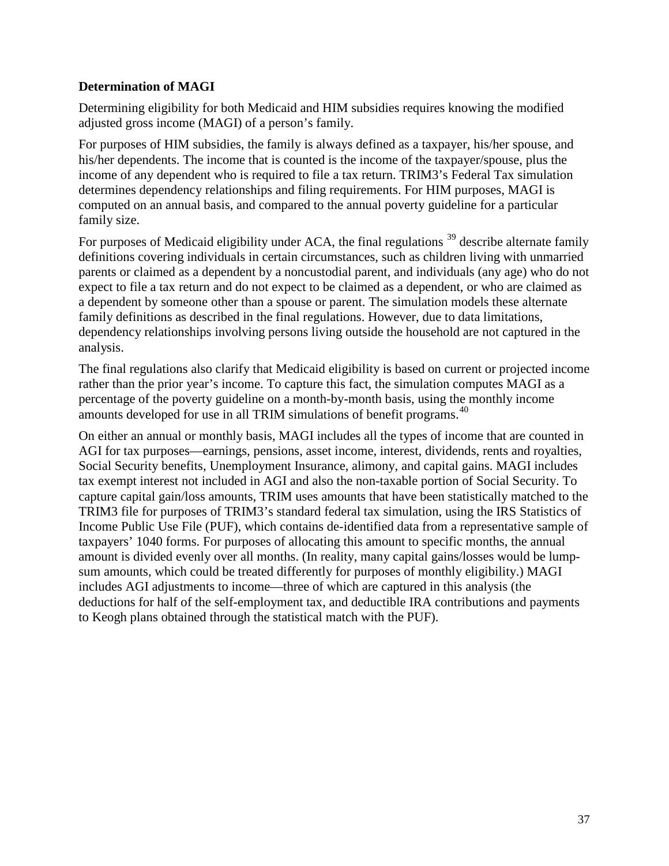### **Determination of MAGI**

Determining eligibility for both Medicaid and HIM subsidies requires knowing the modified adjusted gross income (MAGI) of a person's family.

For purposes of HIM subsidies, the family is always defined as a taxpayer, his/her spouse, and his/her dependents. The income that is counted is the income of the taxpayer/spouse, plus the income of any dependent who is required to file a tax return. TRIM3's Federal Tax simulation determines dependency relationships and filing requirements. For HIM purposes, MAGI is computed on an annual basis, and compared to the annual poverty guideline for a particular family size.

For purposes of Medicaid eligibility under ACA, the final regulations  $39$  describe alternate family definitions covering individuals in certain circumstances, such as children living with unmarried parents or claimed as a dependent by a noncustodial parent, and individuals (any age) who do not expect to file a tax return and do not expect to be claimed as a dependent, or who are claimed as a dependent by someone other than a spouse or parent. The simulation models these alternate family definitions as described in the final regulations. However, due to data limitations, dependency relationships involving persons living outside the household are not captured in the analysis.

The final regulations also clarify that Medicaid eligibility is based on current or projected income rather than the prior year's income. To capture this fact, the simulation computes MAGI as a percentage of the poverty guideline on a month-by-month basis, using the monthly income amounts developed for use in all TRIM simulations of benefit programs.<sup>[40](#page-52-36)</sup>

On either an annual or monthly basis, MAGI includes all the types of income that are counted in AGI for tax purposes—earnings, pensions, asset income, interest, dividends, rents and royalties, Social Security benefits, Unemployment Insurance, alimony, and capital gains. MAGI includes tax exempt interest not included in AGI and also the non-taxable portion of Social Security. To capture capital gain/loss amounts, TRIM uses amounts that have been statistically matched to the TRIM3 file for purposes of TRIM3's standard federal tax simulation, using the IRS Statistics of Income Public Use File (PUF), which contains de-identified data from a representative sample of taxpayers' 1040 forms. For purposes of allocating this amount to specific months, the annual amount is divided evenly over all months. (In reality, many capital gains/losses would be lumpsum amounts, which could be treated differently for purposes of monthly eligibility.) MAGI includes AGI adjustments to income—three of which are captured in this analysis (the deductions for half of the self-employment tax, and deductible IRA contributions and payments to Keogh plans obtained through the statistical match with the PUF).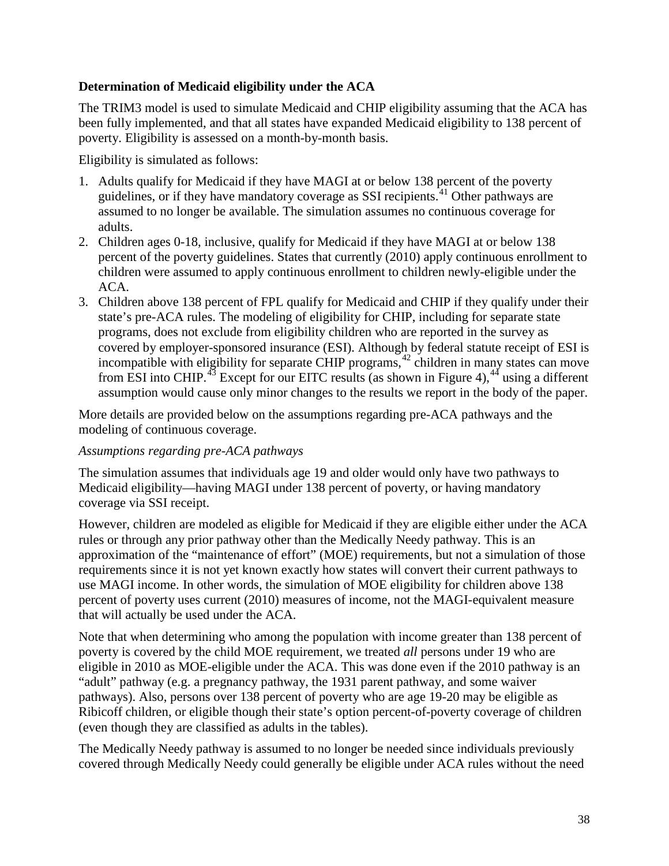### **Determination of Medicaid eligibility under the ACA**

The TRIM3 model is used to simulate Medicaid and CHIP eligibility assuming that the ACA has been fully implemented, and that all states have expanded Medicaid eligibility to 138 percent of poverty. Eligibility is assessed on a month-by-month basis.

Eligibility is simulated as follows:

- 1. Adults qualify for Medicaid if they have MAGI at or below 138 percent of the poverty guidelines, or if they have mandatory coverage as SSI recipients.<sup>[41](#page-52-37)</sup> Other pathways are assumed to no longer be available. The simulation assumes no continuous coverage for adults.
- 2. Children ages 0-18, inclusive, qualify for Medicaid if they have MAGI at or below 138 percent of the poverty guidelines. States that currently (2010) apply continuous enrollment to children were assumed to apply continuous enrollment to children newly-eligible under the ACA.
- 3. Children above 138 percent of FPL qualify for Medicaid and CHIP if they qualify under their state's pre-ACA rules. The modeling of eligibility for CHIP, including for separate state programs, does not exclude from eligibility children who are reported in the survey as covered by employer-sponsored insurance (ESI). Although by federal statute receipt of ESI is incompatible with eligibility for separate CHIP programs,<sup>[42](#page-52-38)</sup> children in many states can move from ESI into CHIP.<sup>[43](#page-52-39)</sup> Except for our EITC results (as shown in Figure 4),<sup>[44](#page-52-40)</sup> using a different assumption would cause only minor changes to the results we report in the body of the paper.

More details are provided below on the assumptions regarding pre-ACA pathways and the modeling of continuous coverage.

### *Assumptions regarding pre-ACA pathways*

The simulation assumes that individuals age 19 and older would only have two pathways to Medicaid eligibility—having MAGI under 138 percent of poverty, or having mandatory coverage via SSI receipt.

However, children are modeled as eligible for Medicaid if they are eligible either under the ACA rules or through any prior pathway other than the Medically Needy pathway. This is an approximation of the "maintenance of effort" (MOE) requirements, but not a simulation of those requirements since it is not yet known exactly how states will convert their current pathways to use MAGI income. In other words, the simulation of MOE eligibility for children above 138 percent of poverty uses current (2010) measures of income, not the MAGI-equivalent measure that will actually be used under the ACA.

Note that when determining who among the population with income greater than 138 percent of poverty is covered by the child MOE requirement, we treated *all* persons under 19 who are eligible in 2010 as MOE-eligible under the ACA. This was done even if the 2010 pathway is an "adult" pathway (e.g. a pregnancy pathway, the 1931 parent pathway, and some waiver pathways). Also, persons over 138 percent of poverty who are age 19-20 may be eligible as Ribicoff children, or eligible though their state's option percent-of-poverty coverage of children (even though they are classified as adults in the tables).

The Medically Needy pathway is assumed to no longer be needed since individuals previously covered through Medically Needy could generally be eligible under ACA rules without the need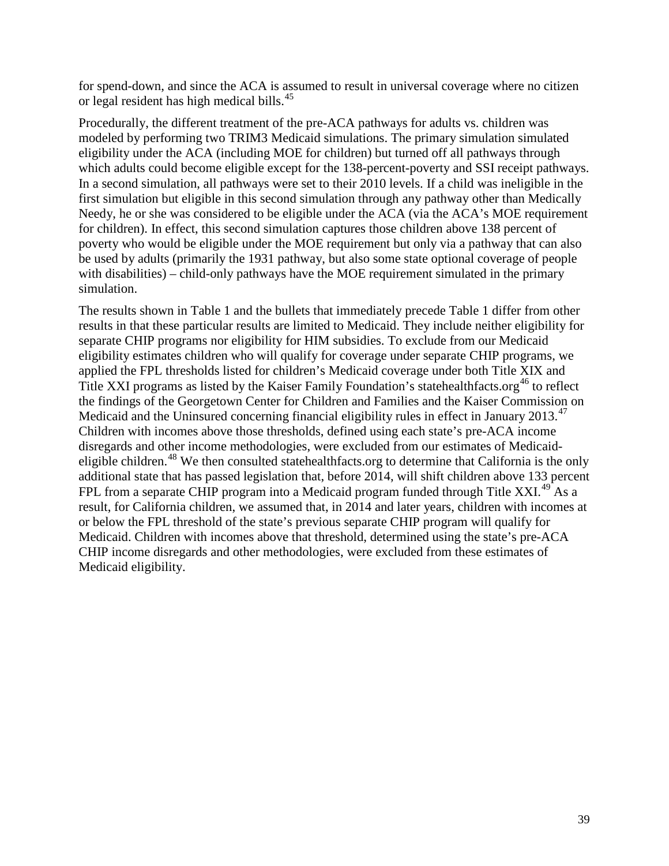for spend-down, and since the ACA is assumed to result in universal coverage where no citizen or legal resident has high medical bills.<sup>[45](#page-52-41)</sup>

Procedurally, the different treatment of the pre-ACA pathways for adults vs. children was modeled by performing two TRIM3 Medicaid simulations. The primary simulation simulated eligibility under the ACA (including MOE for children) but turned off all pathways through which adults could become eligible except for the 138-percent-poverty and SSI receipt pathways. In a second simulation, all pathways were set to their 2010 levels. If a child was ineligible in the first simulation but eligible in this second simulation through any pathway other than Medically Needy, he or she was considered to be eligible under the ACA (via the ACA's MOE requirement for children). In effect, this second simulation captures those children above 138 percent of poverty who would be eligible under the MOE requirement but only via a pathway that can also be used by adults (primarily the 1931 pathway, but also some state optional coverage of people with disabilities) – child-only pathways have the MOE requirement simulated in the primary simulation.

The results shown in Table 1 and the bullets that immediately precede Table 1 differ from other results in that these particular results are limited to Medicaid. They include neither eligibility for separate CHIP programs nor eligibility for HIM subsidies. To exclude from our Medicaid eligibility estimates children who will qualify for coverage under separate CHIP programs, we applied the FPL thresholds listed for children's Medicaid coverage under both Title XIX and Title XXI programs as listed by the Kaiser Family Foundation's statehealthfacts.org<sup>[46](#page-52-42)</sup> to reflect the findings of the Georgetown Center for Children and Families and the Kaiser Commission on Medicaid and the Uninsured concerning financial eligibility rules in effect in January 2013.<sup>[47](#page-52-43)</sup> Children with incomes above those thresholds, defined using each state's pre-ACA income disregards and other income methodologies, were excluded from our estimates of Medicaid-eligible children.<sup>[48](#page-52-44)</sup> We then consulted statehealthfacts.org to determine that California is the only additional state that has passed legislation that, before 2014, will shift children above 133 percent FPL from a separate CHIP program into a Medicaid program funded through Title XXI.<sup>[49](#page-52-45)</sup> As a result, for California children, we assumed that, in 2014 and later years, children with incomes at or below the FPL threshold of the state's previous separate CHIP program will qualify for Medicaid. Children with incomes above that threshold, determined using the state's pre-ACA CHIP income disregards and other methodologies, were excluded from these estimates of Medicaid eligibility.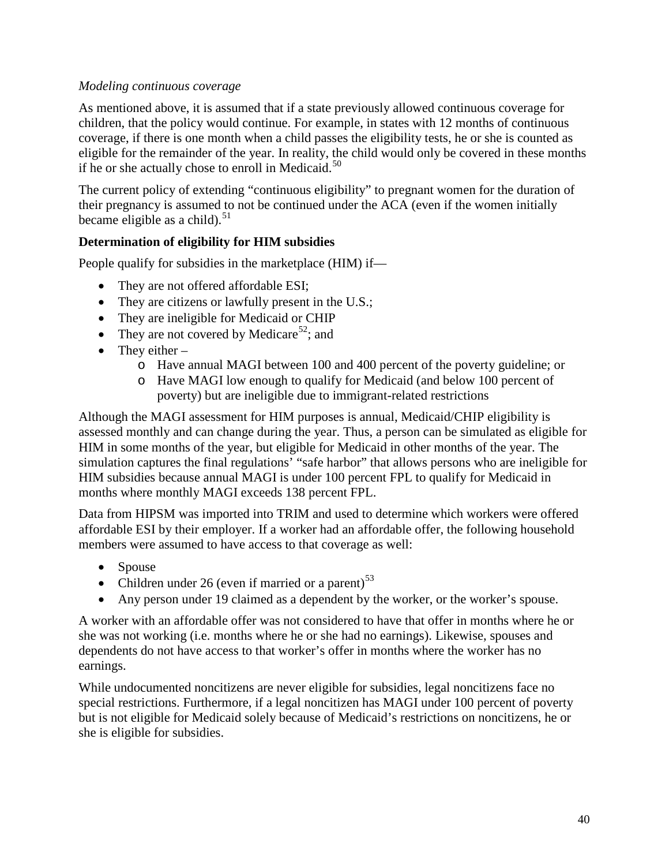### *Modeling continuous coverage*

As mentioned above, it is assumed that if a state previously allowed continuous coverage for children, that the policy would continue. For example, in states with 12 months of continuous coverage, if there is one month when a child passes the eligibility tests, he or she is counted as eligible for the remainder of the year. In reality, the child would only be covered in these months if he or she actually chose to enroll in Medicaid.<sup>[50](#page-52-46)</sup>

The current policy of extending "continuous eligibility" to pregnant women for the duration of their pregnancy is assumed to not be continued under the ACA (even if the women initially became eligible as a child). $51$ 

### **Determination of eligibility for HIM subsidies**

People qualify for subsidies in the marketplace (HIM) if—

- They are not offered affordable ESI;
- They are citizens or lawfully present in the U.S.;
- They are ineligible for Medicaid or CHIP
- They are not covered by Medicare<sup>52</sup>; and
- They either  $$ 
	- o Have annual MAGI between 100 and 400 percent of the poverty guideline; or
	- o Have MAGI low enough to qualify for Medicaid (and below 100 percent of poverty) but are ineligible due to immigrant-related restrictions

Although the MAGI assessment for HIM purposes is annual, Medicaid/CHIP eligibility is assessed monthly and can change during the year. Thus, a person can be simulated as eligible for HIM in some months of the year, but eligible for Medicaid in other months of the year. The simulation captures the final regulations' "safe harbor" that allows persons who are ineligible for HIM subsidies because annual MAGI is under 100 percent FPL to qualify for Medicaid in months where monthly MAGI exceeds 138 percent FPL.

Data from HIPSM was imported into TRIM and used to determine which workers were offered affordable ESI by their employer. If a worker had an affordable offer, the following household members were assumed to have access to that coverage as well:

- Spouse
- Children under 26 (even if married or a parent)<sup>[53](#page-52-49)</sup>
- Any person under 19 claimed as a dependent by the worker, or the worker's spouse.

A worker with an affordable offer was not considered to have that offer in months where he or she was not working (i.e. months where he or she had no earnings). Likewise, spouses and dependents do not have access to that worker's offer in months where the worker has no earnings.

While undocumented noncitizens are never eligible for subsidies, legal noncitizens face no special restrictions. Furthermore, if a legal noncitizen has MAGI under 100 percent of poverty but is not eligible for Medicaid solely because of Medicaid's restrictions on noncitizens, he or she is eligible for subsidies.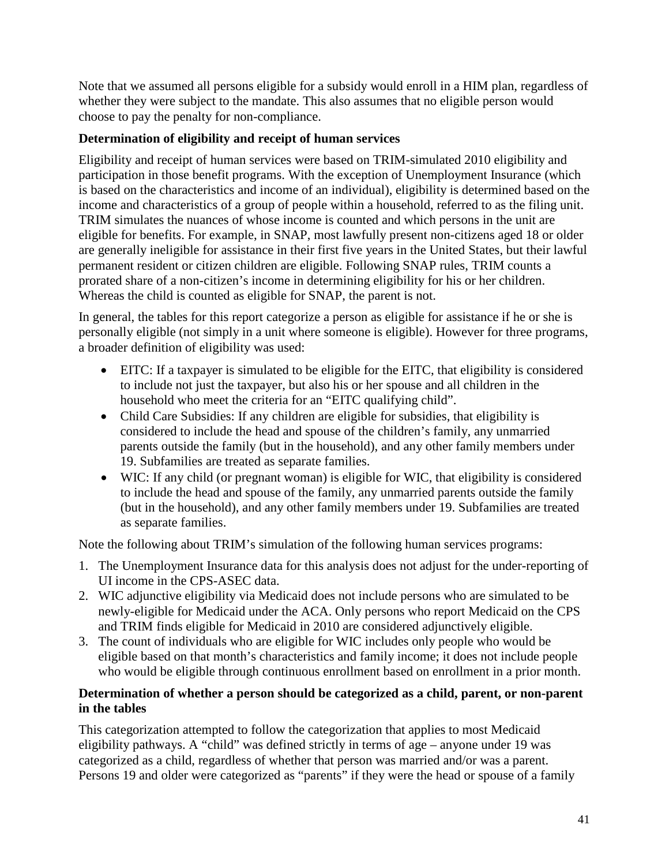Note that we assumed all persons eligible for a subsidy would enroll in a HIM plan, regardless of whether they were subject to the mandate. This also assumes that no eligible person would choose to pay the penalty for non-compliance.

### **Determination of eligibility and receipt of human services**

Eligibility and receipt of human services were based on TRIM-simulated 2010 eligibility and participation in those benefit programs. With the exception of Unemployment Insurance (which is based on the characteristics and income of an individual), eligibility is determined based on the income and characteristics of a group of people within a household, referred to as the filing unit. TRIM simulates the nuances of whose income is counted and which persons in the unit are eligible for benefits. For example, in SNAP, most lawfully present non-citizens aged 18 or older are generally ineligible for assistance in their first five years in the United States, but their lawful permanent resident or citizen children are eligible. Following SNAP rules, TRIM counts a prorated share of a non-citizen's income in determining eligibility for his or her children. Whereas the child is counted as eligible for SNAP, the parent is not.

In general, the tables for this report categorize a person as eligible for assistance if he or she is personally eligible (not simply in a unit where someone is eligible). However for three programs, a broader definition of eligibility was used:

- EITC: If a taxpayer is simulated to be eligible for the EITC, that eligibility is considered to include not just the taxpayer, but also his or her spouse and all children in the household who meet the criteria for an "EITC qualifying child".
- Child Care Subsidies: If any children are eligible for subsidies, that eligibility is considered to include the head and spouse of the children's family, any unmarried parents outside the family (but in the household), and any other family members under 19. Subfamilies are treated as separate families.
- WIC: If any child (or pregnant woman) is eligible for WIC, that eligibility is considered to include the head and spouse of the family, any unmarried parents outside the family (but in the household), and any other family members under 19. Subfamilies are treated as separate families.

Note the following about TRIM's simulation of the following human services programs:

- 1. The Unemployment Insurance data for this analysis does not adjust for the under-reporting of UI income in the CPS-ASEC data.
- 2. WIC adjunctive eligibility via Medicaid does not include persons who are simulated to be newly-eligible for Medicaid under the ACA. Only persons who report Medicaid on the CPS and TRIM finds eligible for Medicaid in 2010 are considered adjunctively eligible.
- 3. The count of individuals who are eligible for WIC includes only people who would be eligible based on that month's characteristics and family income; it does not include people who would be eligible through continuous enrollment based on enrollment in a prior month.

### **Determination of whether a person should be categorized as a child, parent, or non-parent in the tables**

This categorization attempted to follow the categorization that applies to most Medicaid eligibility pathways. A "child" was defined strictly in terms of age – anyone under 19 was categorized as a child, regardless of whether that person was married and/or was a parent. Persons 19 and older were categorized as "parents" if they were the head or spouse of a family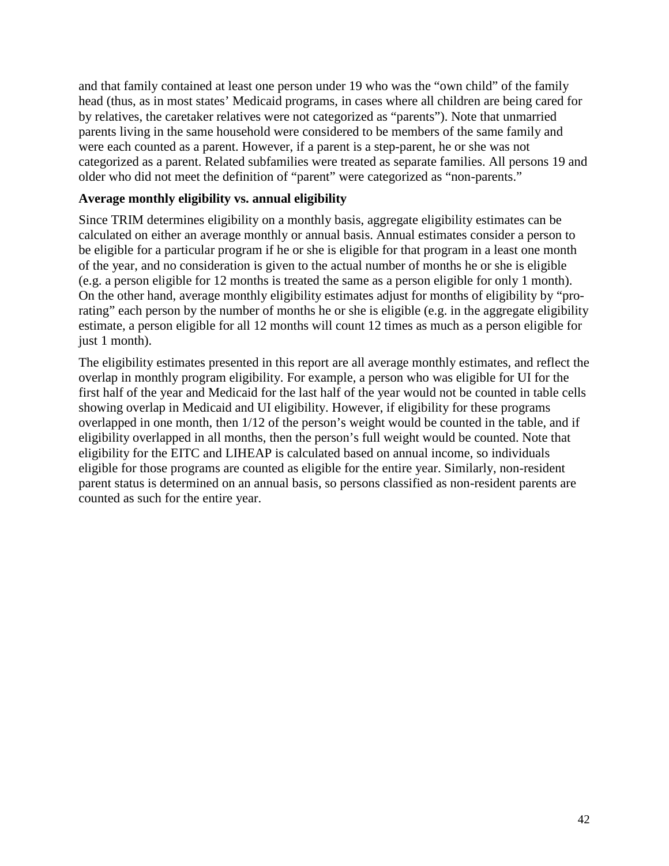and that family contained at least one person under 19 who was the "own child" of the family head (thus, as in most states' Medicaid programs, in cases where all children are being cared for by relatives, the caretaker relatives were not categorized as "parents"). Note that unmarried parents living in the same household were considered to be members of the same family and were each counted as a parent. However, if a parent is a step-parent, he or she was not categorized as a parent. Related subfamilies were treated as separate families. All persons 19 and older who did not meet the definition of "parent" were categorized as "non-parents."

#### **Average monthly eligibility vs. annual eligibility**

Since TRIM determines eligibility on a monthly basis, aggregate eligibility estimates can be calculated on either an average monthly or annual basis. Annual estimates consider a person to be eligible for a particular program if he or she is eligible for that program in a least one month of the year, and no consideration is given to the actual number of months he or she is eligible (e.g. a person eligible for 12 months is treated the same as a person eligible for only 1 month). On the other hand, average monthly eligibility estimates adjust for months of eligibility by "prorating" each person by the number of months he or she is eligible (e.g. in the aggregate eligibility estimate, a person eligible for all 12 months will count 12 times as much as a person eligible for just 1 month).

The eligibility estimates presented in this report are all average monthly estimates, and reflect the overlap in monthly program eligibility. For example, a person who was eligible for UI for the first half of the year and Medicaid for the last half of the year would not be counted in table cells showing overlap in Medicaid and UI eligibility. However, if eligibility for these programs overlapped in one month, then 1/12 of the person's weight would be counted in the table, and if eligibility overlapped in all months, then the person's full weight would be counted. Note that eligibility for the EITC and LIHEAP is calculated based on annual income, so individuals eligible for those programs are counted as eligible for the entire year. Similarly, non-resident parent status is determined on an annual basis, so persons classified as non-resident parents are counted as such for the entire year.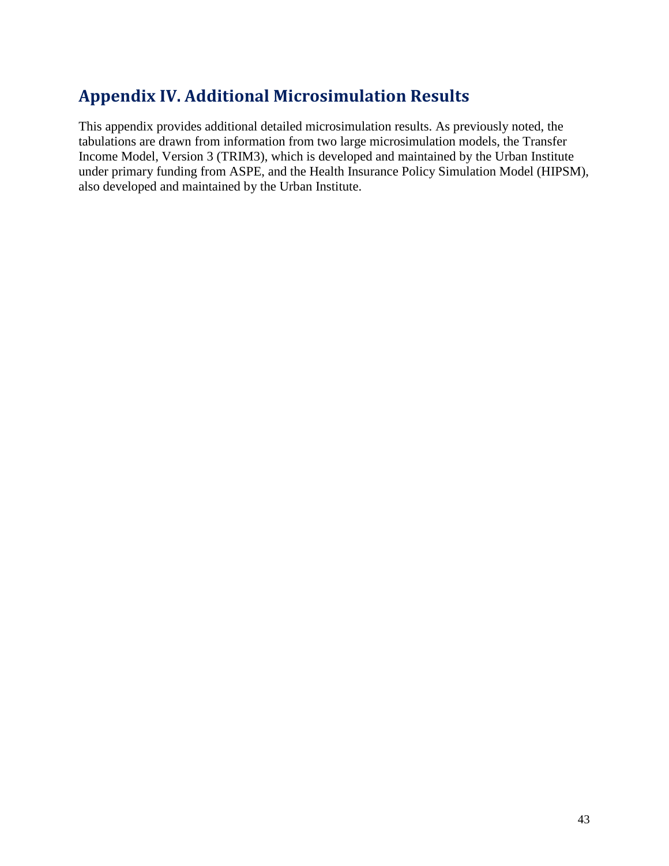# <span id="page-44-0"></span>**Appendix IV. Additional Microsimulation Results**

This appendix provides additional detailed microsimulation results. As previously noted, the tabulations are drawn from information from two large microsimulation models, the Transfer Income Model, Version 3 (TRIM3), which is developed and maintained by the Urban Institute under primary funding from ASPE, and the Health Insurance Policy Simulation Model (HIPSM), also developed and maintained by the Urban Institute.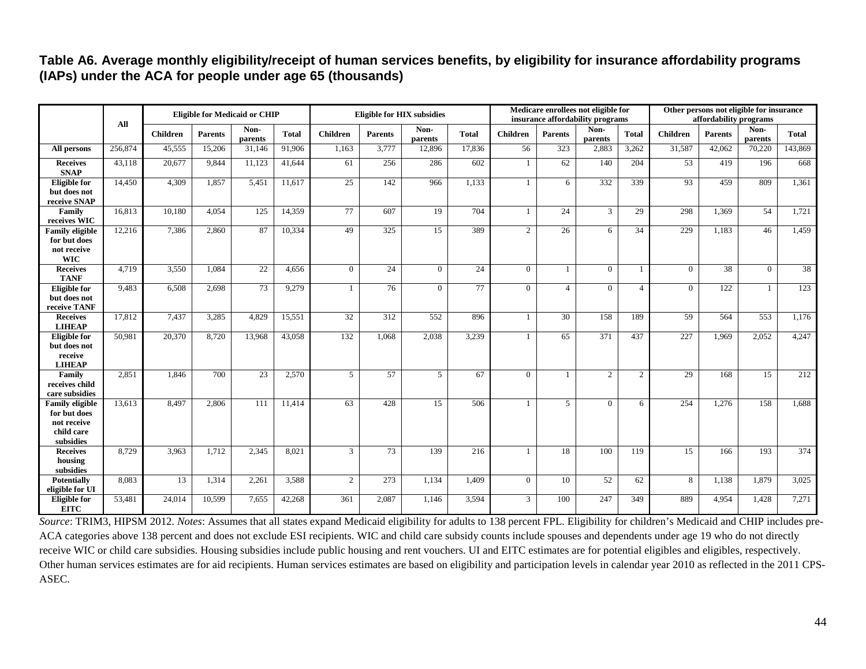### **Table A6. Average monthly eligibility/receipt of human services benefits, by eligibility for insurance affordability programs (IAPs) under the ACA for people under age 65 (thousands)**

|                                                                                  | All     |                 | <b>Eligible for Medicaid or CHIP</b> |                 |              | <b>Eligible for HIX subsidies</b> |                |                 | Medicare enrollees not eligible for<br>insurance affordability programs |                 |                |                 | Other persons not eligible for insurance<br>affordability programs |                 |                 |                 |              |
|----------------------------------------------------------------------------------|---------|-----------------|--------------------------------------|-----------------|--------------|-----------------------------------|----------------|-----------------|-------------------------------------------------------------------------|-----------------|----------------|-----------------|--------------------------------------------------------------------|-----------------|-----------------|-----------------|--------------|
|                                                                                  |         | <b>Children</b> | <b>Parents</b>                       | Non-<br>parents | <b>Total</b> | <b>Children</b>                   | <b>Parents</b> | Non-<br>parents | <b>Total</b>                                                            | <b>Children</b> | <b>Parents</b> | Non-<br>parents | <b>Total</b>                                                       | <b>Children</b> | <b>Parents</b>  | Non-<br>parents | <b>Total</b> |
| All persons                                                                      | 256,874 | 45,555          | 15,206                               | 31.146          | 91,906       | 1.163                             | 3,777          | 12,896          | 17,836                                                                  | 56              | 323            | 2,883           | 3.262                                                              | 31,587          | 42,062          | 70,220          | 143,869      |
| <b>Receives</b><br><b>SNAP</b>                                                   | 43,118  | 20,677          | 9.844                                | 11,123          | 41.644       | 61                                | 256            | 286             | 602                                                                     | -1              | 62             | 140             | 204                                                                | $\overline{53}$ | 419             | 196             | 668          |
| <b>Eligible</b> for<br>but does not<br>receive SNAP                              | 14,450  | 4,309           | 1,857                                | 5,451           | 11,617       | 25                                | 142            | 966             | 1,133                                                                   |                 | 6              | 332             | 339                                                                | 93              | 459             | 809             | 1,361        |
| Family<br>receives WIC                                                           | 16,813  | 10,180          | 4.054                                | 125             | 14,359       | 77                                | 607            | $\overline{19}$ | 704                                                                     | $\mathbf{1}$    | 24             | $\overline{3}$  | 29                                                                 | 298             | 1,369           | 54              | 1,721        |
| <b>Family eligible</b><br>for but does<br>not receive<br><b>WIC</b>              | 12,216  | 7.386           | 2.860                                | 87              | 10,334       | 49                                | 325            | 15              | 389                                                                     | 2               | 26             | 6               | 34                                                                 | 229             | 1.183           | 46              | 1.459        |
| <b>Receives</b><br><b>TANF</b>                                                   | 4,719   | 3,550           | 1,084                                | 22              | 4,656        | $\overline{0}$                    | 24             | $\overline{0}$  | 24                                                                      | $\overline{0}$  |                | $\Omega$        |                                                                    | $\overline{0}$  | $\overline{38}$ | $\Omega$        | 38           |
| <b>Eligible</b> for<br>but does not<br>receive TANF                              | 9,483   | 6,508           | 2,698                                | 73              | 9,279        | 1                                 | 76             | $\overline{0}$  | 77                                                                      | $\mathbf{0}$    | $\overline{4}$ | $\theta$        | $\overline{4}$                                                     | $\overline{0}$  | 122             | $\mathbf{1}$    | 123          |
| <b>Receives</b><br><b>LIHEAP</b>                                                 | 17,812  | 7,437           | 3,285                                | 4.829           | 15,551       | $\overline{32}$                   | 312            | 552             | 896                                                                     | -1              | 30             | 158             | 189                                                                | 59              | 564             | 553             | 1,176        |
| <b>Eligible</b> for<br>but does not<br>receive<br><b>LIHEAP</b>                  | 50.981  | 20,370          | 8.720                                | 13.968          | 43,058       | 132                               | 1.068          | 2.038           | 3,239                                                                   |                 | 65             | 371             | 437                                                                | 227             | 1.969           | 2.052           | 4,247        |
| Family<br>receives child<br>care subsidies                                       | 2,851   | 1,846           | 700                                  | 23              | 2,570        | 5                                 | 57             | 5               | 67                                                                      | $\Omega$        |                | 2               | $\overline{2}$                                                     | 29              | 168             | $\overline{15}$ | 212          |
| <b>Family eligible</b><br>for but does<br>not receive<br>child care<br>subsidies | 13,613  | 8.497           | 2,806                                | 111             | 11,414       | 63                                | 428            | 15              | 506                                                                     |                 | $\overline{5}$ | $\Omega$        | 6                                                                  | 254             | 1,276           | 158             | 1.688        |
| <b>Receives</b><br>housing<br>subsidies                                          | 8,729   | 3,963           | 1,712                                | 2,345           | 8,021        | 3                                 | 73             | 139             | 216                                                                     |                 | 18             | 100             | 119                                                                | 15              | 166             | 193             | 374          |
| <b>Potentially</b><br>eligible for UI                                            | 8,083   | 13              | 1.314                                | 2.261           | 3,588        | 2                                 | 273            | 1.134           | 1.409                                                                   | $\Omega$        | 10             | 52              | 62                                                                 | 8               | 1.138           | 1.879           | 3.025        |
| <b>Eligible</b> for<br><b>EITC</b>                                               | 53,481  | 24,014          | 10,599                               | 7,655           | 42,268       | 361                               | 2,087          | 1,146           | 3,594                                                                   | $\mathfrak{Z}$  | 100            | 247             | 349                                                                | 889             | 4,954           | 1,428           | 7,271        |

*Source*: TRIM3, HIPSM 2012. *Notes*: Assumes that all states expand Medicaid eligibility for adults to 138 percent FPL. Eligibility for children's Medicaid and CHIP includes pre-ACA categories above 138 percent and does not exclude ESI recipients. WIC and child care subsidy counts include spouses and dependents under age 19 who do not directly receive WIC or child care subsidies. Housing subsidies include public housing and rent vouchers. UI and EITC estimates are for potential eligibles and eligibles, respectively. Other human services estimates are for aid recipients. Human services estimates are based on eligibility and participation levels in calendar year 2010 as reflected in the 2011 CPS-ASEC.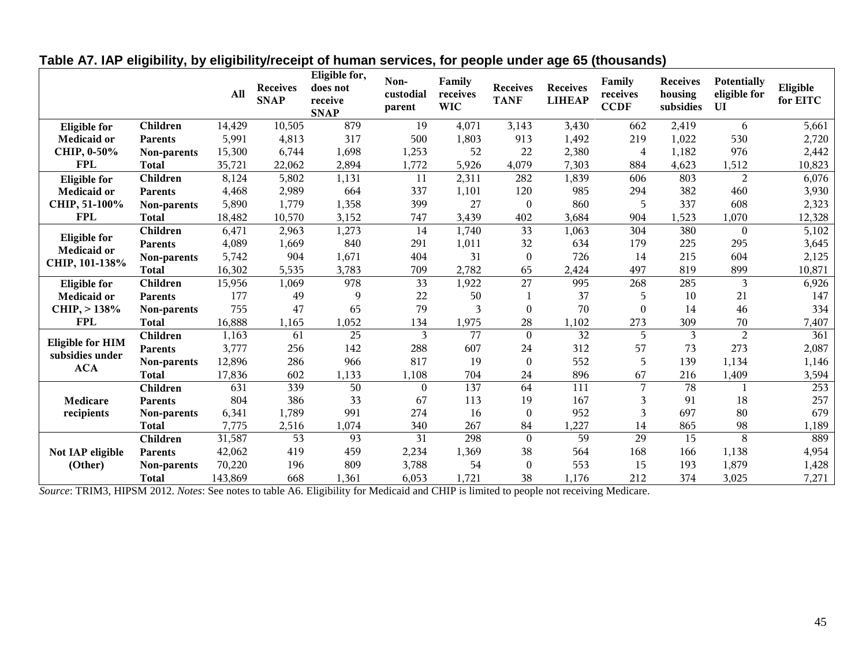|                                                                 |                | A11     | <b>Receives</b><br><b>SNAP</b> | Eligible for,<br>does not<br>receive<br><b>SNAP</b> | Non-<br>custodial<br>parent | Family<br>receives<br><b>WIC</b> | <b>Receives</b><br><b>TANF</b> | <b>Receives</b><br><b>LIHEAP</b> | Family<br>receives<br><b>CCDF</b> | <b>Receives</b><br>housing<br>subsidies | <b>Potentially</b><br>eligible for<br>UI | Eligible<br>for EITC |
|-----------------------------------------------------------------|----------------|---------|--------------------------------|-----------------------------------------------------|-----------------------------|----------------------------------|--------------------------------|----------------------------------|-----------------------------------|-----------------------------------------|------------------------------------------|----------------------|
| <b>Eligible</b> for                                             | Children       | 14,429  | 10,505                         | 879                                                 | 19                          | 4,071                            | 3,143                          | 3,430                            | 662                               | 2,419                                   | 6                                        | 5,661                |
| <b>Medicaid or</b><br>CHIP, 0-50%                               | Parents        | 5,991   | 4,813                          | 317                                                 | 500                         | 1,803                            | 913                            | 1,492                            | 219                               | 1,022                                   | 530                                      | 2,720                |
|                                                                 | Non-parents    | 15,300  | 6,744                          | 1,698                                               | 1,253                       | 52                               | 22                             | 2,380                            | $\overline{4}$                    | 1,182                                   | 976                                      | 2,442                |
| <b>FPL</b>                                                      | Total          | 35,721  | 22,062                         | 2,894                                               | 1,772                       | 5,926                            | 4,079                          | 7,303                            | 884                               | 4,623                                   | 1,512                                    | 10,823               |
| <b>Eligible</b> for                                             | Children       | 8,124   | 5,802                          | 1,131                                               | 11                          | 2,311                            | 282                            | 1,839                            | 606                               | 803                                     | $\overline{2}$                           | 6,076                |
| <b>Medicaid or</b><br>CHIP, 51-100%<br><b>FPL</b>               | Parents        | 4,468   | 2,989                          | 664                                                 | 337                         | 1,101                            | 120                            | 985                              | 294                               | 382                                     | 460                                      | 3,930                |
|                                                                 | Non-parents    | 5,890   | 1,779                          | 1,358                                               | 399                         | 27                               | $\boldsymbol{0}$               | 860                              | 5                                 | 337                                     | 608                                      | 2,323                |
|                                                                 | <b>Total</b>   | 18,482  | 10,570                         | 3,152                                               | 747                         | 3,439                            | 402                            | 3,684                            | 904                               | 1,523                                   | 1,070                                    | 12,328               |
| <b>Eligible for</b><br><b>Medicaid or</b><br>CHIP, 101-138%     | Children       | 6,471   | 2,963                          | 1,273                                               | 14                          | 1,740                            | 33                             | 1,063                            | 304                               | 380                                     | $\overline{0}$                           | 5,102                |
|                                                                 | <b>Parents</b> | 4,089   | 1,669                          | 840                                                 | 291                         | 1,011                            | 32                             | 634                              | 179                               | 225                                     | 295                                      | 3,645                |
|                                                                 | Non-parents    | 5,742   | 904                            | 1,671                                               | 404                         | 31                               | $\boldsymbol{0}$               | 726                              | 14                                | 215                                     | 604                                      | 2,125                |
|                                                                 | <b>Total</b>   | 16,302  | 5,535                          | 3,783                                               | 709                         | 2,782                            | 65                             | 2,424                            | 497                               | 819                                     | 899                                      | 10,871               |
| <b>Eligible</b> for<br><b>Medicaid or</b><br>$CHIP$ , $> 138\%$ | Children       | 15,956  | 1,069                          | 978                                                 | 33                          | 1,922                            | 27                             | 995                              | 268                               | 285                                     | 3                                        | 6,926                |
|                                                                 | <b>Parents</b> | 177     | 49                             | 9                                                   | 22                          | 50                               |                                | 37                               | 5                                 | 10                                      | 21                                       | 147                  |
|                                                                 | Non-parents    | 755     | 47                             | 65                                                  | 79                          | 3                                | $\boldsymbol{0}$               | 70                               | $\theta$                          | 14                                      | 46                                       | 334                  |
| <b>FPL</b>                                                      | <b>Total</b>   | 16,888  | 1,165                          | 1,052                                               | 134                         | 1,975                            | 28                             | 1,102                            | 273                               | 309                                     | 70                                       | 7,407                |
| <b>Eligible for HIM</b><br>subsidies under<br><b>ACA</b>        | Children       | 1,163   | 61                             | 25                                                  | 3                           | 77                               | $\boldsymbol{0}$               | 32                               | 5                                 | 3                                       | $\overline{c}$                           | 361                  |
|                                                                 | <b>Parents</b> | 3,777   | 256                            | 142                                                 | 288                         | 607                              | 24                             | 312                              | 57                                | 73                                      | 273                                      | 2,087                |
|                                                                 | Non-parents    | 12,896  | 286                            | 966                                                 | 817                         | 19                               | $\boldsymbol{0}$               | 552                              | 5                                 | 139                                     | 1,134                                    | 1,146                |
|                                                                 | <b>Total</b>   | 17,836  | 602                            | 1,133                                               | 1,108                       | 704                              | 24                             | 896                              | 67                                | 216                                     | 1,409                                    | 3,594                |
| Medicare<br>recipients                                          | Children       | 631     | 339                            | 50                                                  | $\mathbf{0}$                | 137                              | 64                             | 111                              | 7                                 | 78                                      |                                          | 253                  |
|                                                                 | <b>Parents</b> | 804     | 386                            | 33                                                  | 67                          | 113                              | 19                             | 167                              | 3                                 | 91                                      | 18                                       | 257                  |
|                                                                 | Non-parents    | 6,341   | 1,789                          | 991                                                 | 274                         | 16                               | $\boldsymbol{0}$               | 952                              | 3                                 | 697                                     | 80                                       | 679                  |
|                                                                 | <b>Total</b>   | 7,775   | 2,516                          | 1,074                                               | 340                         | 267                              | 84                             | 1,227                            | 14                                | 865                                     | 98                                       | 1,189                |
| Not IAP eligible<br>(Other)                                     | Children       | 31,587  | 53                             | 93                                                  | 31                          | 298                              | $\theta$                       | 59                               | 29                                | 15                                      | 8                                        | 889                  |
|                                                                 | <b>Parents</b> | 42,062  | 419                            | 459                                                 | 2,234                       | 1,369                            | 38                             | 564                              | 168                               | 166                                     | 1,138                                    | 4,954                |
|                                                                 | Non-parents    | 70,220  | 196                            | 809                                                 | 3,788                       | 54                               | $\boldsymbol{0}$               | 553                              | 15                                | 193                                     | 1,879                                    | 1,428                |
|                                                                 | <b>Total</b>   | 143,869 | 668                            | 1,361                                               | 6,053                       | 1,721                            | 38                             | 1,176                            | 212                               | 374                                     | 3,025                                    | 7,271                |

# **Table A7. IAP eligibility, by eligibility/receipt of human services, for people under age 65 (thousands)**

*Source*: TRIM3, HIPSM 2012. *Notes*: See notes to table A6. Eligibility for Medicaid and CHIP is limited to people not receiving Medicare.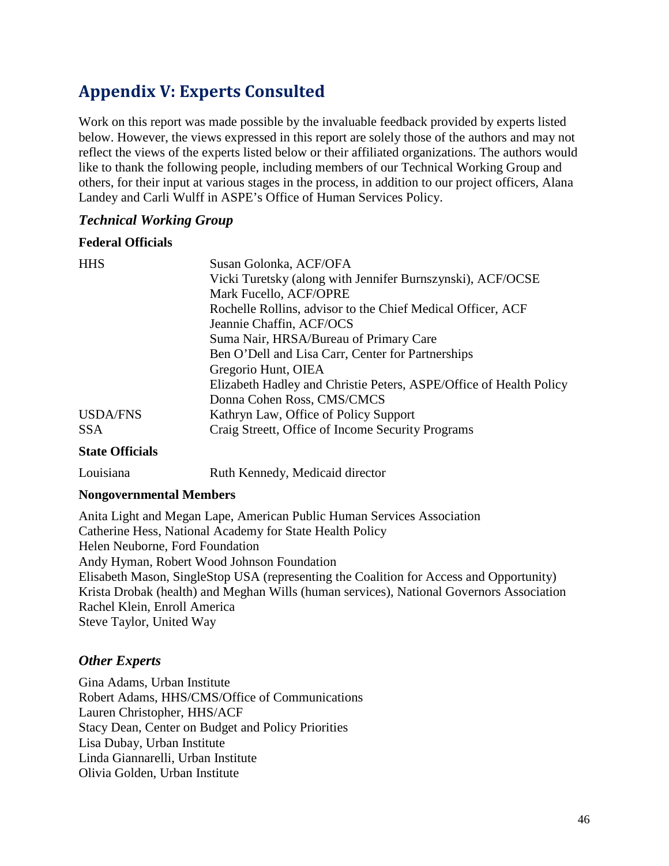# <span id="page-47-0"></span>**Appendix V: Experts Consulted**

Work on this report was made possible by the invaluable feedback provided by experts listed below. However, the views expressed in this report are solely those of the authors and may not reflect the views of the experts listed below or their affiliated organizations. The authors would like to thank the following people, including members of our Technical Working Group and others, for their input at various stages in the process, in addition to our project officers, Alana Landey and Carli Wulff in ASPE's Office of Human Services Policy.

#### *Technical Working Group*

#### **Federal Officials**

| <b>HHS</b>      | Susan Golonka, ACF/OFA                                             |  |  |  |  |  |  |
|-----------------|--------------------------------------------------------------------|--|--|--|--|--|--|
|                 | Vicki Turetsky (along with Jennifer Burnszynski), ACF/OCSE         |  |  |  |  |  |  |
|                 | Mark Fucello, ACF/OPRE                                             |  |  |  |  |  |  |
|                 | Rochelle Rollins, advisor to the Chief Medical Officer, ACF        |  |  |  |  |  |  |
|                 | Jeannie Chaffin, ACF/OCS                                           |  |  |  |  |  |  |
|                 | Suma Nair, HRSA/Bureau of Primary Care                             |  |  |  |  |  |  |
|                 | Ben O'Dell and Lisa Carr, Center for Partnerships                  |  |  |  |  |  |  |
|                 | Gregorio Hunt, OIEA                                                |  |  |  |  |  |  |
|                 | Elizabeth Hadley and Christie Peters, ASPE/Office of Health Policy |  |  |  |  |  |  |
|                 | Donna Cohen Ross, CMS/CMCS                                         |  |  |  |  |  |  |
| <b>USDA/FNS</b> | Kathryn Law, Office of Policy Support                              |  |  |  |  |  |  |
| SSA.            | Craig Streett, Office of Income Security Programs                  |  |  |  |  |  |  |
|                 |                                                                    |  |  |  |  |  |  |

#### **State Officials**

Louisiana Ruth Kennedy, Medicaid director

#### **Nongovernmental Members**

Anita Light and Megan Lape, American Public Human Services Association Catherine Hess, National Academy for State Health Policy Helen Neuborne, Ford Foundation Andy Hyman, Robert Wood Johnson Foundation Elisabeth Mason, SingleStop USA (representing the Coalition for Access and Opportunity) Krista Drobak (health) and Meghan Wills (human services), National Governors Association Rachel Klein, Enroll America Steve Taylor, United Way

### *Other Experts*

Gina Adams, Urban Institute Robert Adams, HHS/CMS/Office of Communications Lauren Christopher, HHS/ACF Stacy Dean, Center on Budget and Policy Priorities Lisa Dubay, Urban Institute Linda Giannarelli, Urban Institute Olivia Golden, Urban Institute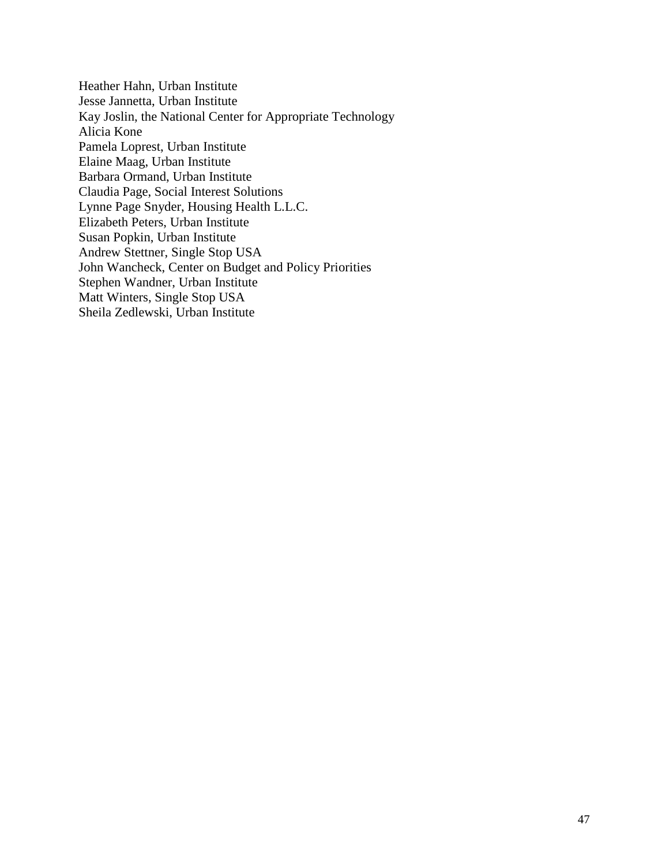Heather Hahn, Urban Institute Jesse Jannetta, Urban Institute Kay Joslin, the National Center for Appropriate Technology Alicia Kone Pamela Loprest, Urban Institute Elaine Maag, Urban Institute Barbara Ormand, Urban Institute Claudia Page, Social Interest Solutions Lynne Page Snyder, Housing Health L.L.C. Elizabeth Peters, Urban Institute Susan Popkin, Urban Institute Andrew Stettner, Single Stop USA John Wancheck, Center on Budget and Policy Priorities Stephen Wandner, Urban Institute Matt Winters, Single Stop USA Sheila Zedlewski, Urban Institute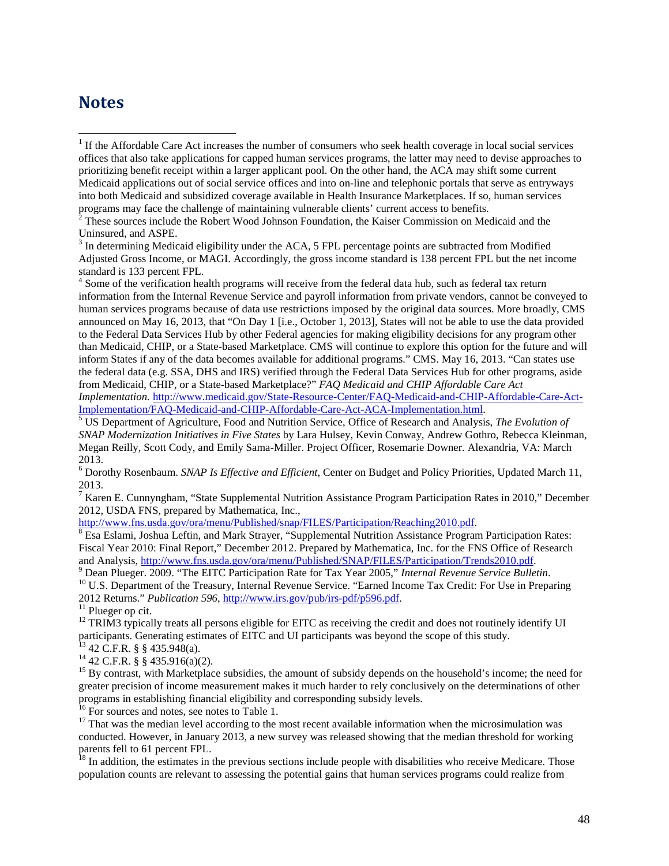## <span id="page-49-0"></span>**Notes**

Adjusted Gross Income, or MAGI. Accordingly, the gross income standard is 138 percent FPL but the net income standard is 133 percent FPL.<br><sup>4</sup> Some of the verification health programs will receive from the federal data hub, such as federal tax return

information from the Internal Revenue Service and payroll information from private vendors, cannot be conveyed to human services programs because of data use restrictions imposed by the original data sources. More broadly, CMS announced on May 16, 2013, that "On Day 1 [i.e., October 1, 2013], States will not be able to use the data provided to the Federal Data Services Hub by other Federal agencies for making eligibility decisions for any program other than Medicaid, CHIP, or a State-based Marketplace. CMS will continue to explore this option for the future and will inform States if any of the data becomes available for additional programs." CMS. May 16, 2013. "Can states use the federal data (e.g. SSA, DHS and IRS) verified through the Federal Data Services Hub for other programs, aside from Medicaid, CHIP, or a State-based Marketplace?" *FAQ Medicaid and CHIP Affordable Care Act Implementation.* [http://www.medicaid.gov/State-Resource-Center/FAQ-Medicaid-and-CHIP-Affordable-Care-Act-](http://www.medicaid.gov/State-Resource-Center/FAQ-Medicaid-and-CHIP-Affordable-Care-Act-Implementation/FAQ-Medicaid-and-CHIP-Affordable-Care-Act-ACA-Implementation.html)

[Implementation/FAQ-Medicaid-and-CHIP-Affordable-Care-Act-ACA-Implementation.html.](http://www.medicaid.gov/State-Resource-Center/FAQ-Medicaid-and-CHIP-Affordable-Care-Act-Implementation/FAQ-Medicaid-and-CHIP-Affordable-Care-Act-ACA-Implementation.html) [5](http://www.medicaid.gov/State-Resource-Center/FAQ-Medicaid-and-CHIP-Affordable-Care-Act-Implementation/FAQ-Medicaid-and-CHIP-Affordable-Care-Act-ACA-Implementation.html) US Department of Agriculture, Food and Nutrition Service, Office of Research and Analysis, *The Evolution of SNAP Modernization Initiatives in Five States* by Lara Hulsey, Kevin Conway, Andrew Gothro, Rebecca Kleinman, Megan Reilly, Scott Cody, and Emily Sama-Miller. Project Officer, Rosemarie Downer. Alexandria, VA: March 2013.

<sup>6</sup> Dorothy Rosenbaum. *SNAP Is Effective and Efficient*, Center on Budget and Policy Priorities, Updated March 11, 2013.

<sup>7</sup> Karen E. Cunnyngham, "State Supplemental Nutrition Assistance Program Participation Rates in 2010," December 2012, USDA FNS, prepared by Mathematica, Inc.,<br>http://www.fns.usda.gov/ora/menu/Published/snap/FILES/Participation/Reaching2010.pdf.

 $8$  Esa Eslami, Joshua Leftin, and Mark Strayer, "Supplemental Nutrition Assistance Program Participation Rates: Fiscal Year 2010: Final Report," December 2012. Prepared by Mathematica, Inc. for the FNS Office of Research and Analysis, http://www.fns.usda.gov/ora/menu/Published/SNAP/FILES/Participation/Trends2010.pdf.

 $^{9}$  Dean Plueger. 2009. "The EITC Participation Rate for Tax Year 2005," Internal Revenue Service Bulletin.<br><sup>10</sup> U.S. Department of the Treasury, Internal Revenue Service. "Earned Income Tax Credit: For Use in Preparing 2012 Returns." *Publication 596*, [http://www.irs.gov/pub/irs-pdf/p596.pdf.](http://www.irs.gov/pub/irs-pdf/p596.pdf)<br><sup>11</sup> Plueger op cit.<br><sup>12</sup> TRIM3 typically treats all persons eligible for EITC as receiving the credit and does not routinely identify UI

participants. Generating estimates of EITC and UI participants was beyond the scope of this study.

<sup>13</sup> 42 C.F.R. § § 435.948(a).<br><sup>14</sup> 42 C.F.R. § § 435.916(a)(2).<br><sup>15</sup> By contrast, with Marketplace subsidies, the amount of subsidy depends on the household's income; the need for greater precision of income measurement makes it much harder to rely conclusively on the determinations of other programs in establishing financial eligibility and corresponding subsidy levels.<br><sup>16</sup> For sources and notes, see notes to Table 1.<br><sup>17</sup> That was the median level according to the most recent available information when the

conducted. However, in January 2013, a new survey was released showing that the median threshold for working parents fell to 61 percent FPL.<br><sup>18</sup> In addition, the estimates in the previous sections include people with disabilities who receive Medicare. Those

population counts are relevant to assessing the potential gains that human services programs could realize from

 $1$  If the Affordable Care Act increases the number of consumers who seek health coverage in local social services offices that also take applications for capped human services programs, the latter may need to devise approaches to prioritizing benefit receipt within a larger applicant pool. On the other hand, the ACA may shift some current Medicaid applications out of social service offices and into on-line and telephonic portals that serve as entryways into both Medicaid and subsidized coverage available in Health Insurance Marketplaces. If so, human services programs may face the challenge of maintaining vulnerable clients' current access to benefits.

<sup>2</sup> These sources include the Robert Wood Johnson Foundation, the Kaiser Commission on Medicaid and the Uninsured, and ASPE.<br> $3$  In determining Medicaid eligibility under the ACA, 5 FPL percentage points are subtracted from Modified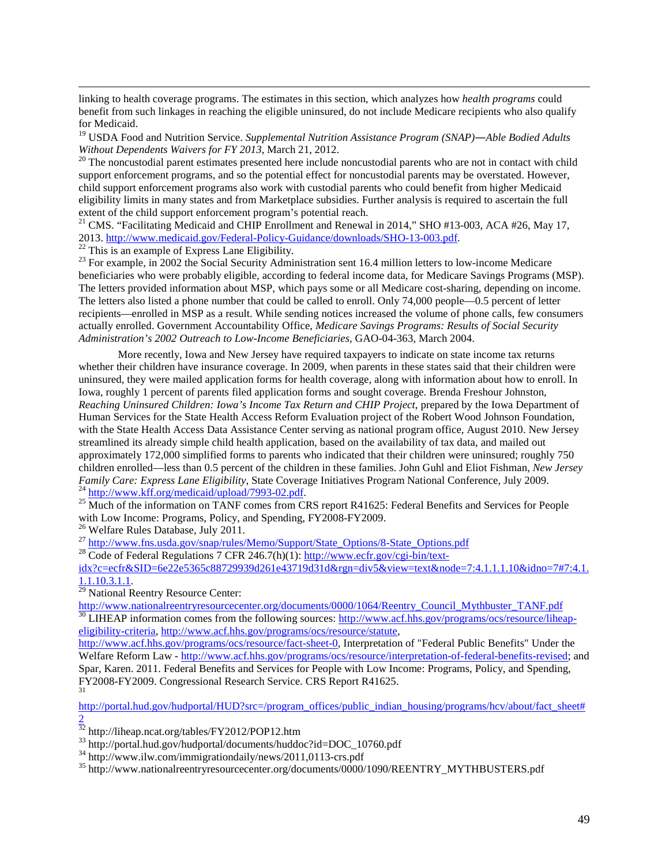linking to health coverage programs. The estimates in this section, which analyzes how *health programs* could benefit from such linkages in reaching the eligible uninsured, do not include Medicare recipients who also qualify for Medicaid.

<sup>19</sup> USDA Food and Nutrition Service. *Supplemental Nutrition Assistance Program (SNAP)—Able Bodied Adults* 

<span id="page-50-0"></span><sup>20</sup> The noncustodial parent estimates presented here include noncustodial parents who are not in contact with child support enforcement programs, and so the potential effect for noncustodial parents may be overstated. However, child support enforcement programs also work with custodial parents who could benefit from higher Medicaid eligibility limits in many states and from Marketplace subsidies. Further analysis is required to ascertain the full

<sup>21</sup> CMS. "Facilitating Medicaid and CHIP Enrollment and Renewal in 2014," SHO #13-003, ACA #26, May 17, 2013. [http://www.medicaid.gov/Federal-Policy-Guidance/downloads/SHO-13-003.pdf.](http://www.medicaid.gov/Federal-Policy-Guidance/downloads/SHO-13-003.pdf)<br>
<sup>22</sup> This is an example of Express Lane Eligibility.<br>
<sup>23</sup> For example, in 2002 the Social Security Administration sent 16.4 million letters

 $\overline{a}$ 

beneficiaries who were probably eligible, according to federal income data, for Medicare Savings Programs (MSP). The letters provided information about MSP, which pays some or all Medicare cost-sharing, depending on income. The letters also listed a phone number that could be called to enroll. Only 74,000 people—0.5 percent of letter recipients—enrolled in MSP as a result. While sending notices increased the volume of phone calls, few consumers actually enrolled. Government Accountability Office, *Medicare Savings Programs: Results of Social Security Administration's 2002 Outreach to Low-Income Beneficiaries*, GAO-04-363, March 2004.

More recently, Iowa and New Jersey have required taxpayers to indicate on state income tax returns whether their children have insurance coverage. In 2009, when parents in these states said that their children were uninsured, they were mailed application forms for health coverage, along with information about how to enroll. In Iowa, roughly 1 percent of parents filed application forms and sought coverage. Brenda Freshour Johnston, *Reaching Uninsured Children: Iowa's Income Tax Return and CHIP Project*, prepared by the Iowa Department of Human Services for the State Health Access Reform Evaluation project of the Robert Wood Johnson Foundation, with the State Health Access Data Assistance Center serving as national program office, August 2010. New Jersey streamlined its already simple child health application, based on the availability of tax data, and mailed out approximately 172,000 simplified forms to parents who indicated that their children were uninsured; roughly 750 children enrolled—less than 0.5 percent of the children in these families. John Guhl and Eliot Fishman, *New Jersey* 

 $^{24}$  [http://www.kff.org/medicaid/upload/7993-02.pdf.](http://www.kff.org/medicaid/upload/7993-02.pdf)<br>  $^{25}$  Much of the information on TANF comes from CRS report R41625: Federal Benefits and Services for People<br>
with Low Income: Programs, Policy, and Spending, FY200

<sup>26</sup> Welfare Rules Database, July 2011.<br>
<sup>27</sup> [http://www.fns.usda.gov/snap/rules/Memo/Support/State\\_Options/8-State\\_Options.pdf](http://www.fns.usda.gov/snap/rules/Memo/Support/State_Options/8-State_Options.pdf)<br>
<sup>28</sup> Code of Federal Regulations 7 CFR 246.7(h)(1): [http://www.ecfr.gov/cgi-bin/text-](http://www.ecfr.gov/cgi-bin/text-idx?c=ecfr&SID=6e22e5365c88729939d261e43719d31d&rgn=div5&view=text&node=7:4.1.1.1.10&idno=7#7:4.1.1.1.10.3.1.1)

[idx?c=ecfr&SID=6e22e5365c88729939d261e43719d31d&rgn=div5&view=text&node=7:4.1.1.1.10&idno=7#7:4.1.](http://www.ecfr.gov/cgi-bin/text-idx?c=ecfr&SID=6e22e5365c88729939d261e43719d31d&rgn=div5&view=text&node=7:4.1.1.1.10&idno=7#7:4.1.1.1.10.3.1.1)<br>1.1.10.3.1.1.

<sup>29</sup> National Reentry Resource Center:

[http://www.nationalreentryresourcecenter.org/documents/0000/1064/Reentry\\_Council\\_Mythbuster\\_TANF.pdf](http://www.nationalreentryresourcecenter.org/documents/0000/1064/Reentry_Council_Mythbuster_TANF.pdf) <sup>30</sup> LIHEAP information comes from the following sources: [http://www.acf.hhs.gov/programs/ocs/resource/liheap](http://www.acf.hhs.gov/programs/ocs/resource/liheap-eligibility-criteria)[eligibility-criteria,](http://www.acf.hhs.gov/programs/ocs/resource/liheap-eligibility-criteria) [http://www.acf.hhs.gov/programs/ocs/resource/statute,](http://www.acf.hhs.gov/programs/ocs/resource/statute)

[http://www.acf.hhs.gov/programs/ocs/resource/fact-sheet-0,](http://www.acf.hhs.gov/programs/ocs/resource/fact-sheet-0) Interpretation of "Federal Public Benefits" Under the Welfare Reform Law - [http://www.acf.hhs.gov/programs/ocs/resource/interpretation-of-federal-benefits-revised;](http://www.acf.hhs.gov/programs/ocs/resource/interpretation-of-federal-benefits-revised) and Spar, Karen. 2011. Federal Benefits and Services for People with Low Income: Programs, Policy, and Spending, FY2008-FY2009. Congressional Research Service. CRS Report R41625.

[http://portal.hud.gov/hudportal/HUD?src=/program\\_offices/public\\_indian\\_housing/programs/hcv/about/fact\\_sheet#](http://portal.hud.gov/hudportal/HUD?src=/program_offices/public_indian_housing/programs/hcv/about/fact_sheet#2)

 $\frac{2}{32}$  $\frac{2}{32}$  $\frac{2}{32}$  http://liheap.ncat.org/tables/FY2012/POP12.htm

<sup>33</sup> http://portal.hud.gov/hudportal/documents/huddoc?id=DOC\_10760.pdf<br><sup>34</sup> http://www.ilw.com/immigrationdaily/news/2011,0113-crs.pdf<br><sup>35</sup> http://www.nationalreentryresourcecenter.org/documents/0000/1090/REENTRY MYTHBUST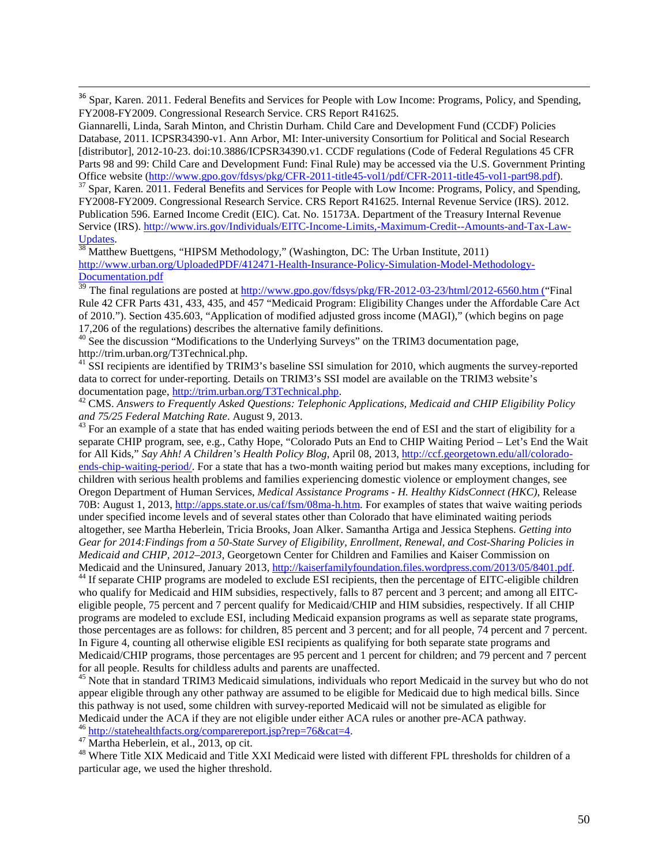<sup>36</sup> Spar, Karen. 2011. Federal Benefits and Services for People with Low Income: Programs, Policy, and Spending, FY2008-FY2009. Congressional Research Service. CRS Report R41625.

 $37$  Spar, Karen. 2011. Federal Benefits and Services for People with Low Income: Programs, Policy, and Spending, FY2008-FY2009. Congressional Research Service. CRS Report R41625. Internal Revenue Service (IRS). 2012. Publication 596. Earned Income Credit (EIC). Cat. No. 15173A. Department of the Treasury Internal Revenue Service (IRS)[. http://www.irs.gov/Individuals/EITC-Income-Limits,-Maximum-Credit--Amounts-and-Tax-Law-](http://www.irs.gov/Individuals/EITC-Income-Limits,-Maximum-Credit--Amounts-and-Tax-Law-Updates)

<span id="page-51-1"></span><span id="page-51-0"></span> $\frac{Update}{38}$  $\frac{Update}{38}$  $\frac{Update}{38}$ .<br><sup>38</sup> Matthew Buettgens, "HIPSM Methodology," (Washington, DC: The Urban Institute, 2011) [http://www.urban.org/UploadedPDF/412471-Health-Insurance-Policy-Simulation-Model-Methodology-](http://www.urban.org/UploadedPDF/412471-Health-Insurance-Policy-Simulation-Model-Methodology-Documentation.pdf)[Documentation.pdf](http://www.urban.org/UploadedPDF/412471-Health-Insurance-Policy-Simulation-Model-Methodology-Documentation.pdf)

<sup>39</sup> The final regulations are posted a[t http://www.gpo.gov/fdsys/pkg/FR-2012-03-23/html/2012-6560.htm](http://www.gpo.gov/fdsys/pkg/FR-2012-03-23/html/2012-6560.htm) ("Final Rule 42 CFR Parts 431, 433, 435, and 457 "Medicaid Program: Eligibility Changes under the Affordable Care Act of 2010."). Section 435.603, "Application of modified adjusted gross income (MAGI)," (which begins on page

17,206 of the regulations) describes the alternative family definitions.<br><sup>40</sup> See the discussion "Modifications to the Underlying Surveys" on the TRIM3 documentation page, http://trim.urban.org/T3Technical.php.

<sup>41</sup> SSI recipients are identified by TRIM3's baseline SSI simulation for 2010, which augments the survey-reported data to correct for under-reporting. Details on TRIM3's SSI model are available on the TRIM3 website's documentation page, http://trim.urban.org/T3Technical.php.

<sup>42</sup> CMS. Answers to Frequently Asked Questions: Telephonic Applications, Medicaid and CHIP Eligibility Policy and 75/25 Federal Matching Rate. August 9, 2013.

<sup>43</sup> For an example of a state that has ended waiting periods between the end of ESI and the start of eligibility for a separate CHIP program, see, e.g., Cathy Hope, "Colorado Puts an End to CHIP Waiting Period – Let's End the Wait for All Kids," *Say Ahh! A Children's Health Policy Blog*, April 08, 2013, [http://ccf.georgetown.edu/all/colorado](http://ccf.georgetown.edu/all/colorado-ends-chip-waiting-period/)[ends-chip-waiting-period/.](http://ccf.georgetown.edu/all/colorado-ends-chip-waiting-period/) For a state that has a two-month waiting period but makes many exceptions, including for children with serious health problems and families experiencing domestic violence or employment changes, see Oregon Department of Human Services, *Medical Assistance Programs - H. Healthy KidsConnect (HKC)*, Release 70B: August 1, 2013, [http://apps.state.or.us/caf/fsm/08ma-h.htm.](http://apps.state.or.us/caf/fsm/08ma-h.htm) For examples of states that waive waiting periods under specified income levels and of several states other than Colorado that have eliminated waiting periods altogether, see Martha Heberlein, Tricia Brooks, Joan Alker. Samantha Artiga and Jessica Stephens. *Getting into Gear for 2014:Findings from a 50-State Survey of Eligibility, Enrollment, Renewal, and Cost-Sharing Policies in Medicaid and CHIP, 2012–2013*, Georgetown Center for Children and Families and Kaiser Commission on<br>Medicaid and the Uninsured, January 2013, http://kaiserfamilyfoundation.files.wordpress.com/2013/05/8401.pdf.

<sup>44</sup> If separate CHIP programs are modeled to exclude ESI recipients, then the percentage of EITC-eligible children who qualify for Medicaid and HIM subsidies, respectively, falls to 87 percent and 3 percent; and among all EITCeligible people, 75 percent and 7 percent qualify for Medicaid/CHIP and HIM subsidies, respectively. If all CHIP programs are modeled to exclude ESI, including Medicaid expansion programs as well as separate state programs, those percentages are as follows: for children, 85 percent and 3 percent; and for all people, 74 percent and 7 percent. In Figure 4, counting all otherwise eligible ESI recipients as qualifying for both separate state programs and Medicaid/CHIP programs, those percentages are 95 percent and 1 percent for children; and 79 percent and 7 percent for all people. Results for childless adults and parents are unaffected.<br><sup>45</sup> Note that in standard TRIM3 Medicaid simulations, individuals who report Medicaid in the survey but who do not

appear eligible through any other pathway are assumed to be eligible for Medicaid due to high medical bills. Since this pathway is not used, some children with survey-reported Medicaid will not be simulated as eligible for Medicaid under the ACA if they are not eligible under either ACA rules or another pre-ACA pathway.

 $\overline{a}$ 

<sup>46</sup> [http://statehealthfacts.org/comparereport.jsp?rep=76&cat=4.](http://statehealthfacts.org/comparereport.jsp?rep=76&cat=4)<br><sup>47</sup> Martha Heberlein, et al., 2013, op cit.<br><sup>48</sup> Where Title XIX Medicaid and Title XXI Medicaid were listed with different FPL thresholds for children of particular age, we used the higher threshold.

Giannarelli, Linda, Sarah Minton, and Christin Durham. Child Care and Development Fund (CCDF) Policies Database, 2011. ICPSR34390-v1. Ann Arbor, MI: Inter-university Consortium for Political and Social Research [distributor], 2012-10-23. doi:10.3886/ICPSR34390.v1. CCDF regulations (Code of Federal Regulations 45 CFR Parts 98 and 99: Child Care and Development Fund: Final Rule) may be accessed via the U.S. Government Printing<br>Office website (http://www.gpo.gov/fdsys/pkg/CFR-2011-title45-vol1/pdf/CFR-2011-title45-vol1-part98.pdf).